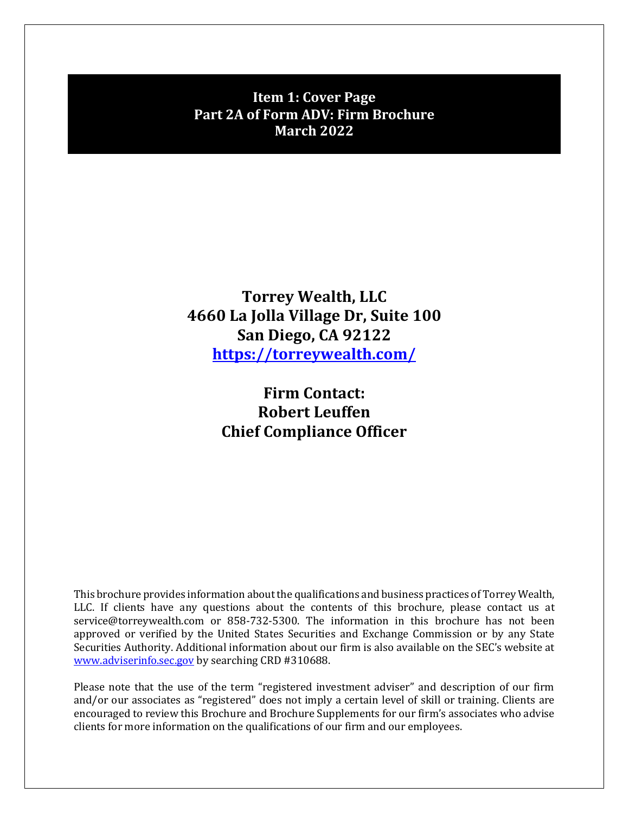<span id="page-0-0"></span>**Item 1: Cover Page Part 2A of Form ADV: Firm Brochure March 2022**

**Torrey Wealth, LLC 4660 La Jolla Village Dr, Suite 100 San Diego, CA 92122 <https://torreywealth.com/>**

> **Firm Contact: Robert Leuffen Chief Compliance Officer**

This brochure provides information about the qualifications and business practices of Torrey Wealth, LLC. If clients have any questions about the contents of this brochure, please contact us at service@torreywealth.com or 858-732-5300. The information in this brochure has not been approved or verified by the United States Securities and Exchange Commission or by any State Securities Authority. Additional information about our firm is also available on the SEC's website at [www.adviserinfo.sec.gov](http://www.adviserinfo.sec.gov/) by searching CRD #310688.

Please note that the use of the term "registered investment adviser" and description of our firm and/or our associates as "registered" does not imply a certain level of skill or training. Clients are encouraged to review this Brochure and Brochure Supplements for our firm's associates who advise clients for more information on the qualifications of our firm and our employees.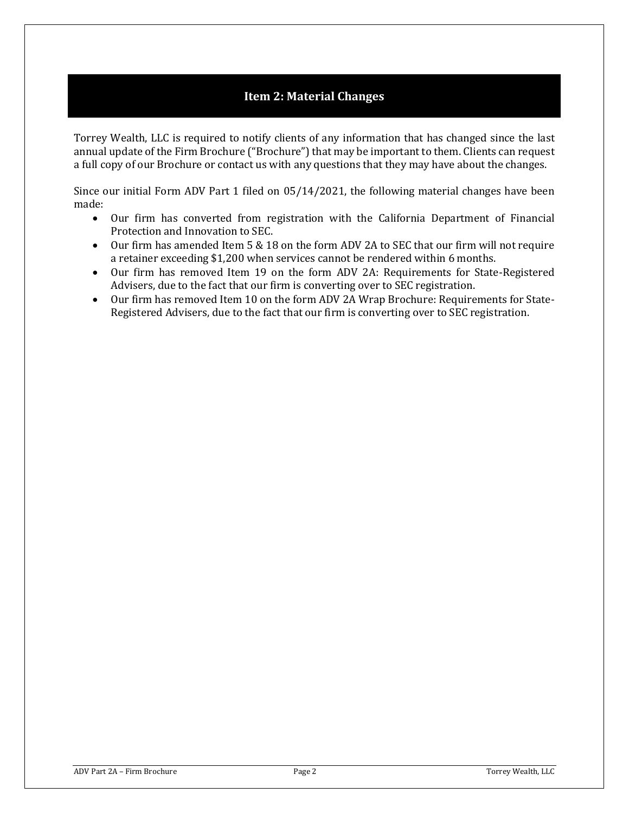# **Item 2: Material Changes**

<span id="page-1-0"></span>Torrey Wealth, LLC is required to notify clients of any information that has changed since the last annual update of the Firm Brochure ("Brochure") that may be important to them. Clients can request a full copy of our Brochure or contact us with any questions that they may have about the changes.

Since our initial Form ADV Part 1 filed on 05/14/2021, the following material changes have been made:

- Our firm has converted from registration with the California Department of Financial Protection and Innovation to SEC.
- Our firm has amended Item 5 & 18 on the form ADV 2A to SEC that our firm will not require a retainer exceeding \$1,200 when services cannot be rendered within 6 months.
- Our firm has removed Item 19 on the form ADV 2A: Requirements for State-Registered Advisers, due to the fact that our firm is converting over to SEC registration.
- Our firm has removed Item 10 on the form ADV 2A Wrap Brochure: Requirements for State-Registered Advisers, due to the fact that our firm is converting over to SEC registration.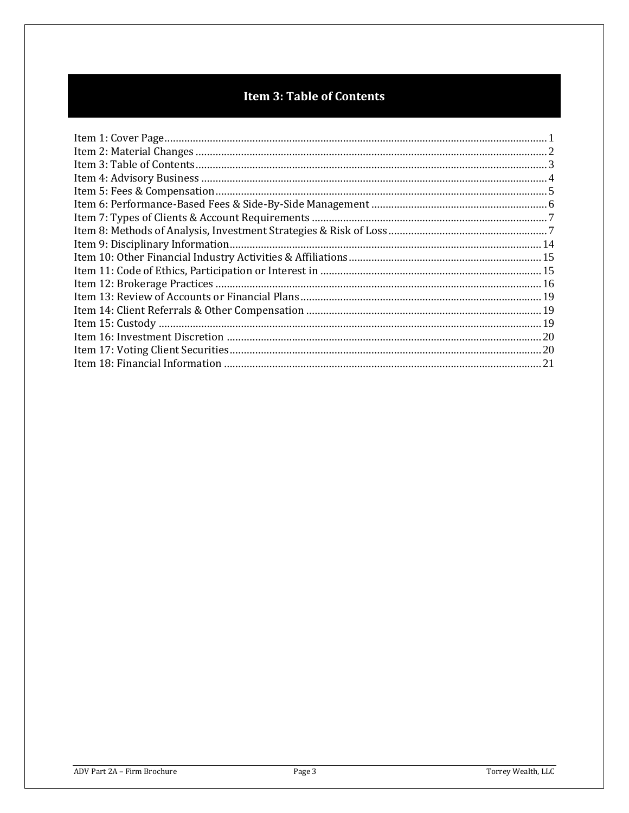# **Item 3: Table of Contents**

<span id="page-2-0"></span>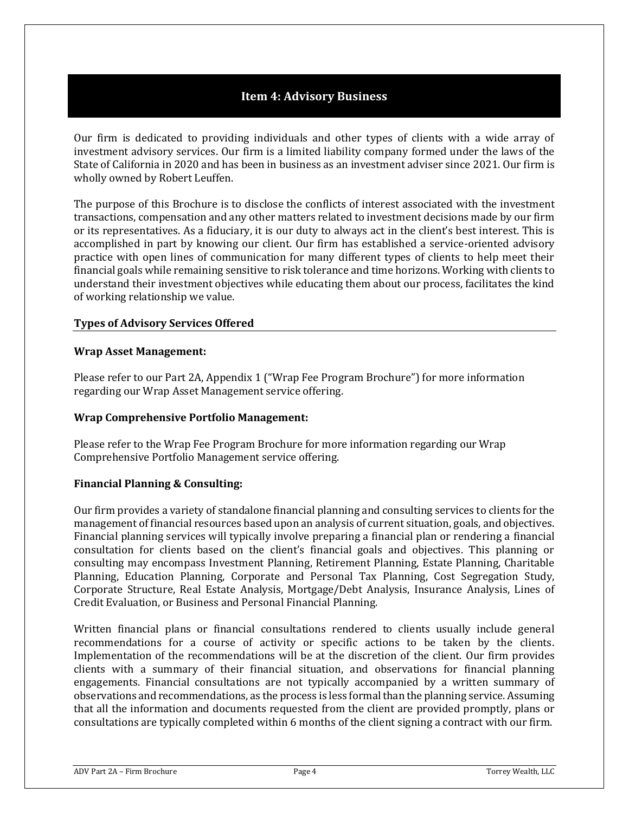# **Item 4: Advisory Business**

<span id="page-3-0"></span>Our firm is dedicated to providing individuals and other types of clients with a wide array of investment advisory services. Our firm is a limited liability company formed under the laws of the State of California in 2020 and has been in business as an investment adviser since 2021. Our firm is wholly owned by Robert Leuffen.

The purpose of this Brochure is to disclose the conflicts of interest associated with the investment transactions, compensation and any other matters related to investment decisions made by our firm or its representatives. As a fiduciary, it is our duty to always act in the client's best interest. This is accomplished in part by knowing our client. Our firm has established a service-oriented advisory practice with open lines of communication for many different types of clients to help meet their financial goals while remaining sensitive to risk tolerance and time horizons. Working with clients to understand their investment objectives while educating them about our process, facilitates the kind of working relationship we value.

### **Types of Advisory Services Offered**

#### **Wrap Asset Management:**

Please refer to our Part 2A, Appendix 1 ("Wrap Fee Program Brochure") for more information regarding our Wrap Asset Management service offering.

#### **Wrap Comprehensive Portfolio Management:**

Please refer to the Wrap Fee Program Brochure for more information regarding our Wrap Comprehensive Portfolio Management service offering.

#### **Financial Planning & Consulting:**

Our firm provides a variety of standalone financial planning and consulting services to clients for the management of financial resources based upon an analysis of current situation, goals, and objectives. Financial planning services will typically involve preparing a financial plan or rendering a financial consultation for clients based on the client's financial goals and objectives. This planning or consulting may encompass Investment Planning, Retirement Planning, Estate Planning, Charitable Planning, Education Planning, Corporate and Personal Tax Planning, Cost Segregation Study, Corporate Structure, Real Estate Analysis, Mortgage/Debt Analysis, Insurance Analysis, Lines of Credit Evaluation, or Business and Personal Financial Planning.

Written financial plans or financial consultations rendered to clients usually include general recommendations for a course of activity or specific actions to be taken by the clients. Implementation of the recommendations will be at the discretion of the client. Our firm provides clients with a summary of their financial situation, and observations for financial planning engagements. Financial consultations are not typically accompanied by a written summary of observations and recommendations, as the process is less formal than the planning service. Assuming that all the information and documents requested from the client are provided promptly, plans or consultations are typically completed within 6 months of the client signing a contract with our firm.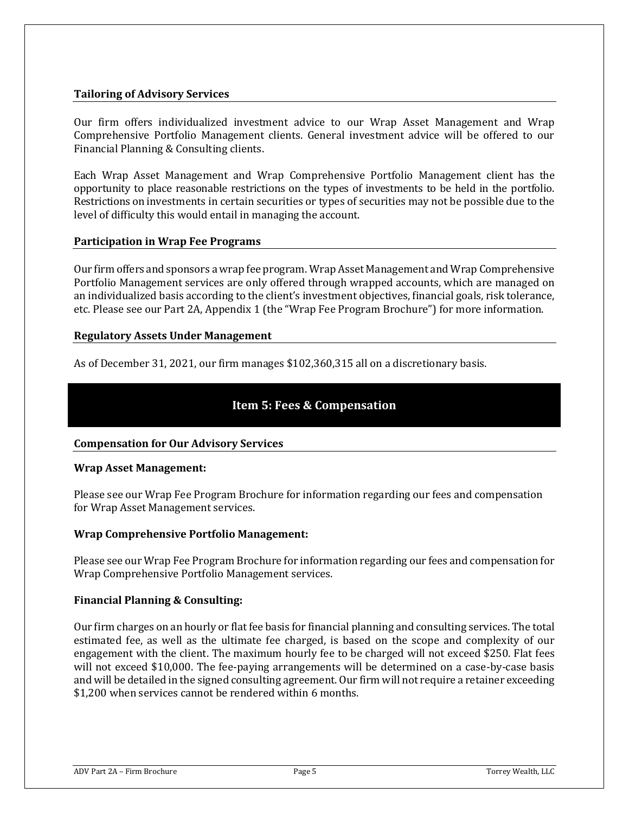### **Tailoring of Advisory Services**

Our firm offers individualized investment advice to our Wrap Asset Management and Wrap Comprehensive Portfolio Management clients. General investment advice will be offered to our Financial Planning & Consulting clients.

Each Wrap Asset Management and Wrap Comprehensive Portfolio Management client has the opportunity to place reasonable restrictions on the types of investments to be held in the portfolio. Restrictions on investments in certain securities or types of securities may not be possible due to the level of difficulty this would entail in managing the account.

#### **Participation in Wrap Fee Programs**

Our firm offers and sponsors a wrap fee program. Wrap Asset Management and Wrap Comprehensive Portfolio Management services are only offered through wrapped accounts, which are managed on an individualized basis according to the client's investment objectives, financial goals, risk tolerance, etc. Please see our Part 2A, Appendix 1 (the "Wrap Fee Program Brochure") for more information.

### **Regulatory Assets Under Management**

As of December 31, 2021, our firm manages \$102,360,315 all on a discretionary basis.

# **Item 5: Fees & Compensation**

#### <span id="page-4-0"></span>**Compensation for Our Advisory Services**

#### **Wrap Asset Management:**

Please see our Wrap Fee Program Brochure for information regarding our fees and compensation for Wrap Asset Management services.

#### **Wrap Comprehensive Portfolio Management:**

Please see our Wrap Fee Program Brochure for information regarding our fees and compensation for Wrap Comprehensive Portfolio Management services.

#### **Financial Planning & Consulting:**

Our firm charges on an hourly or flat fee basis for financial planning and consulting services. The total estimated fee, as well as the ultimate fee charged, is based on the scope and complexity of our engagement with the client. The maximum hourly fee to be charged will not exceed \$250. Flat fees will not exceed \$10,000. The fee-paying arrangements will be determined on a case-by-case basis and will be detailed in the signed consulting agreement. Our firm will not require a retainer exceeding \$1,200 when services cannot be rendered within 6 months.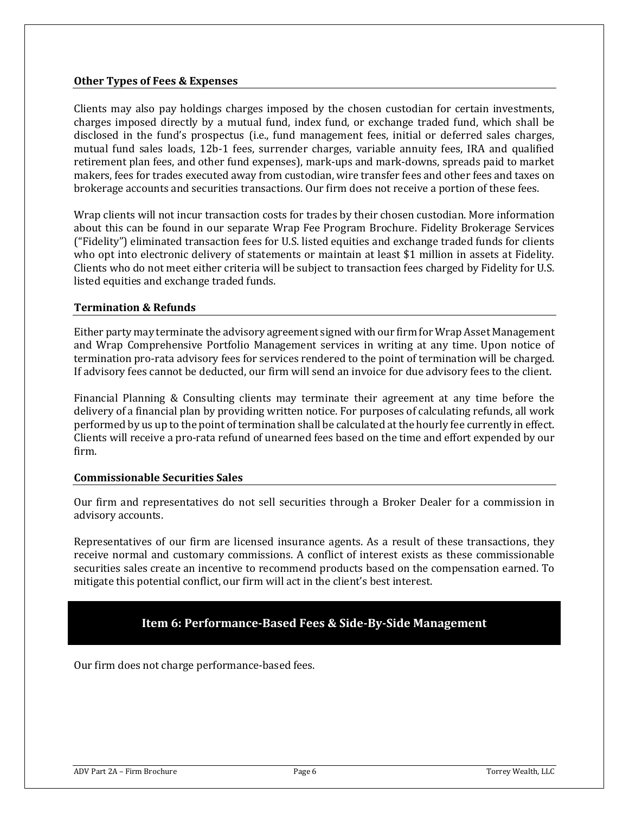#### **Other Types of Fees & Expenses**

Clients may also pay holdings charges imposed by the chosen custodian for certain investments, charges imposed directly by a mutual fund, index fund, or exchange traded fund, which shall be disclosed in the fund's prospectus (i.e., fund management fees, initial or deferred sales charges, mutual fund sales loads, 12b-1 fees, surrender charges, variable annuity fees, IRA and qualified retirement plan fees, and other fund expenses), mark-ups and mark-downs, spreads paid to market makers, fees for trades executed away from custodian, wire transfer fees and other fees and taxes on brokerage accounts and securities transactions. Our firm does not receive a portion of these fees.

Wrap clients will not incur transaction costs for trades by their chosen custodian. More information about this can be found in our separate Wrap Fee Program Brochure. Fidelity Brokerage Services ("Fidelity") eliminated transaction fees for U.S. listed equities and exchange traded funds for clients who opt into electronic delivery of statements or maintain at least \$1 million in assets at Fidelity. Clients who do not meet either criteria will be subject to transaction fees charged by Fidelity for U.S. listed equities and exchange traded funds.

#### **Termination & Refunds**

Either party may terminate the advisory agreement signed with our firm for Wrap Asset Management and Wrap Comprehensive Portfolio Management services in writing at any time. Upon notice of termination pro-rata advisory fees for services rendered to the point of termination will be charged. If advisory fees cannot be deducted, our firm will send an invoice for due advisory fees to the client.

Financial Planning & Consulting clients may terminate their agreement at any time before the delivery of a financial plan by providing written notice. For purposes of calculating refunds, all work performed by us up to the point of termination shall be calculated at the hourly fee currently in effect. Clients will receive a pro-rata refund of unearned fees based on the time and effort expended by our firm.

#### **Commissionable Securities Sales**

Our firm and representatives do not sell securities through a Broker Dealer for a commission in advisory accounts.

Representatives of our firm are licensed insurance agents. As a result of these transactions, they receive normal and customary commissions. A conflict of interest exists as these commissionable securities sales create an incentive to recommend products based on the compensation earned. To mitigate this potential conflict, our firm will act in the client's best interest.

## **Item 6: Performance-Based Fees & Side-By-Side Management**

<span id="page-5-0"></span>Our firm does not charge performance-based fees.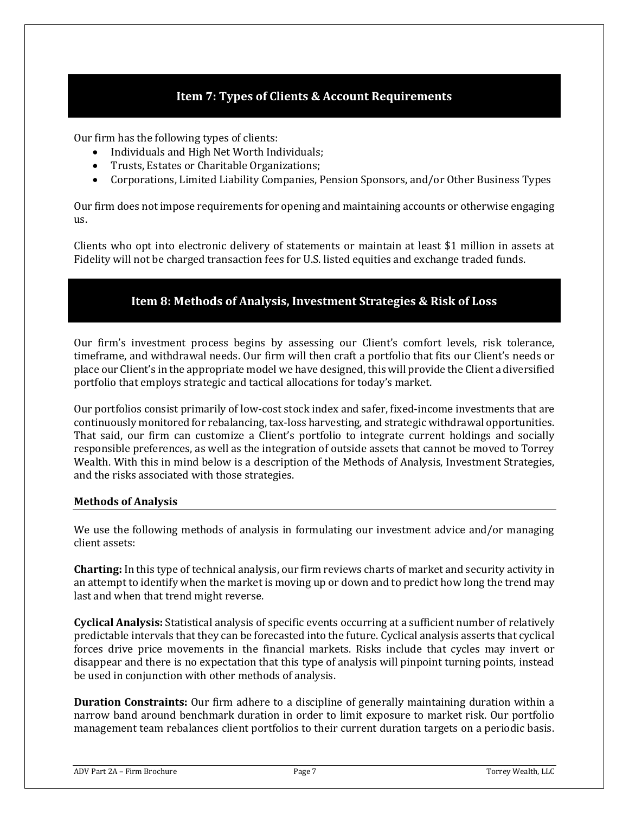# **Item 7: Types of Clients & Account Requirements**

<span id="page-6-0"></span>Our firm has the following types of clients:

- Individuals and High Net Worth Individuals;
- Trusts, Estates or Charitable Organizations;
- Corporations, Limited Liability Companies, Pension Sponsors, and/or Other Business Types

Our firm does not impose requirements for opening and maintaining accounts or otherwise engaging us.

Clients who opt into electronic delivery of statements or maintain at least \$1 million in assets at Fidelity will not be charged transaction fees for U.S. listed equities and exchange traded funds.

### **Item 8: Methods of Analysis, Investment Strategies & Risk of Loss**

<span id="page-6-1"></span>Our firm's investment process begins by assessing our Client's comfort levels, risk tolerance, timeframe, and withdrawal needs. Our firm will then craft a portfolio that fits our Client's needs or place our Client's in the appropriate model we have designed, this will provide the Client a diversified portfolio that employs strategic and tactical allocations for today's market.

Our portfolios consist primarily of low-cost stock index and safer, fixed-income investments that are continuously monitored for rebalancing, tax-loss harvesting, and strategic withdrawal opportunities. That said, our firm can customize a Client's portfolio to integrate current holdings and socially responsible preferences, as well as the integration of outside assets that cannot be moved to Torrey Wealth. With this in mind below is a description of the Methods of Analysis, Investment Strategies, and the risks associated with those strategies.

#### **Methods of Analysis**

We use the following methods of analysis in formulating our investment advice and/or managing client assets:

**Charting:** In this type of technical analysis, our firm reviews charts of market and security activity in an attempt to identify when the market is moving up or down and to predict how long the trend may last and when that trend might reverse.

**Cyclical Analysis:** Statistical analysis of specific events occurring at a sufficient number of relatively predictable intervals that they can be forecasted into the future. Cyclical analysis asserts that cyclical forces drive price movements in the financial markets. Risks include that cycles may invert or disappear and there is no expectation that this type of analysis will pinpoint turning points, instead be used in conjunction with other methods of analysis.

**Duration Constraints:** Our firm adhere to a discipline of generally maintaining duration within a narrow band around benchmark duration in order to limit exposure to market risk. Our portfolio management team rebalances client portfolios to their current duration targets on a periodic basis.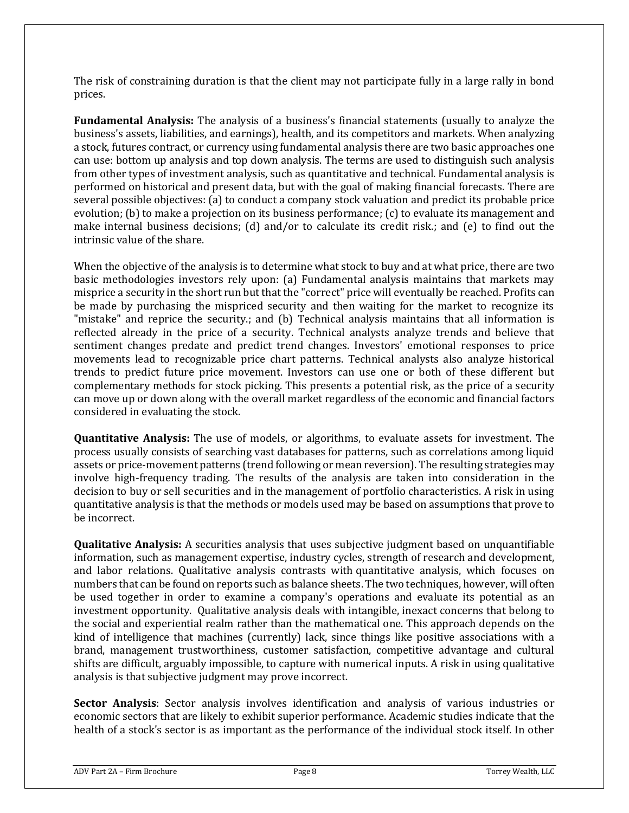The risk of constraining duration is that the client may not participate fully in a large rally in bond prices.

**Fundamental Analysis:** The analysis of a business's financial statements (usually to analyze the business's assets, liabilities, and earnings), health, and its competitors and markets. When analyzing a stock, futures contract, or currency using fundamental analysis there are two basic approaches one can use: bottom up analysis and top down analysis. The terms are used to distinguish such analysis from other types of investment analysis, such as quantitative and technical. Fundamental analysis is performed on historical and present data, but with the goal of making financial forecasts. There are several possible objectives: (a) to conduct a company stock valuation and predict its probable price evolution; (b) to make a projection on its business performance; (c) to evaluate its management and make internal business decisions; (d) and/or to calculate its credit risk.; and (e) to find out the intrinsic value of the share.

When the objective of the analysis is to determine what stock to buy and at what price, there are two basic methodologies investors rely upon: (a) Fundamental analysis maintains that markets may misprice a security in the short run but that the "correct" price will eventually be reached. Profits can be made by purchasing the mispriced security and then waiting for the market to recognize its "mistake" and reprice the security.; and (b) Technical analysis maintains that all information is reflected already in the price of a security. Technical analysts analyze trends and believe that sentiment changes predate and predict trend changes. Investors' emotional responses to price movements lead to recognizable price chart patterns. Technical analysts also analyze historical trends to predict future price movement. Investors can use one or both of these different but complementary methods for stock picking. This presents a potential risk, as the price of a security can move up or down along with the overall market regardless of the economic and financial factors considered in evaluating the stock.

**Quantitative Analysis:** The use of models, or algorithms, to evaluate assets for investment. The process usually consists of searching vast databases for patterns, such as correlations among liquid assets or price-movement patterns (trend following or mean reversion). The resulting strategies may involve high-frequency trading. The results of the analysis are taken into consideration in the decision to buy or sell securities and in the management of portfolio characteristics. A risk in using quantitative analysis is that the methods or models used may be based on assumptions that prove to be incorrect.

**Qualitative Analysis:** A securities analysis that uses subjective judgment based on unquantifiable information, such as management expertise, industry cycles, strength of research and development, and labor relations. Qualitative analysis contrasts with quantitative analysis, which focuses on numbers that can be found on reports such as balance sheets. The two techniques, however, will often be used together in order to examine a company's operations and evaluate its potential as an investment opportunity. Qualitative analysis deals with intangible, inexact concerns that belong to the social and experiential realm rather than the mathematical one. This approach depends on the kind of intelligence that machines (currently) lack, since things like positive associations with a brand, management trustworthiness, customer satisfaction, competitive advantage and cultural shifts are difficult, arguably impossible, to capture with numerical inputs. A risk in using qualitative analysis is that subjective judgment may prove incorrect.

**Sector Analysis**: Sector analysis involves identification and analysis of various industries or economic sectors that are likely to exhibit superior performance. Academic studies indicate that the health of a stock's sector is as important as the performance of the individual stock itself. In other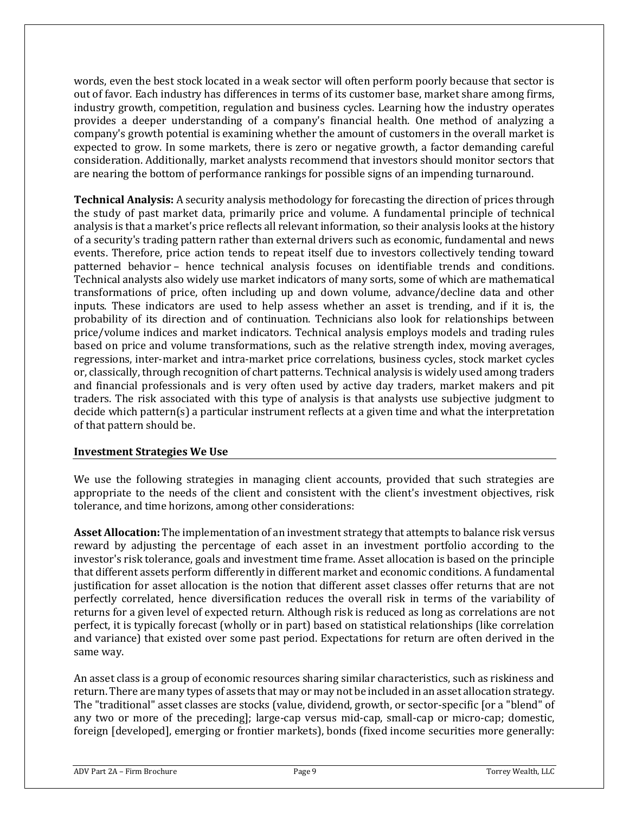words, even the best stock located in a weak sector will often perform poorly because that sector is out of favor. Each industry has differences in terms of its customer base, market share among firms, industry growth, competition, regulation and business cycles. Learning how the industry operates provides a deeper understanding of a company's financial health. One method of analyzing a company's growth potential is examining whether the amount of customers in the overall market is expected to grow. In some markets, there is zero or negative growth, a factor demanding careful consideration. Additionally, market analysts recommend that investors should monitor sectors that are nearing the bottom of performance rankings for possible signs of an impending turnaround.

**Technical Analysis:** A security analysis methodology for forecasting the direction of prices through the study of past market data, primarily price and volume. A fundamental principle of technical analysis is that a market's price reflects all relevant information, so their analysis looks at the history of a security's trading pattern rather than external drivers such as economic, fundamental and news events. Therefore, price action tends to repeat itself due to investors collectively tending toward patterned behavior – hence technical analysis focuses on identifiable trends and conditions. Technical analysts also widely use market indicators of many sorts, some of which are mathematical transformations of price, often including up and down volume, advance/decline data and other inputs. These indicators are used to help assess whether an asset is trending, and if it is, the probability of its direction and of continuation. Technicians also look for relationships between price/volume indices and market indicators. Technical analysis employs models and trading rules based on price and volume transformations, such as the relative strength index, moving averages, regressions, inter-market and intra-market price correlations, business cycles, stock market cycles or, classically, through recognition of chart patterns. Technical analysis is widely used among traders and financial professionals and is very often used by active day traders, market makers and pit traders. The risk associated with this type of analysis is that analysts use subjective judgment to decide which pattern(s) a particular instrument reflects at a given time and what the interpretation of that pattern should be.

### **Investment Strategies We Use**

We use the following strategies in managing client accounts, provided that such strategies are appropriate to the needs of the client and consistent with the client's investment objectives, risk tolerance, and time horizons, among other considerations:

**Asset Allocation:** The implementation of an investment strategy that attempts to balance risk versus reward by adjusting the percentage of each asset in an investment portfolio according to the investor's risk tolerance, goals and investment time frame. Asset allocation is based on the principle that different assets perform differently in different market and economic conditions. A fundamental justification for asset allocation is the notion that different asset classes offer returns that are not perfectly correlated, hence diversification reduces the overall risk in terms of the variability of returns for a given level of expected return. Although risk is reduced as long as correlations are not perfect, it is typically forecast (wholly or in part) based on statistical relationships (like correlation and variance) that existed over some past period. Expectations for return are often derived in the same way.

An asset class is a group of economic resources sharing similar characteristics, such as riskiness and return. There are many types of assets that may or may not be included in an asset allocation strategy. The "traditional" asset classes are stocks (value, dividend, growth, or sector-specific [or a "blend" of any two or more of the preceding]; large-cap versus mid-cap, small-cap or micro-cap; domestic, foreign [developed], emerging or frontier markets), bonds (fixed income securities more generally: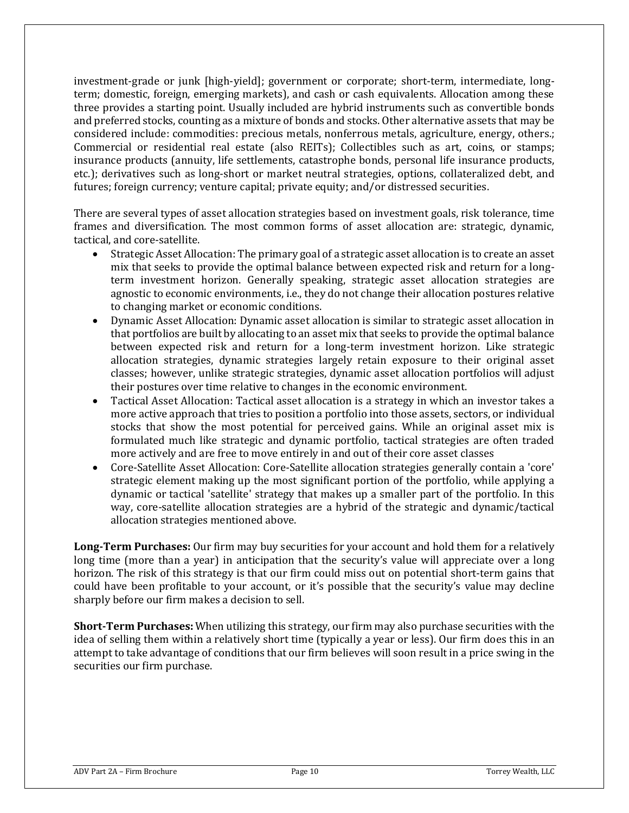investment-grade or junk [high-yield]; government or corporate; short-term, intermediate, longterm; domestic, foreign, emerging markets), and cash or cash equivalents. Allocation among these three provides a starting point. Usually included are hybrid instruments such as convertible bonds and preferred stocks, counting as a mixture of bonds and stocks. Other alternative assets that may be considered include: commodities: precious metals, nonferrous metals, agriculture, energy, others.; Commercial or residential real estate (also REITs); Collectibles such as art, coins, or stamps; insurance products (annuity, life settlements, catastrophe bonds, personal life insurance products, etc.); derivatives such as long-short or market neutral strategies, options, collateralized debt, and futures; foreign currency; venture capital; private equity; and/or distressed securities.

There are several types of asset allocation strategies based on investment goals, risk tolerance, time frames and diversification. The most common forms of asset allocation are: strategic, dynamic, tactical, and core-satellite.

- Strategic Asset Allocation: The primary goal of a strategic asset allocation is to create an asset mix that seeks to provide the optimal balance between expected risk and return for a longterm investment horizon. Generally speaking, strategic asset allocation strategies are agnostic to economic environments, i.e., they do not change their allocation postures relative to changing market or economic conditions.
- Dynamic Asset Allocation: Dynamic asset allocation is similar to strategic asset allocation in that portfolios are built by allocating to an asset mix that seeks to provide the optimal balance between expected risk and return for a long-term investment horizon. Like strategic allocation strategies, dynamic strategies largely retain exposure to their original asset classes; however, unlike strategic strategies, dynamic asset allocation portfolios will adjust their postures over time relative to changes in the economic environment.
- Tactical Asset Allocation: Tactical asset allocation is a strategy in which an investor takes a more active approach that tries to position a portfolio into those assets, sectors, or individual stocks that show the most potential for perceived gains. While an original asset mix is formulated much like strategic and dynamic portfolio, tactical strategies are often traded more actively and are free to move entirely in and out of their core asset classes
- Core-Satellite Asset Allocation: Core-Satellite allocation strategies generally contain a 'core' strategic element making up the most significant portion of the portfolio, while applying a dynamic or tactical 'satellite' strategy that makes up a smaller part of the portfolio. In this way, core-satellite allocation strategies are a hybrid of the strategic and dynamic/tactical allocation strategies mentioned above.

**Long-Term Purchases:** Our firm may buy securities for your account and hold them for a relatively long time (more than a year) in anticipation that the security's value will appreciate over a long horizon. The risk of this strategy is that our firm could miss out on potential short-term gains that could have been profitable to your account, or it's possible that the security's value may decline sharply before our firm makes a decision to sell.

**Short-Term Purchases:** When utilizing this strategy, our firm may also purchase securities with the idea of selling them within a relatively short time (typically a year or less). Our firm does this in an attempt to take advantage of conditions that our firm believes will soon result in a price swing in the securities our firm purchase.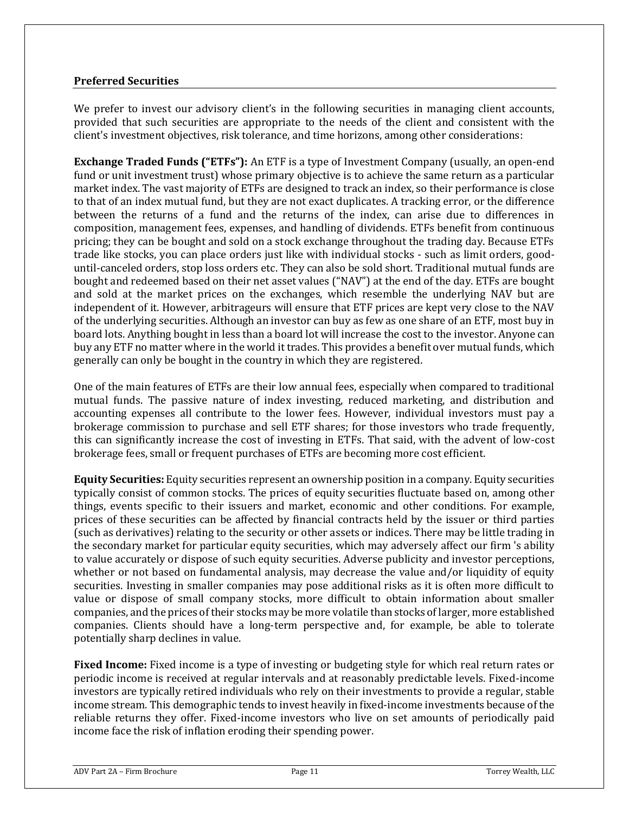### **Preferred Securities**

We prefer to invest our advisory client's in the following securities in managing client accounts, provided that such securities are appropriate to the needs of the client and consistent with the client's investment objectives, risk tolerance, and time horizons, among other considerations:

**Exchange Traded Funds ("ETFs"):** An ETF is a type of Investment Company (usually, an open-end fund or unit investment trust) whose primary objective is to achieve the same return as a particular market index. The vast majority of ETFs are designed to track an index, so their performance is close to that of an index mutual fund, but they are not exact duplicates. A tracking error, or the difference between the returns of a fund and the returns of the index, can arise due to differences in composition, management fees, expenses, and handling of dividends. ETFs benefit from continuous pricing; they can be bought and sold on a stock exchange throughout the trading day. Because ETFs trade like stocks, you can place orders just like with individual stocks - such as limit orders, gooduntil-canceled orders, stop loss orders etc. They can also be sold short. Traditional mutual funds are bought and redeemed based on their net asset values ("NAV") at the end of the day. ETFs are bought and sold at the market prices on the exchanges, which resemble the underlying NAV but are independent of it. However, arbitrageurs will ensure that ETF prices are kept very close to the NAV of the underlying securities. Although an investor can buy as few as one share of an ETF, most buy in board lots. Anything bought in less than a board lot will increase the cost to the investor. Anyone can buy any ETF no matter where in the world it trades. This provides a benefit over mutual funds, which generally can only be bought in the country in which they are registered.

One of the main features of ETFs are their low annual fees, especially when compared to traditional mutual funds. The passive nature of index investing, reduced marketing, and distribution and accounting expenses all contribute to the lower fees. However, individual investors must pay a brokerage commission to purchase and sell ETF shares; for those investors who trade frequently, this can significantly increase the cost of investing in ETFs. That said, with the advent of low-cost brokerage fees, small or frequent purchases of ETFs are becoming more cost efficient.

**Equity Securities:** Equity securities represent an ownership position in a company. Equity securities typically consist of common stocks. The prices of equity securities fluctuate based on, among other things, events specific to their issuers and market, economic and other conditions. For example, prices of these securities can be affected by financial contracts held by the issuer or third parties (such as derivatives) relating to the security or other assets or indices. There may be little trading in the secondary market for particular equity securities, which may adversely affect our firm 's ability to value accurately or dispose of such equity securities. Adverse publicity and investor perceptions, whether or not based on fundamental analysis, may decrease the value and/or liquidity of equity securities. Investing in smaller companies may pose additional risks as it is often more difficult to value or dispose of small company stocks, more difficult to obtain information about smaller companies, and the prices of their stocks may be more volatile than stocks of larger, more established companies. Clients should have a long-term perspective and, for example, be able to tolerate potentially sharp declines in value.

**Fixed Income:** Fixed income is a type of investing or budgeting style for which real return rates or periodic income is received at regular intervals and at reasonably predictable levels. Fixed-income investors are typically retired individuals who rely on their investments to provide a regular, stable income stream. This demographic tends to invest heavily in fixed-income investments because of the reliable returns they offer. Fixed-income investors who live on set amounts of periodically paid income face the risk of inflation eroding their spending power.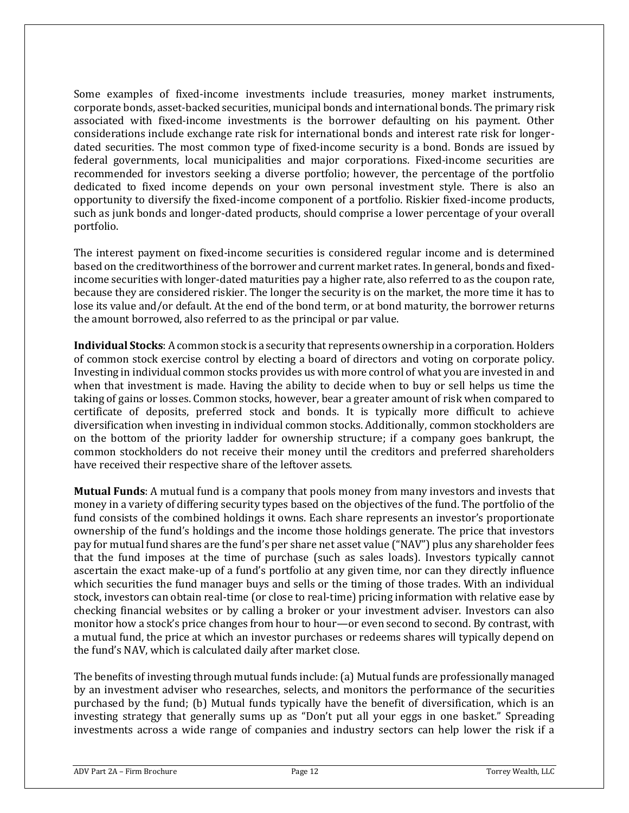Some examples of fixed-income investments include treasuries, money market instruments, corporate bonds, asset-backed securities, municipal bonds and international bonds. The primary risk associated with fixed-income investments is the borrower defaulting on his payment. Other considerations include exchange rate risk for international bonds and interest rate risk for longerdated securities. The most common type of fixed-income security is a bond. Bonds are issued by federal governments, local municipalities and major corporations. Fixed-income securities are recommended for investors seeking a diverse portfolio; however, the percentage of the portfolio dedicated to fixed income depends on your own personal investment style. There is also an opportunity to diversify the fixed-income component of a portfolio. Riskier fixed-income products, such as junk bonds and longer-dated products, should comprise a lower percentage of your overall portfolio.

The interest payment on fixed-income securities is considered regular income and is determined based on the creditworthiness of the borrower and current market rates. In general, bonds and fixedincome securities with longer-dated maturities pay a higher rate, also referred to as the coupon rate, because they are considered riskier. The longer the security is on the market, the more time it has to lose its value and/or default. At the end of the bond term, or at bond maturity, the borrower returns the amount borrowed, also referred to as the principal or par value.

**Individual Stocks**: A common stock is a security that represents ownership in a corporation. Holders of common stock exercise control by electing a board of directors and voting on corporate policy. Investing in individual common stocks provides us with more control of what you are invested in and when that investment is made. Having the ability to decide when to buy or sell helps us time the taking of gains or losses. Common stocks, however, bear a greater amount of risk when compared to certificate of deposits, preferred stock and bonds. It is typically more difficult to achieve diversification when investing in individual common stocks. Additionally, common stockholders are on the bottom of the priority ladder for ownership structure; if a company goes bankrupt, the common stockholders do not receive their money until the creditors and preferred shareholders have received their respective share of the leftover assets.

**Mutual Funds**: A mutual fund is a company that pools money from many investors and invests that money in a variety of differing security types based on the objectives of the fund. The portfolio of the fund consists of the combined holdings it owns. Each share represents an investor's proportionate ownership of the fund's holdings and the income those holdings generate. The price that investors pay for mutual fund shares are the fund's per share net asset value ("NAV") plus any shareholder fees that the fund imposes at the time of purchase (such as sales loads). Investors typically cannot ascertain the exact make-up of a fund's portfolio at any given time, nor can they directly influence which securities the fund manager buys and sells or the timing of those trades. With an individual stock, investors can obtain real-time (or close to real-time) pricing information with relative ease by checking financial websites or by calling a broker or your investment adviser. Investors can also monitor how a stock's price changes from hour to hour—or even second to second. By contrast, with a mutual fund, the price at which an investor purchases or redeems shares will typically depend on the fund's NAV, which is calculated daily after market close.

The benefits of investing through mutual funds include: (a) Mutual funds are professionally managed by an investment adviser who researches, selects, and monitors the performance of the securities purchased by the fund; (b) Mutual funds typically have the benefit of diversification, which is an investing strategy that generally sums up as "Don't put all your eggs in one basket." Spreading investments across a wide range of companies and industry sectors can help lower the risk if a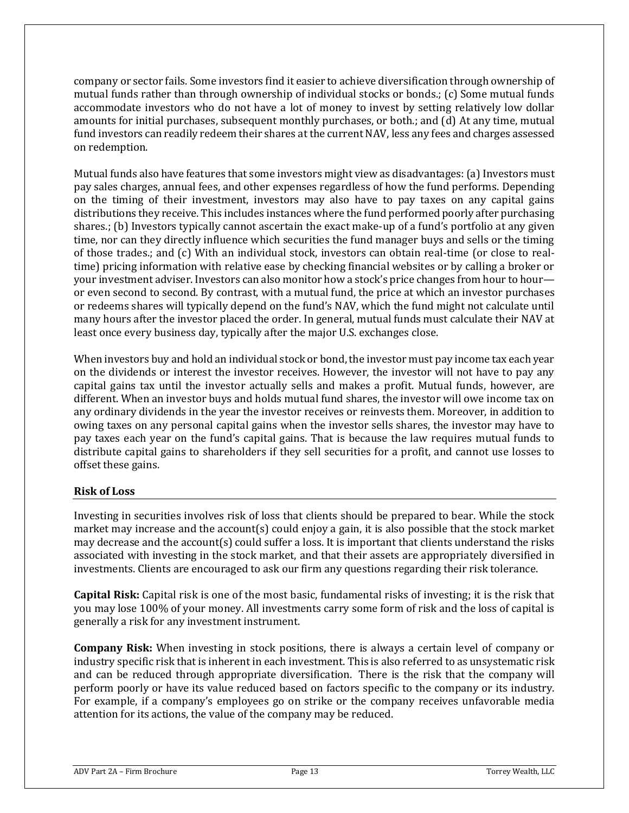company or sector fails. Some investors find it easier to achieve diversification through ownership of mutual funds rather than through ownership of individual stocks or bonds.; (c) Some mutual funds accommodate investors who do not have a lot of money to invest by setting relatively low dollar amounts for initial purchases, subsequent monthly purchases, or both.; and (d) At any time, mutual fund investors can readily redeem their shares at the current NAV, less any fees and charges assessed on redemption.

Mutual funds also have features that some investors might view as disadvantages: (a) Investors must pay sales charges, annual fees, and other expenses regardless of how the fund performs. Depending on the timing of their investment, investors may also have to pay taxes on any capital gains distributions they receive. This includes instances where the fund performed poorly after purchasing shares.; (b) Investors typically cannot ascertain the exact make-up of a fund's portfolio at any given time, nor can they directly influence which securities the fund manager buys and sells or the timing of those trades.; and (c) With an individual stock, investors can obtain real-time (or close to realtime) pricing information with relative ease by checking financial websites or by calling a broker or your investment adviser. Investors can also monitor how a stock's price changes from hour to hour or even second to second. By contrast, with a mutual fund, the price at which an investor purchases or redeems shares will typically depend on the fund's NAV, which the fund might not calculate until many hours after the investor placed the order. In general, mutual funds must calculate their NAV at least once every business day, typically after the major U.S. exchanges close.

When investors buy and hold an individual stock or bond, the investor must pay income tax each year on the dividends or interest the investor receives. However, the investor will not have to pay any capital gains tax until the investor actually sells and makes a profit. Mutual funds, however, are different. When an investor buys and holds mutual fund shares, the investor will owe income tax on any ordinary dividends in the year the investor receives or reinvests them. Moreover, in addition to owing taxes on any personal capital gains when the investor sells shares, the investor may have to pay taxes each year on the fund's capital gains. That is because the law requires mutual funds to distribute capital gains to shareholders if they sell securities for a profit, and cannot use losses to offset these gains.

### **Risk of Loss**

Investing in securities involves risk of loss that clients should be prepared to bear. While the stock market may increase and the account(s) could enjoy a gain, it is also possible that the stock market may decrease and the account(s) could suffer a loss. It is important that clients understand the risks associated with investing in the stock market, and that their assets are appropriately diversified in investments. Clients are encouraged to ask our firm any questions regarding their risk tolerance.

**Capital Risk:** Capital risk is one of the most basic, fundamental risks of investing; it is the risk that you may lose 100% of your money. All investments carry some form of risk and the loss of capital is generally a risk for any investment instrument.

**Company Risk:** When investing in stock positions, there is always a certain level of company or industry specific risk that is inherent in each investment. This is also referred to as unsystematic risk and can be reduced through appropriate diversification. There is the risk that the company will perform poorly or have its value reduced based on factors specific to the company or its industry. For example, if a company's employees go on strike or the company receives unfavorable media attention for its actions, the value of the company may be reduced.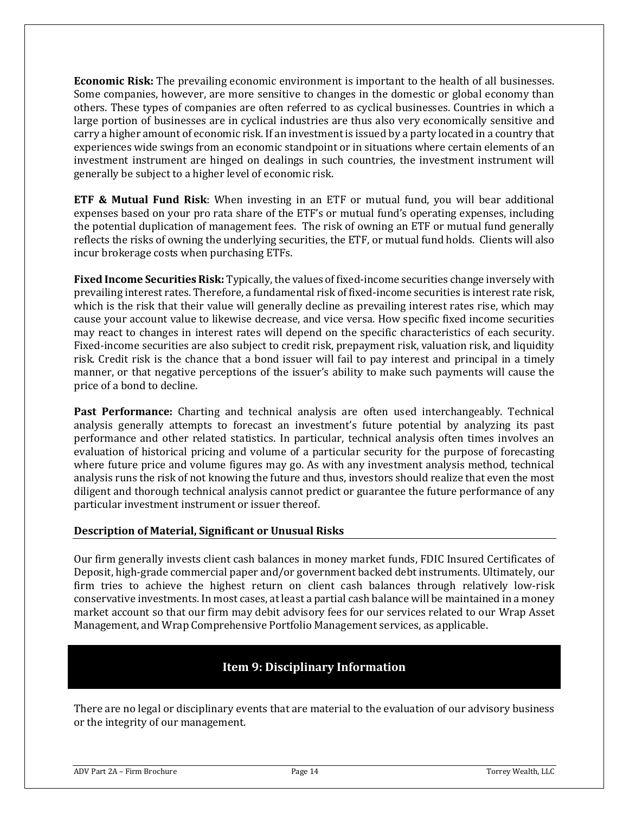**Economic Risk:** The prevailing economic environment is important to the health of all businesses. Some companies, however, are more sensitive to changes in the domestic or global economy than others. These types of companies are often referred to as cyclical businesses. Countries in which a large portion of businesses are in cyclical industries are thus also very economically sensitive and carry a higher amount of economic risk. If an investment is issued by a party located in a country that experiences wide swings from an economic standpoint or in situations where certain elements of an investment instrument are hinged on dealings in such countries, the investment instrument will generally be subject to a higher level of economic risk.

**ETF & Mutual Fund Risk**: When investing in an ETF or mutual fund, you will bear additional expenses based on your pro rata share of the ETF's or mutual fund's operating expenses, including the potential duplication of management fees. The risk of owning an ETF or mutual fund generally reflects the risks of owning the underlying securities, the ETF, or mutual fund holds. Clients will also incur brokerage costs when purchasing ETFs.

**Fixed Income Securities Risk:** Typically, the values of fixed-income securities change inversely with prevailing interest rates. Therefore, a fundamental risk of fixed-income securities is interest rate risk, which is the risk that their value will generally decline as prevailing interest rates rise, which may cause your account value to likewise decrease, and vice versa. How specific fixed income securities may react to changes in interest rates will depend on the specific characteristics of each security. Fixed-income securities are also subject to credit risk, prepayment risk, valuation risk, and liquidity risk. Credit risk is the chance that a bond issuer will fail to pay interest and principal in a timely manner, or that negative perceptions of the issuer's ability to make such payments will cause the price of a bond to decline.

**Past Performance:** Charting and technical analysis are often used interchangeably. Technical analysis generally attempts to forecast an investment's future potential by analyzing its past performance and other related statistics. In particular, technical analysis often times involves an evaluation of historical pricing and volume of a particular security for the purpose of forecasting where future price and volume figures may go. As with any investment analysis method, technical analysis runs the risk of not knowing the future and thus, investors should realize that even the most diligent and thorough technical analysis cannot predict or guarantee the future performance of any particular investment instrument or issuer thereof.

#### **Description of Material, Significant or Unusual Risks**

Our firm generally invests client cash balances in money market funds, FDIC Insured Certificates of Deposit, high-grade commercial paper and/or government backed debt instruments. Ultimately, our firm tries to achieve the highest return on client cash balances through relatively low-risk conservative investments. In most cases, at least a partial cash balance will be maintained in a money market account so that our firm may debit advisory fees for our services related to our Wrap Asset Management, and Wrap Comprehensive Portfolio Management services, as applicable.

## **Item 9: Disciplinary Information**

<span id="page-13-0"></span>There are no legal or disciplinary events that are material to the evaluation of our advisory business or the integrity of our management.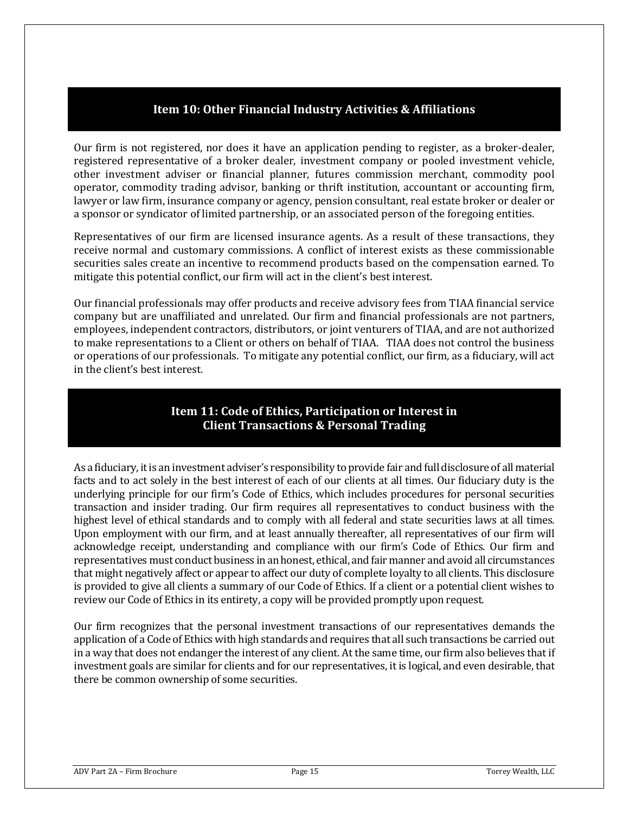# **Item 10: Other Financial Industry Activities & Affiliations**

<span id="page-14-0"></span>Our firm is not registered, nor does it have an application pending to register, as a broker-dealer, registered representative of a broker dealer, investment company or pooled investment vehicle, other investment adviser or financial planner, futures commission merchant, commodity pool operator, commodity trading advisor, banking or thrift institution, accountant or accounting firm, lawyer or law firm, insurance company or agency, pension consultant, real estate broker or dealer or a sponsor or syndicator of limited partnership, or an associated person of the foregoing entities.

Representatives of our firm are licensed insurance agents. As a result of these transactions, they receive normal and customary commissions. A conflict of interest exists as these commissionable securities sales create an incentive to recommend products based on the compensation earned. To mitigate this potential conflict, our firm will act in the client's best interest.

Our financial professionals may offer products and receive advisory fees from TIAA financial service company but are unaffiliated and unrelated. Our firm and financial professionals are not partners, employees, independent contractors, distributors, or joint venturers of TIAA, and are not authorized to make representations to a Client or others on behalf of TIAA. TIAA does not control the business or operations of our professionals. To mitigate any potential conflict, our firm, as a fiduciary, will act in the client's best interest.

# **Item 11: Code of Ethics, Participation or Interest in Client Transactions & Personal Trading**

<span id="page-14-1"></span>As a fiduciary, it is an investment adviser's responsibility to provide fair and full disclosure of all material facts and to act solely in the best interest of each of our clients at all times. Our fiduciary duty is the underlying principle for our firm's Code of Ethics, which includes procedures for personal securities transaction and insider trading. Our firm requires all representatives to conduct business with the highest level of ethical standards and to comply with all federal and state securities laws at all times. Upon employment with our firm, and at least annually thereafter, all representatives of our firm will acknowledge receipt, understanding and compliance with our firm's Code of Ethics. Our firm and representatives must conduct business in an honest, ethical, and fair manner and avoid all circumstances that might negatively affect or appear to affect our duty of complete loyalty to all clients. This disclosure is provided to give all clients a summary of our Code of Ethics. If a client or a potential client wishes to review our Code of Ethics in its entirety, a copy will be provided promptly upon request.

Our firm recognizes that the personal investment transactions of our representatives demands the application of a Code of Ethics with high standards and requires that all such transactions be carried out in a way that does not endanger the interest of any client. At the same time, our firm also believes that if investment goals are similar for clients and for our representatives, it is logical, and even desirable, that there be common ownership of some securities.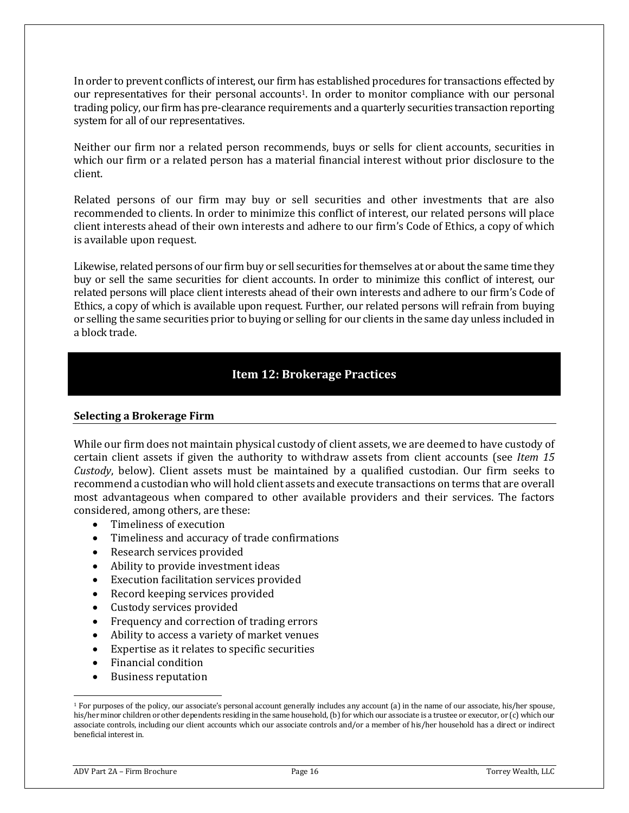In order to prevent conflicts of interest, our firm has established procedures for transactions effected by our representatives for their personal accounts1. In order to monitor compliance with our personal trading policy, our firm has pre-clearance requirements and a quarterly securities transaction reporting system for all of our representatives.

Neither our firm nor a related person recommends, buys or sells for client accounts, securities in which our firm or a related person has a material financial interest without prior disclosure to the client.

Related persons of our firm may buy or sell securities and other investments that are also recommended to clients. In order to minimize this conflict of interest, our related persons will place client interests ahead of their own interests and adhere to our firm's Code of Ethics, a copy of which is available upon request.

Likewise, related persons of our firm buy or sell securities for themselves at or about the same time they buy or sell the same securities for client accounts. In order to minimize this conflict of interest, our related persons will place client interests ahead of their own interests and adhere to our firm's Code of Ethics, a copy of which is available upon request. Further, our related persons will refrain from buying or selling the same securities prior to buying or selling for our clients in the same day unless included in a block trade.

## **Item 12: Brokerage Practices**

#### <span id="page-15-0"></span>**Selecting a Brokerage Firm**

While our firm does not maintain physical custody of client assets, we are deemed to have custody of certain client assets if given the authority to withdraw assets from client accounts (see *Item 15 Custody*, below). Client assets must be maintained by a qualified custodian. Our firm seeks to recommend a custodian who will hold client assets and execute transactions on terms that are overall most advantageous when compared to other available providers and their services. The factors considered, among others, are these:

- Timeliness of execution
- Timeliness and accuracy of trade confirmations
- Research services provided
- Ability to provide investment ideas
- Execution facilitation services provided
- Record keeping services provided
- Custody services provided
- Frequency and correction of trading errors
- Ability to access a variety of market venues
- Expertise as it relates to specific securities
- Financial condition
- Business reputation

<sup>1</sup> For purposes of the policy, our associate's personal account generally includes any account (a) in the name of our associate, his/her spouse, his/her minor children or other dependents residing in the same household, (b) for which our associate is a trustee or executor, or (c) which our associate controls, including our client accounts which our associate controls and/or a member of his/her household has a direct or indirect beneficial interest in.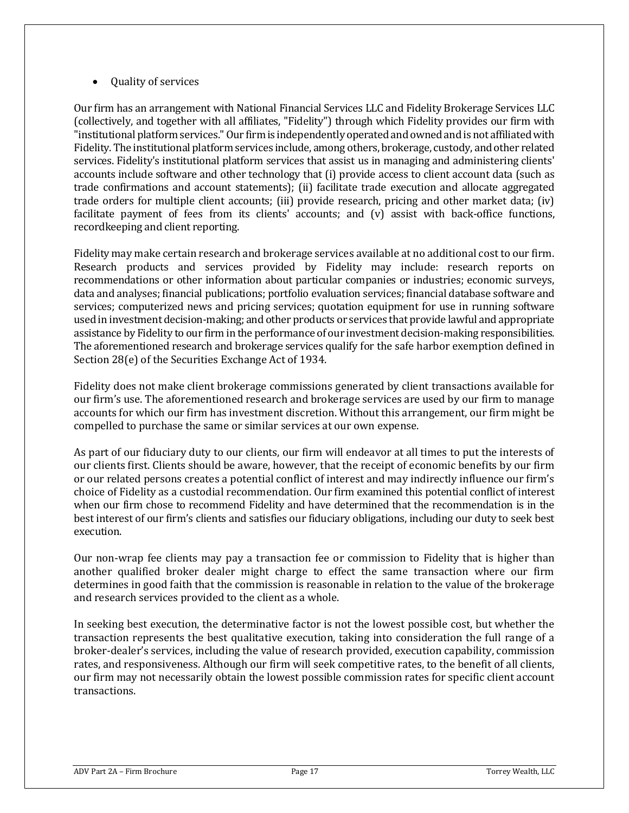### • Quality of services

Our firm has an arrangement with National Financial Services LLC and Fidelity Brokerage Services LLC (collectively, and together with all affiliates, "Fidelity") through which Fidelity provides our firm with "institutional platform services." Our firm is independently operated and owned and is not affiliated with Fidelity. The institutional platform services include, among others, brokerage, custody, and other related services. Fidelity's institutional platform services that assist us in managing and administering clients' accounts include software and other technology that (i) provide access to client account data (such as trade confirmations and account statements); (ii) facilitate trade execution and allocate aggregated trade orders for multiple client accounts; (iii) provide research, pricing and other market data; (iv) facilitate payment of fees from its clients' accounts; and (v) assist with back-office functions, recordkeeping and client reporting.

Fidelity may make certain research and brokerage services available at no additional cost to our firm. Research products and services provided by Fidelity may include: research reports on recommendations or other information about particular companies or industries; economic surveys, data and analyses; financial publications; portfolio evaluation services; financial database software and services; computerized news and pricing services; quotation equipment for use in running software used in investment decision-making; and other products or services that provide lawful and appropriate assistance by Fidelity to our firm in the performance of our investment decision-making responsibilities. The aforementioned research and brokerage services qualify for the safe harbor exemption defined in Section 28(e) of the Securities Exchange Act of 1934.

Fidelity does not make client brokerage commissions generated by client transactions available for our firm's use. The aforementioned research and brokerage services are used by our firm to manage accounts for which our firm has investment discretion. Without this arrangement, our firm might be compelled to purchase the same or similar services at our own expense.

As part of our fiduciary duty to our clients, our firm will endeavor at all times to put the interests of our clients first. Clients should be aware, however, that the receipt of economic benefits by our firm or our related persons creates a potential conflict of interest and may indirectly influence our firm's choice of Fidelity as a custodial recommendation. Our firm examined this potential conflict of interest when our firm chose to recommend Fidelity and have determined that the recommendation is in the best interest of our firm's clients and satisfies our fiduciary obligations, including our duty to seek best execution.

Our non-wrap fee clients may pay a transaction fee or commission to Fidelity that is higher than another qualified broker dealer might charge to effect the same transaction where our firm determines in good faith that the commission is reasonable in relation to the value of the brokerage and research services provided to the client as a whole.

In seeking best execution, the determinative factor is not the lowest possible cost, but whether the transaction represents the best qualitative execution, taking into consideration the full range of a broker-dealer's services, including the value of research provided, execution capability, commission rates, and responsiveness. Although our firm will seek competitive rates, to the benefit of all clients, our firm may not necessarily obtain the lowest possible commission rates for specific client account transactions.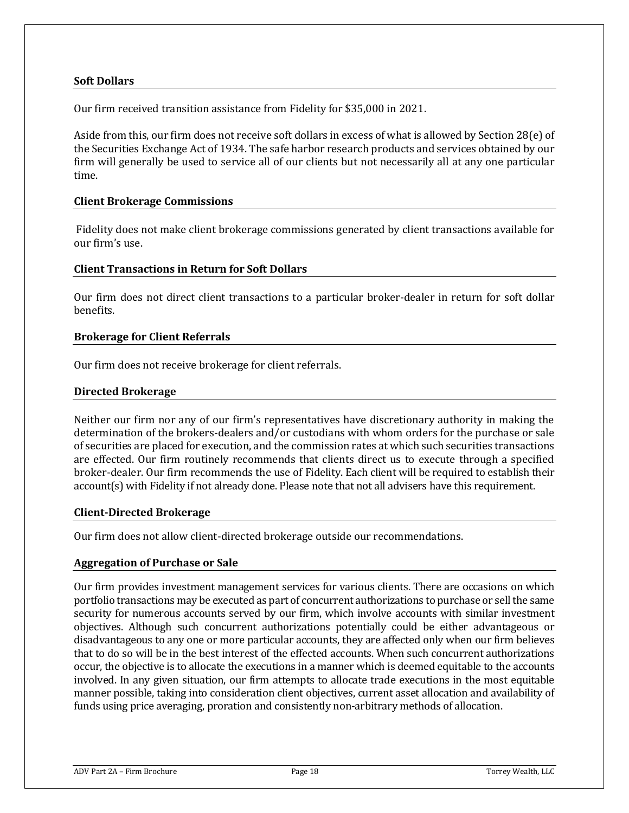#### **Soft Dollars**

Our firm received transition assistance from Fidelity for \$35,000 in 2021.

Aside from this, our firm does not receive soft dollars in excess of what is allowed by Section 28(e) of the Securities Exchange Act of 1934. The safe harbor research products and services obtained by our firm will generally be used to service all of our clients but not necessarily all at any one particular time.

#### **Client Brokerage Commissions**

Fidelity does not make client brokerage commissions generated by client transactions available for our firm's use.

#### **Client Transactions in Return for Soft Dollars**

Our firm does not direct client transactions to a particular broker-dealer in return for soft dollar benefits.

#### **Brokerage for Client Referrals**

Our firm does not receive brokerage for client referrals.

#### **Directed Brokerage**

Neither our firm nor any of our firm's representatives have discretionary authority in making the determination of the brokers-dealers and/or custodians with whom orders for the purchase or sale of securities are placed for execution, and the commission rates at which such securities transactions are effected. Our firm routinely recommends that clients direct us to execute through a specified broker-dealer. Our firm recommends the use of Fidelity. Each client will be required to establish their account(s) with Fidelity if not already done. Please note that not all advisers have this requirement.

#### **Client-Directed Brokerage**

Our firm does not allow client-directed brokerage outside our recommendations.

#### **Aggregation of Purchase or Sale**

Our firm provides investment management services for various clients. There are occasions on which portfolio transactions may be executed as part of concurrent authorizations to purchase or sell the same security for numerous accounts served by our firm, which involve accounts with similar investment objectives. Although such concurrent authorizations potentially could be either advantageous or disadvantageous to any one or more particular accounts, they are affected only when our firm believes that to do so will be in the best interest of the effected accounts. When such concurrent authorizations occur, the objective is to allocate the executions in a manner which is deemed equitable to the accounts involved. In any given situation, our firm attempts to allocate trade executions in the most equitable manner possible, taking into consideration client objectives, current asset allocation and availability of funds using price averaging, proration and consistently non-arbitrary methods of allocation.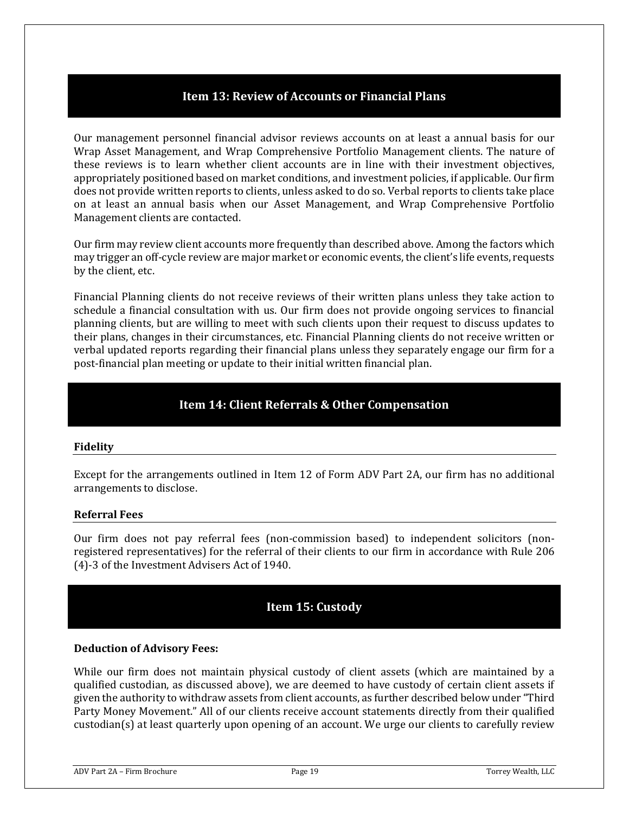## **Item 13: Review of Accounts or Financial Plans**

<span id="page-18-0"></span>Our management personnel financial advisor reviews accounts on at least a annual basis for our Wrap Asset Management, and Wrap Comprehensive Portfolio Management clients. The nature of these reviews is to learn whether client accounts are in line with their investment objectives, appropriately positioned based on market conditions, and investment policies, if applicable. Our firm does not provide written reports to clients, unless asked to do so. Verbal reports to clients take place on at least an annual basis when our Asset Management, and Wrap Comprehensive Portfolio Management clients are contacted.

Our firm may review client accounts more frequently than described above. Among the factors which may trigger an off-cycle review are major market or economic events, the client's life events, requests by the client, etc.

Financial Planning clients do not receive reviews of their written plans unless they take action to schedule a financial consultation with us. Our firm does not provide ongoing services to financial planning clients, but are willing to meet with such clients upon their request to discuss updates to their plans, changes in their circumstances, etc. Financial Planning clients do not receive written or verbal updated reports regarding their financial plans unless they separately engage our firm for a post-financial plan meeting or update to their initial written financial plan.

## **Item 14: Client Referrals & Other Compensation**

#### <span id="page-18-1"></span>**Fidelity**

Except for the arrangements outlined in Item 12 of Form ADV Part 2A, our firm has no additional arrangements to disclose.

#### **Referral Fees**

Our firm does not pay referral fees (non-commission based) to independent solicitors (nonregistered representatives) for the referral of their clients to our firm in accordance with Rule 206 (4)-3 of the Investment Advisers Act of 1940.

## **Item 15: Custody**

#### <span id="page-18-2"></span>**Deduction of Advisory Fees:**

While our firm does not maintain physical custody of client assets (which are maintained by a qualified custodian, as discussed above), we are deemed to have custody of certain client assets if given the authority to withdraw assets from client accounts, as further described below under "Third Party Money Movement." All of our clients receive account statements directly from their qualified custodian(s) at least quarterly upon opening of an account. We urge our clients to carefully review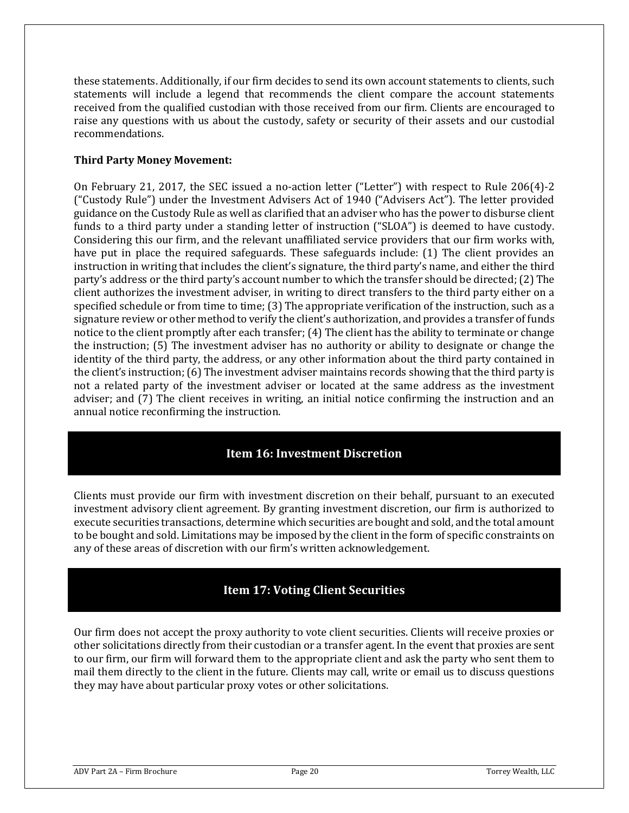these statements. Additionally, if our firm decides to send its own account statements to clients, such statements will include a legend that recommends the client compare the account statements received from the qualified custodian with those received from our firm. Clients are encouraged to raise any questions with us about the custody, safety or security of their assets and our custodial recommendations.

### **Third Party Money Movement:**

On February 21, 2017, the SEC issued a no‐action letter ("Letter") with respect to Rule 206(4)‐2 ("Custody Rule") under the Investment Advisers Act of 1940 ("Advisers Act"). The letter provided guidance on the Custody Rule as well as clarified that an adviser who has the power to disburse client funds to a third party under a standing letter of instruction ("SLOA") is deemed to have custody. Considering this our firm, and the relevant unaffiliated service providers that our firm works with, have put in place the required safeguards. These safeguards include: (1) The client provides an instruction in writing that includes the client's signature, the third party's name, and either the third party's address or the third party's account number to which the transfer should be directed; (2) The client authorizes the investment adviser, in writing to direct transfers to the third party either on a specified schedule or from time to time; (3) The appropriate verification of the instruction, such as a signature review or other method to verify the client's authorization, and provides a transfer of funds notice to the client promptly after each transfer; (4) The client has the ability to terminate or change the instruction; (5) The investment adviser has no authority or ability to designate or change the identity of the third party, the address, or any other information about the third party contained in the client's instruction; (6) The investment adviser maintains records showing that the third party is not a related party of the investment adviser or located at the same address as the investment adviser; and (7) The client receives in writing, an initial notice confirming the instruction and an annual notice reconfirming the instruction.

## **Item 16: Investment Discretion**

<span id="page-19-0"></span>Clients must provide our firm with investment discretion on their behalf, pursuant to an executed investment advisory client agreement. By granting investment discretion, our firm is authorized to execute securities transactions, determine which securities are bought and sold, and the total amount to be bought and sold. Limitations may be imposed by the client in the form of specific constraints on any of these areas of discretion with our firm's written acknowledgement.

# **Item 17: Voting Client Securities**

<span id="page-19-1"></span>Our firm does not accept the proxy authority to vote client securities. Clients will receive proxies or other solicitations directly from their custodian or a transfer agent. In the event that proxies are sent to our firm, our firm will forward them to the appropriate client and ask the party who sent them to mail them directly to the client in the future. Clients may call, write or email us to discuss questions they may have about particular proxy votes or other solicitations.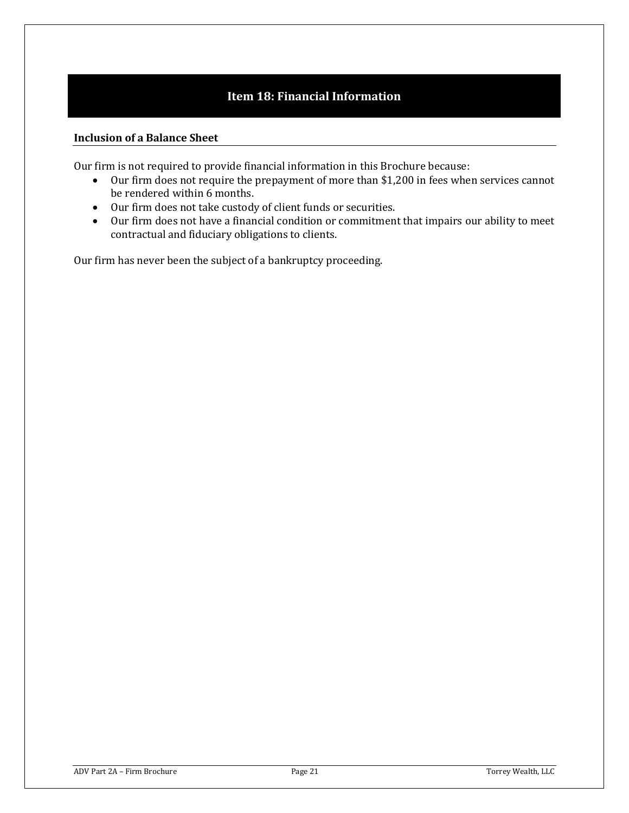# **Item 18: Financial Information**

### <span id="page-20-0"></span>**Inclusion of a Balance Sheet**

Our firm is not required to provide financial information in this Brochure because:

- Our firm does not require the prepayment of more than \$1,200 in fees when services cannot be rendered within 6 months.
- Our firm does not take custody of client funds or securities.
- Our firm does not have a financial condition or commitment that impairs our ability to meet contractual and fiduciary obligations to clients.

Our firm has never been the subject of a bankruptcy proceeding.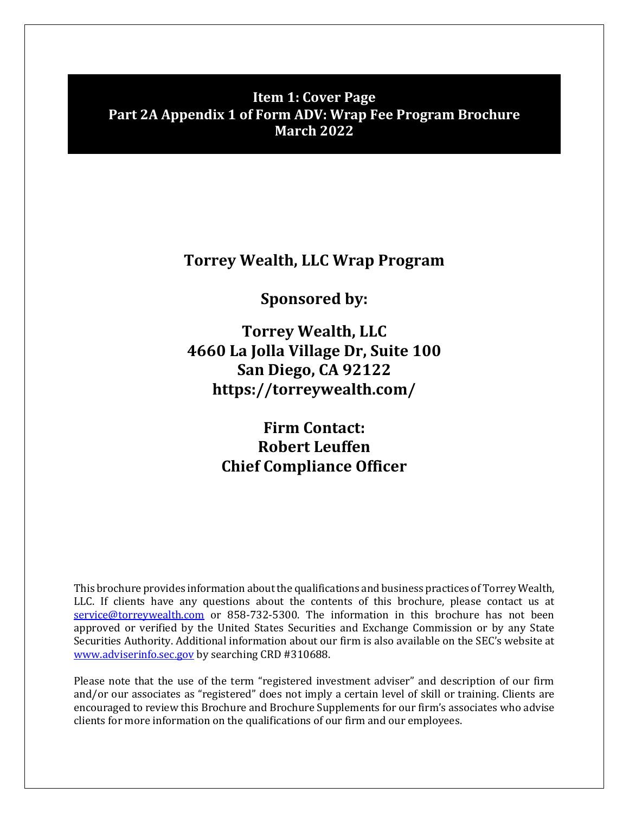# <span id="page-21-0"></span>**Item 1: Cover Page Part 2A Appendix 1 of Form ADV: Wrap Fee Program Brochure March 2022**

# **Torrey Wealth, LLC Wrap Program**

**Sponsored by:**

**Torrey Wealth, LLC 4660 La Jolla Village Dr, Suite 100 San Diego, CA 92122 https://torreywealth.com/**

> **Firm Contact: Robert Leuffen Chief Compliance Officer**

This brochure provides information about the qualifications and business practices of Torrey Wealth, LLC. If clients have any questions about the contents of this brochure, please contact us at [service@torreywealth.com](mailto:service@torreywealth.com) or 858-732-5300. The information in this brochure has not been approved or verified by the United States Securities and Exchange Commission or by any State Securities Authority. Additional information about our firm is also available on the SEC's website at [www.adviserinfo.sec.gov](http://www.adviserinfo.sec.gov/) by searching CRD #310688.

Please note that the use of the term "registered investment adviser" and description of our firm and/or our associates as "registered" does not imply a certain level of skill or training. Clients are encouraged to review this Brochure and Brochure Supplements for our firm's associates who advise clients for more information on the qualifications of our firm and our employees.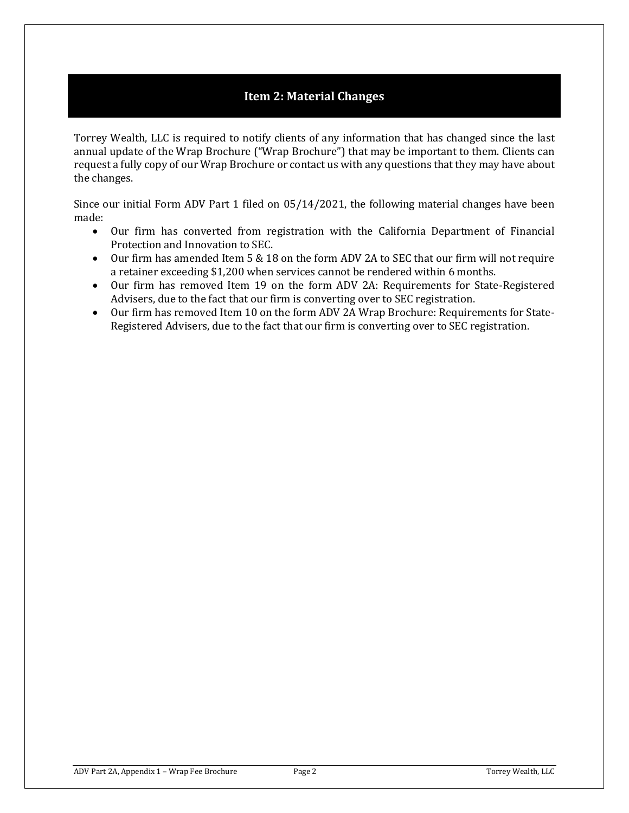# **Item 2: Material Changes**

<span id="page-22-0"></span>Torrey Wealth, LLC is required to notify clients of any information that has changed since the last annual update of the Wrap Brochure ("Wrap Brochure") that may be important to them. Clients can request a fully copy of our Wrap Brochure or contact us with any questions that they may have about the changes.

Since our initial Form ADV Part 1 filed on 05/14/2021, the following material changes have been made:

- Our firm has converted from registration with the California Department of Financial Protection and Innovation to SEC.
- Our firm has amended Item 5 & 18 on the form ADV 2A to SEC that our firm will not require a retainer exceeding \$1,200 when services cannot be rendered within 6 months.
- Our firm has removed Item 19 on the form ADV 2A: Requirements for State-Registered Advisers, due to the fact that our firm is converting over to SEC registration.
- Our firm has removed Item 10 on the form ADV 2A Wrap Brochure: Requirements for State-Registered Advisers, due to the fact that our firm is converting over to SEC registration.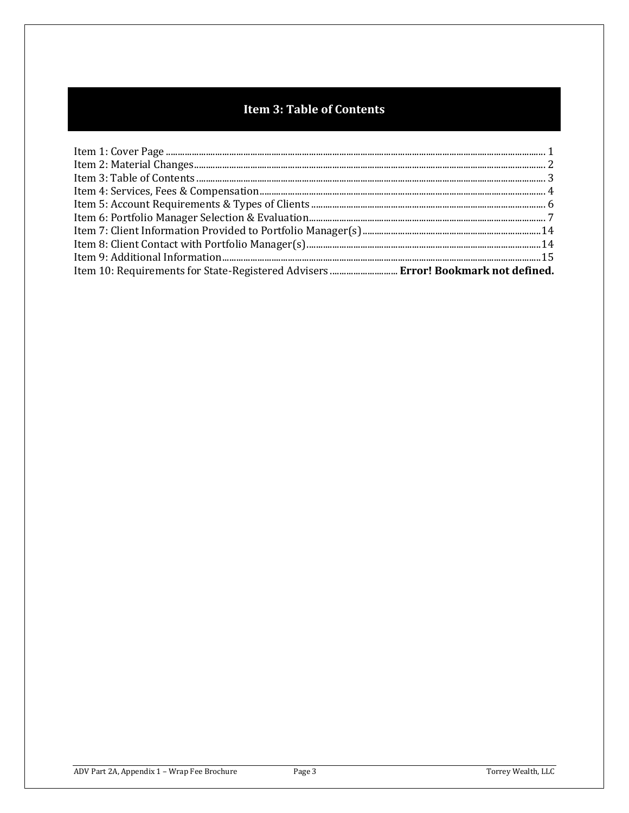# **Item 3: Table of Contents**

<span id="page-23-0"></span>

| Item 10: Requirements for State-Registered Advisers  Error! Bookmark not defined. |  |
|-----------------------------------------------------------------------------------|--|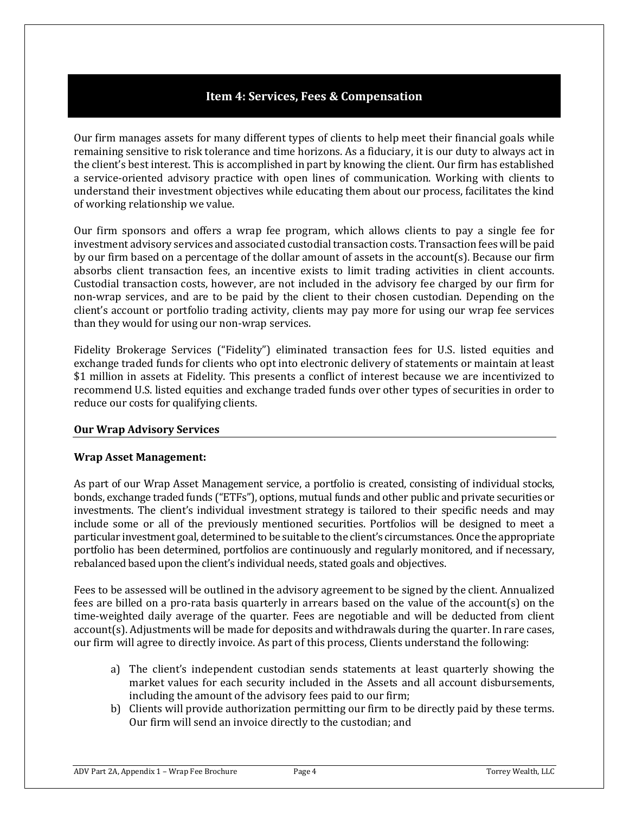### **Item 4: Services, Fees & Compensation**

<span id="page-24-0"></span>Our firm manages assets for many different types of clients to help meet their financial goals while remaining sensitive to risk tolerance and time horizons. As a fiduciary, it is our duty to always act in the client's best interest. This is accomplished in part by knowing the client. Our firm has established a service-oriented advisory practice with open lines of communication. Working with clients to understand their investment objectives while educating them about our process, facilitates the kind of working relationship we value.

Our firm sponsors and offers a wrap fee program, which allows clients to pay a single fee for investment advisory services and associated custodial transaction costs. Transaction fees will be paid by our firm based on a percentage of the dollar amount of assets in the account(s). Because our firm absorbs client transaction fees, an incentive exists to limit trading activities in client accounts. Custodial transaction costs, however, are not included in the advisory fee charged by our firm for non-wrap services, and are to be paid by the client to their chosen custodian. Depending on the client's account or portfolio trading activity, clients may pay more for using our wrap fee services than they would for using our non-wrap services.

Fidelity Brokerage Services ("Fidelity") eliminated transaction fees for U.S. listed equities and exchange traded funds for clients who opt into electronic delivery of statements or maintain at least \$1 million in assets at Fidelity. This presents a conflict of interest because we are incentivized to recommend U.S. listed equities and exchange traded funds over other types of securities in order to reduce our costs for qualifying clients.

#### **Our Wrap Advisory Services**

### **Wrap Asset Management:**

As part of our Wrap Asset Management service, a portfolio is created, consisting of individual stocks, bonds, exchange traded funds ("ETFs"), options, mutual funds and other public and private securities or investments. The client's individual investment strategy is tailored to their specific needs and may include some or all of the previously mentioned securities. Portfolios will be designed to meet a particular investment goal, determined to be suitable to the client's circumstances. Once the appropriate portfolio has been determined, portfolios are continuously and regularly monitored, and if necessary, rebalanced based upon the client's individual needs, stated goals and objectives.

Fees to be assessed will be outlined in the advisory agreement to be signed by the client. Annualized fees are billed on a pro-rata basis quarterly in arrears based on the value of the account(s) on the time-weighted daily average of the quarter. Fees are negotiable and will be deducted from client account(s). Adjustments will be made for deposits and withdrawals during the quarter. In rare cases, our firm will agree to directly invoice. As part of this process, Clients understand the following:

- a) The client's independent custodian sends statements at least quarterly showing the market values for each security included in the Assets and all account disbursements, including the amount of the advisory fees paid to our firm;
- b) Clients will provide authorization permitting our firm to be directly paid by these terms. Our firm will send an invoice directly to the custodian; and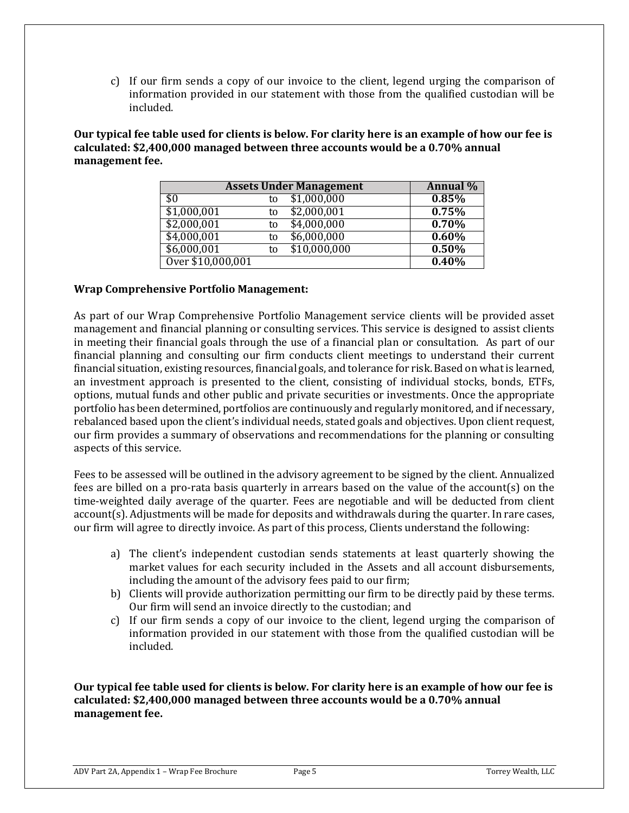c) If our firm sends a copy of our invoice to the client, legend urging the comparison of information provided in our statement with those from the qualified custodian will be included.

**Our typical fee table used for clients is below. For clarity here is an example of how our fee is calculated: \$2,400,000 managed between three accounts would be a 0.70% annual management fee.**

| <b>Assets Under Management</b> | Annual % |              |          |
|--------------------------------|----------|--------------|----------|
| \$0                            | to       | \$1,000,000  | 0.85%    |
| \$1,000,001                    | to       | \$2,000,001  | 0.75%    |
| \$2,000,001                    | to       | \$4,000,000  | 0.70%    |
| \$4,000,001                    | to       | \$6,000,000  | $0.60\%$ |
| \$6,000,001                    | to       | \$10,000,000 | 0.50%    |
| Over \$10,000,001              |          |              | 0.40%    |

#### **Wrap Comprehensive Portfolio Management:**

As part of our Wrap Comprehensive Portfolio Management service clients will be provided asset management and financial planning or consulting services. This service is designed to assist clients in meeting their financial goals through the use of a financial plan or consultation. As part of our financial planning and consulting our firm conducts client meetings to understand their current financial situation, existing resources, financial goals, and tolerance for risk. Based on what is learned, an investment approach is presented to the client, consisting of individual stocks, bonds, ETFs, options, mutual funds and other public and private securities or investments. Once the appropriate portfolio has been determined, portfolios are continuously and regularly monitored, and if necessary, rebalanced based upon the client's individual needs, stated goals and objectives. Upon client request, our firm provides a summary of observations and recommendations for the planning or consulting aspects of this service.

Fees to be assessed will be outlined in the advisory agreement to be signed by the client. Annualized fees are billed on a pro-rata basis quarterly in arrears based on the value of the account(s) on the time-weighted daily average of the quarter. Fees are negotiable and will be deducted from client account(s). Adjustments will be made for deposits and withdrawals during the quarter. In rare cases, our firm will agree to directly invoice. As part of this process, Clients understand the following:

- a) The client's independent custodian sends statements at least quarterly showing the market values for each security included in the Assets and all account disbursements, including the amount of the advisory fees paid to our firm;
- b) Clients will provide authorization permitting our firm to be directly paid by these terms. Our firm will send an invoice directly to the custodian; and
- c) If our firm sends a copy of our invoice to the client, legend urging the comparison of information provided in our statement with those from the qualified custodian will be included.

**Our typical fee table used for clients is below. For clarity here is an example of how our fee is calculated: \$2,400,000 managed between three accounts would be a 0.70% annual management fee.**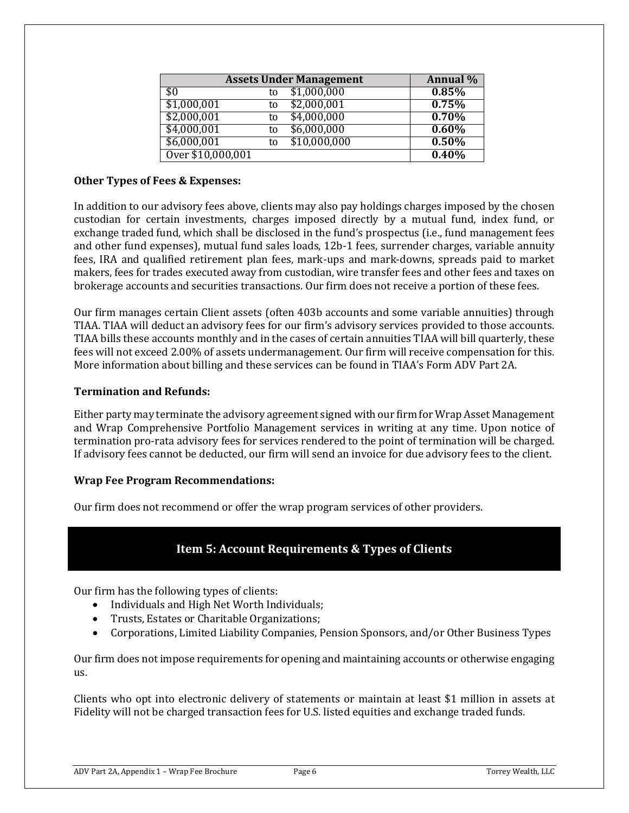| <b>Assets Under Management</b> |    |              |  | Annual % |
|--------------------------------|----|--------------|--|----------|
| \$0                            | to | \$1,000,000  |  | 0.85%    |
| \$1,000,001                    | to | \$2,000,001  |  | 0.75%    |
| \$2,000,001                    | to | \$4,000,000  |  | 0.70%    |
| \$4,000,001                    | to | \$6,000,000  |  | 0.60%    |
| \$6,000,001                    | to | \$10,000,000 |  | 0.50%    |
| Over \$10,000,001              |    |              |  | 0.40%    |

### **Other Types of Fees & Expenses:**

In addition to our advisory fees above, clients may also pay holdings charges imposed by the chosen custodian for certain investments, charges imposed directly by a mutual fund, index fund, or exchange traded fund, which shall be disclosed in the fund's prospectus (i.e., fund management fees and other fund expenses), mutual fund sales loads, 12b-1 fees, surrender charges, variable annuity fees, IRA and qualified retirement plan fees, mark-ups and mark-downs, spreads paid to market makers, fees for trades executed away from custodian, wire transfer fees and other fees and taxes on brokerage accounts and securities transactions. Our firm does not receive a portion of these fees.

Our firm manages certain Client assets (often 403b accounts and some variable annuities) through TIAA. TIAA will deduct an advisory fees for our firm's advisory services provided to those accounts. TIAA bills these accounts monthly and in the cases of certain annuities TIAA will bill quarterly, these fees will not exceed 2.00% of assets undermanagement. Our firm will receive compensation for this. More information about billing and these services can be found in TIAA's Form ADV Part 2A.

### **Termination and Refunds:**

Either party may terminate the advisory agreement signed with our firm for Wrap Asset Management and Wrap Comprehensive Portfolio Management services in writing at any time. Upon notice of termination pro-rata advisory fees for services rendered to the point of termination will be charged. If advisory fees cannot be deducted, our firm will send an invoice for due advisory fees to the client.

#### **Wrap Fee Program Recommendations:**

<span id="page-26-0"></span>Our firm does not recommend or offer the wrap program services of other providers.

# **Item 5: Account Requirements & Types of Clients**

Our firm has the following types of clients:

- Individuals and High Net Worth Individuals;
- Trusts, Estates or Charitable Organizations;
- Corporations, Limited Liability Companies, Pension Sponsors, and/or Other Business Types

Our firm does not impose requirements for opening and maintaining accounts or otherwise engaging us.

Clients who opt into electronic delivery of statements or maintain at least \$1 million in assets at Fidelity will not be charged transaction fees for U.S. listed equities and exchange traded funds.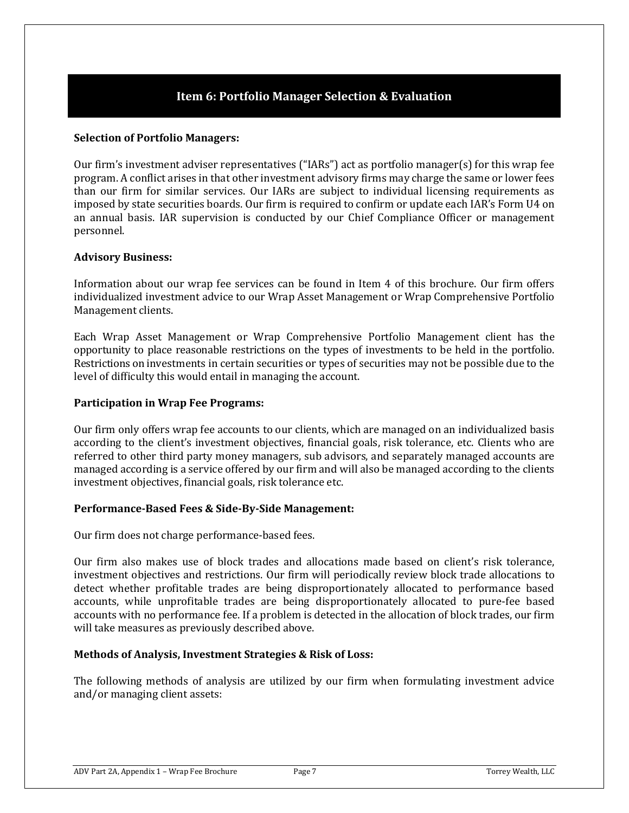# **Item 6: Portfolio Manager Selection & Evaluation**

### <span id="page-27-0"></span>**Selection of Portfolio Managers:**

Our firm's investment adviser representatives ("IARs") act as portfolio manager(s) for this wrap fee program. A conflict arises in that other investment advisory firms may charge the same or lower fees than our firm for similar services. Our IARs are subject to individual licensing requirements as imposed by state securities boards. Our firm is required to confirm or update each IAR's Form U4 on an annual basis. IAR supervision is conducted by our Chief Compliance Officer or management personnel.

#### **Advisory Business:**

Information about our wrap fee services can be found in Item 4 of this brochure. Our firm offers individualized investment advice to our Wrap Asset Management or Wrap Comprehensive Portfolio Management clients.

Each Wrap Asset Management or Wrap Comprehensive Portfolio Management client has the opportunity to place reasonable restrictions on the types of investments to be held in the portfolio. Restrictions on investments in certain securities or types of securities may not be possible due to the level of difficulty this would entail in managing the account.

### **Participation in Wrap Fee Programs:**

Our firm only offers wrap fee accounts to our clients, which are managed on an individualized basis according to the client's investment objectives, financial goals, risk tolerance, etc. Clients who are referred to other third party money managers, sub advisors, and separately managed accounts are managed according is a service offered by our firm and will also be managed according to the clients investment objectives, financial goals, risk tolerance etc.

#### **Performance-Based Fees & Side-By-Side Management:**

Our firm does not charge performance-based fees.

Our firm also makes use of block trades and allocations made based on client's risk tolerance, investment objectives and restrictions. Our firm will periodically review block trade allocations to detect whether profitable trades are being disproportionately allocated to performance based accounts, while unprofitable trades are being disproportionately allocated to pure-fee based accounts with no performance fee. If a problem is detected in the allocation of block trades, our firm will take measures as previously described above.

#### **Methods of Analysis, Investment Strategies & Risk of Loss:**

The following methods of analysis are utilized by our firm when formulating investment advice and/or managing client assets: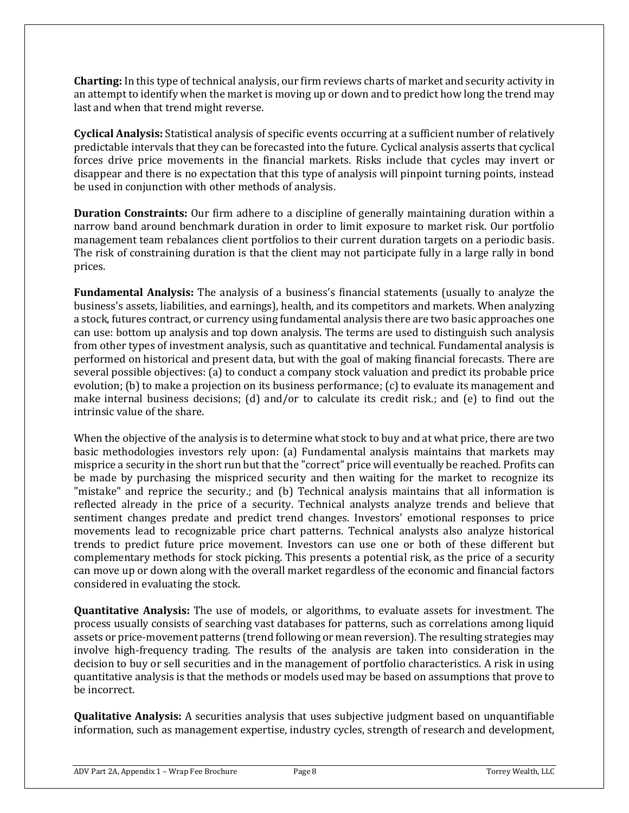**Charting:** In this type of technical analysis, our firm reviews charts of market and security activity in an attempt to identify when the market is moving up or down and to predict how long the trend may last and when that trend might reverse.

**Cyclical Analysis:** Statistical analysis of specific events occurring at a sufficient number of relatively predictable intervals that they can be forecasted into the future. Cyclical analysis asserts that cyclical forces drive price movements in the financial markets. Risks include that cycles may invert or disappear and there is no expectation that this type of analysis will pinpoint turning points, instead be used in conjunction with other methods of analysis.

**Duration Constraints:** Our firm adhere to a discipline of generally maintaining duration within a narrow band around benchmark duration in order to limit exposure to market risk. Our portfolio management team rebalances client portfolios to their current duration targets on a periodic basis. The risk of constraining duration is that the client may not participate fully in a large rally in bond prices.

**Fundamental Analysis:** The analysis of a business's financial statements (usually to analyze the business's assets, liabilities, and earnings), health, and its competitors and markets. When analyzing a stock, futures contract, or currency using fundamental analysis there are two basic approaches one can use: bottom up analysis and top down analysis. The terms are used to distinguish such analysis from other types of investment analysis, such as quantitative and technical. Fundamental analysis is performed on historical and present data, but with the goal of making financial forecasts. There are several possible objectives: (a) to conduct a company stock valuation and predict its probable price evolution; (b) to make a projection on its business performance; (c) to evaluate its management and make internal business decisions; (d) and/or to calculate its credit risk.; and (e) to find out the intrinsic value of the share.

When the objective of the analysis is to determine what stock to buy and at what price, there are two basic methodologies investors rely upon: (a) Fundamental analysis maintains that markets may misprice a security in the short run but that the "correct" price will eventually be reached. Profits can be made by purchasing the mispriced security and then waiting for the market to recognize its "mistake" and reprice the security.; and (b) Technical analysis maintains that all information is reflected already in the price of a security. Technical analysts analyze trends and believe that sentiment changes predate and predict trend changes. Investors' emotional responses to price movements lead to recognizable price chart patterns. Technical analysts also analyze historical trends to predict future price movement. Investors can use one or both of these different but complementary methods for stock picking. This presents a potential risk, as the price of a security can move up or down along with the overall market regardless of the economic and financial factors considered in evaluating the stock.

**Quantitative Analysis:** The use of models, or algorithms, to evaluate assets for investment. The process usually consists of searching vast databases for patterns, such as correlations among liquid assets or price-movement patterns (trend following or mean reversion). The resulting strategies may involve high-frequency trading. The results of the analysis are taken into consideration in the decision to buy or sell securities and in the management of portfolio characteristics. A risk in using quantitative analysis is that the methods or models used may be based on assumptions that prove to be incorrect.

**Qualitative Analysis:** A securities analysis that uses subjective judgment based on unquantifiable information, such as management expertise, industry cycles, strength of research and development,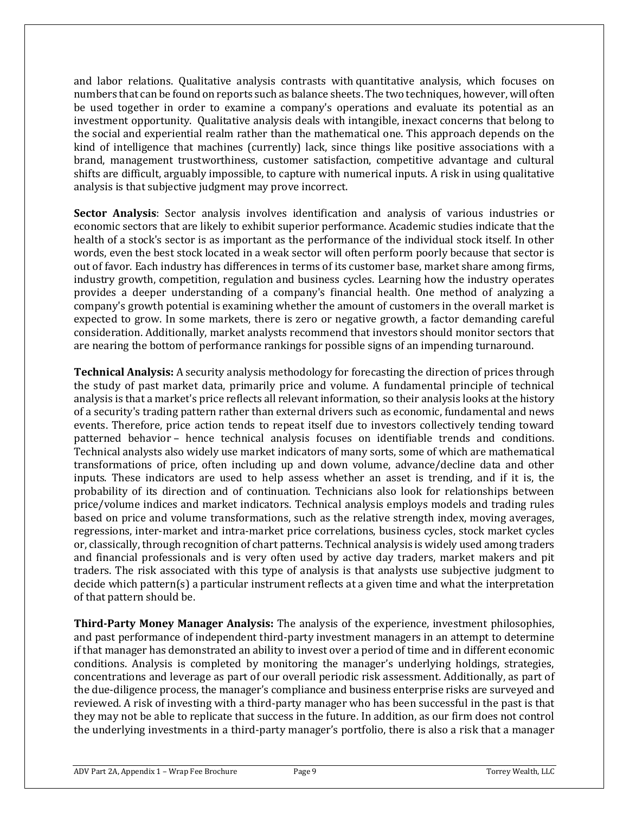and labor relations. Qualitative analysis contrasts with quantitative analysis, which focuses on numbers that can be found on reports such as balance sheets. The two techniques, however, will often be used together in order to examine a company's operations and evaluate its potential as an investment opportunity. Qualitative analysis deals with intangible, inexact concerns that belong to the social and experiential realm rather than the mathematical one. This approach depends on the kind of intelligence that machines (currently) lack, since things like positive associations with a brand, management trustworthiness, customer satisfaction, competitive advantage and cultural shifts are difficult, arguably impossible, to capture with numerical inputs. A risk in using qualitative analysis is that subjective judgment may prove incorrect.

**Sector Analysis**: Sector analysis involves identification and analysis of various industries or economic sectors that are likely to exhibit superior performance. Academic studies indicate that the health of a stock's sector is as important as the performance of the individual stock itself. In other words, even the best stock located in a weak sector will often perform poorly because that sector is out of favor. Each industry has differences in terms of its customer base, market share among firms, industry growth, competition, regulation and business cycles. Learning how the industry operates provides a deeper understanding of a company's financial health. One method of analyzing a company's growth potential is examining whether the amount of customers in the overall market is expected to grow. In some markets, there is zero or negative growth, a factor demanding careful consideration. Additionally, market analysts recommend that investors should monitor sectors that are nearing the bottom of performance rankings for possible signs of an impending turnaround.

**Technical Analysis:** A security analysis methodology for forecasting the direction of prices through the study of past market data, primarily price and volume. A fundamental principle of technical analysis is that a market's price reflects all relevant information, so their analysis looks at the history of a security's trading pattern rather than external drivers such as economic, fundamental and news events. Therefore, price action tends to repeat itself due to investors collectively tending toward patterned behavior – hence technical analysis focuses on identifiable trends and conditions. Technical analysts also widely use market indicators of many sorts, some of which are mathematical transformations of price, often including up and down volume, advance/decline data and other inputs. These indicators are used to help assess whether an asset is trending, and if it is, the probability of its direction and of continuation. Technicians also look for relationships between price/volume indices and market indicators. Technical analysis employs models and trading rules based on price and volume transformations, such as the relative strength index, moving averages, regressions, inter-market and intra-market price correlations, business cycles, stock market cycles or, classically, through recognition of chart patterns. Technical analysis is widely used among traders and financial professionals and is very often used by active day traders, market makers and pit traders. The risk associated with this type of analysis is that analysts use subjective judgment to decide which pattern(s) a particular instrument reflects at a given time and what the interpretation of that pattern should be.

**Third-Party Money Manager Analysis:** The analysis of the experience, investment philosophies, and past performance of independent third-party investment managers in an attempt to determine if that manager has demonstrated an ability to invest over a period of time and in different economic conditions. Analysis is completed by monitoring the manager's underlying holdings, strategies, concentrations and leverage as part of our overall periodic risk assessment. Additionally, as part of the due-diligence process, the manager's compliance and business enterprise risks are surveyed and reviewed. A risk of investing with a third-party manager who has been successful in the past is that they may not be able to replicate that success in the future. In addition, as our firm does not control the underlying investments in a third-party manager's portfolio, there is also a risk that a manager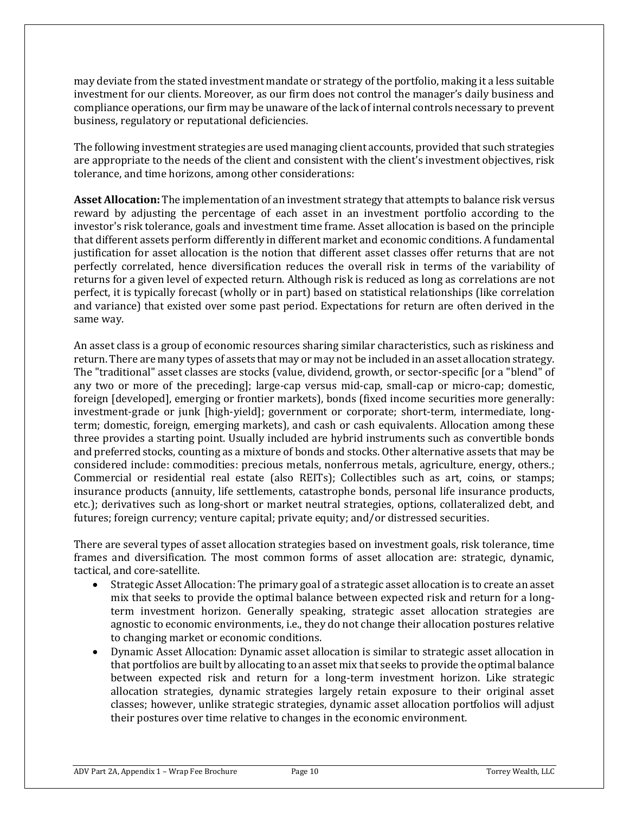may deviate from the stated investment mandate or strategy of the portfolio, making it a less suitable investment for our clients. Moreover, as our firm does not control the manager's daily business and compliance operations, our firm may be unaware of the lack of internal controls necessary to prevent business, regulatory or reputational deficiencies.

The following investment strategies are used managing client accounts, provided that such strategies are appropriate to the needs of the client and consistent with the client's investment objectives, risk tolerance, and time horizons, among other considerations:

**Asset Allocation:** The implementation of an investment strategy that attempts to balance risk versus reward by adjusting the percentage of each asset in an investment portfolio according to the investor's risk tolerance, goals and investment time frame. Asset allocation is based on the principle that different assets perform differently in different market and economic conditions. A fundamental justification for asset allocation is the notion that different asset classes offer returns that are not perfectly correlated, hence diversification reduces the overall risk in terms of the variability of returns for a given level of expected return. Although risk is reduced as long as correlations are not perfect, it is typically forecast (wholly or in part) based on statistical relationships (like correlation and variance) that existed over some past period. Expectations for return are often derived in the same way.

An asset class is a group of economic resources sharing similar characteristics, such as riskiness and return. There are many types of assets that may or may not be included in an asset allocation strategy. The "traditional" asset classes are stocks (value, dividend, growth, or sector-specific [or a "blend" of any two or more of the preceding]; large-cap versus mid-cap, small-cap or micro-cap; domestic, foreign [developed], emerging or frontier markets), bonds (fixed income securities more generally: investment-grade or junk [high-yield]; government or corporate; short-term, intermediate, longterm; domestic, foreign, emerging markets), and cash or cash equivalents. Allocation among these three provides a starting point. Usually included are hybrid instruments such as convertible bonds and preferred stocks, counting as a mixture of bonds and stocks. Other alternative assets that may be considered include: commodities: precious metals, nonferrous metals, agriculture, energy, others.; Commercial or residential real estate (also REITs); Collectibles such as art, coins, or stamps; insurance products (annuity, life settlements, catastrophe bonds, personal life insurance products, etc.); derivatives such as long-short or market neutral strategies, options, collateralized debt, and futures; foreign currency; venture capital; private equity; and/or distressed securities.

There are several types of asset allocation strategies based on investment goals, risk tolerance, time frames and diversification. The most common forms of asset allocation are: strategic, dynamic, tactical, and core-satellite.

- Strategic Asset Allocation: The primary goal of a strategic asset allocation is to create an asset mix that seeks to provide the optimal balance between expected risk and return for a longterm investment horizon. Generally speaking, strategic asset allocation strategies are agnostic to economic environments, i.e., they do not change their allocation postures relative to changing market or economic conditions.
- Dynamic Asset Allocation: Dynamic asset allocation is similar to strategic asset allocation in that portfolios are built by allocating to an asset mix that seeks to provide the optimal balance between expected risk and return for a long-term investment horizon. Like strategic allocation strategies, dynamic strategies largely retain exposure to their original asset classes; however, unlike strategic strategies, dynamic asset allocation portfolios will adjust their postures over time relative to changes in the economic environment.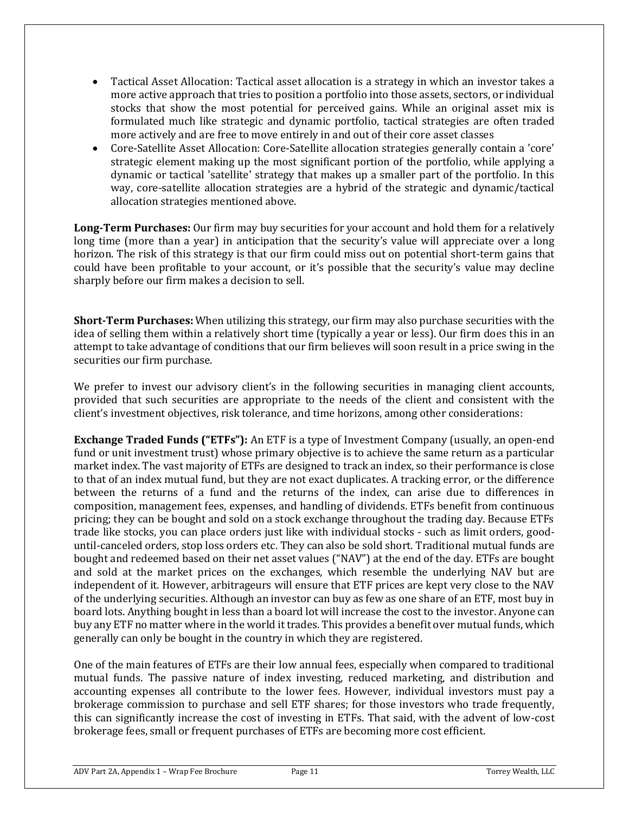- Tactical Asset Allocation: Tactical asset allocation is a strategy in which an investor takes a more active approach that tries to position a portfolio into those assets, sectors, or individual stocks that show the most potential for perceived gains. While an original asset mix is formulated much like strategic and dynamic portfolio, tactical strategies are often traded more actively and are free to move entirely in and out of their core asset classes
- Core-Satellite Asset Allocation: Core-Satellite allocation strategies generally contain a 'core' strategic element making up the most significant portion of the portfolio, while applying a dynamic or tactical 'satellite' strategy that makes up a smaller part of the portfolio. In this way, core-satellite allocation strategies are a hybrid of the strategic and dynamic/tactical allocation strategies mentioned above.

**Long-Term Purchases:** Our firm may buy securities for your account and hold them for a relatively long time (more than a year) in anticipation that the security's value will appreciate over a long horizon. The risk of this strategy is that our firm could miss out on potential short-term gains that could have been profitable to your account, or it's possible that the security's value may decline sharply before our firm makes a decision to sell.

**Short-Term Purchases:** When utilizing this strategy, our firm may also purchase securities with the idea of selling them within a relatively short time (typically a year or less). Our firm does this in an attempt to take advantage of conditions that our firm believes will soon result in a price swing in the securities our firm purchase.

We prefer to invest our advisory client's in the following securities in managing client accounts, provided that such securities are appropriate to the needs of the client and consistent with the client's investment objectives, risk tolerance, and time horizons, among other considerations:

**Exchange Traded Funds ("ETFs"):** An ETF is a type of Investment Company (usually, an open-end fund or unit investment trust) whose primary objective is to achieve the same return as a particular market index. The vast majority of ETFs are designed to track an index, so their performance is close to that of an index mutual fund, but they are not exact duplicates. A tracking error, or the difference between the returns of a fund and the returns of the index, can arise due to differences in composition, management fees, expenses, and handling of dividends. ETFs benefit from continuous pricing; they can be bought and sold on a stock exchange throughout the trading day. Because ETFs trade like stocks, you can place orders just like with individual stocks - such as limit orders, gooduntil-canceled orders, stop loss orders etc. They can also be sold short. Traditional mutual funds are bought and redeemed based on their net asset values ("NAV") at the end of the day. ETFs are bought and sold at the market prices on the exchanges, which resemble the underlying NAV but are independent of it. However, arbitrageurs will ensure that ETF prices are kept very close to the NAV of the underlying securities. Although an investor can buy as few as one share of an ETF, most buy in board lots. Anything bought in less than a board lot will increase the cost to the investor. Anyone can buy any ETF no matter where in the world it trades. This provides a benefit over mutual funds, which generally can only be bought in the country in which they are registered.

One of the main features of ETFs are their low annual fees, especially when compared to traditional mutual funds. The passive nature of index investing, reduced marketing, and distribution and accounting expenses all contribute to the lower fees. However, individual investors must pay a brokerage commission to purchase and sell ETF shares; for those investors who trade frequently, this can significantly increase the cost of investing in ETFs. That said, with the advent of low-cost brokerage fees, small or frequent purchases of ETFs are becoming more cost efficient.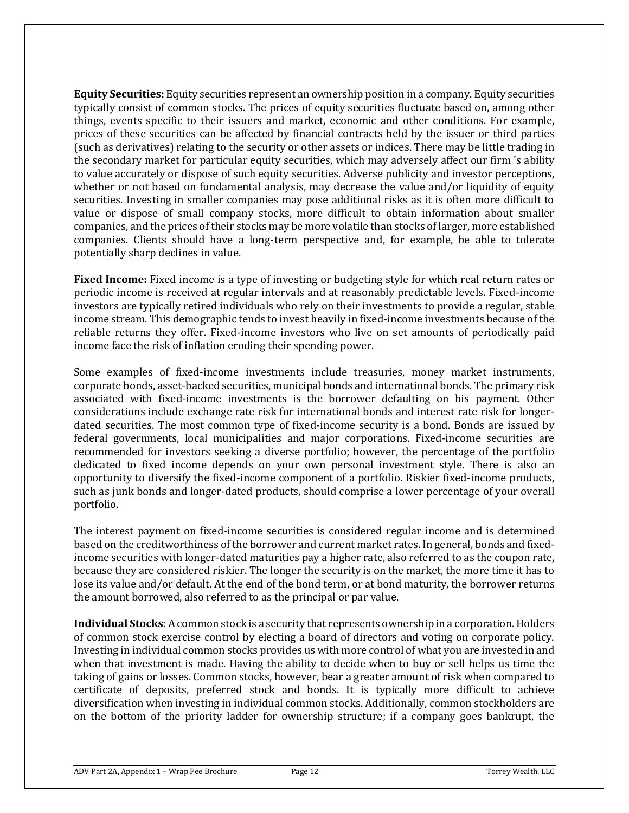**Equity Securities:** Equity securities represent an ownership position in a company. Equity securities typically consist of common stocks. The prices of equity securities fluctuate based on, among other things, events specific to their issuers and market, economic and other conditions. For example, prices of these securities can be affected by financial contracts held by the issuer or third parties (such as derivatives) relating to the security or other assets or indices. There may be little trading in the secondary market for particular equity securities, which may adversely affect our firm 's ability to value accurately or dispose of such equity securities. Adverse publicity and investor perceptions, whether or not based on fundamental analysis, may decrease the value and/or liquidity of equity securities. Investing in smaller companies may pose additional risks as it is often more difficult to value or dispose of small company stocks, more difficult to obtain information about smaller companies, and the prices of their stocks may be more volatile than stocks of larger, more established companies. Clients should have a long-term perspective and, for example, be able to tolerate potentially sharp declines in value.

**Fixed Income:** Fixed income is a type of investing or budgeting style for which real return rates or periodic income is received at regular intervals and at reasonably predictable levels. Fixed-income investors are typically retired individuals who rely on their investments to provide a regular, stable income stream. This demographic tends to invest heavily in fixed-income investments because of the reliable returns they offer. Fixed-income investors who live on set amounts of periodically paid income face the risk of inflation eroding their spending power.

Some examples of fixed-income investments include treasuries, money market instruments, corporate bonds, asset-backed securities, municipal bonds and international bonds. The primary risk associated with fixed-income investments is the borrower defaulting on his payment. Other considerations include exchange rate risk for international bonds and interest rate risk for longerdated securities. The most common type of fixed-income security is a bond. Bonds are issued by federal governments, local municipalities and major corporations. Fixed-income securities are recommended for investors seeking a diverse portfolio; however, the percentage of the portfolio dedicated to fixed income depends on your own personal investment style. There is also an opportunity to diversify the fixed-income component of a portfolio. Riskier fixed-income products, such as junk bonds and longer-dated products, should comprise a lower percentage of your overall portfolio.

The interest payment on fixed-income securities is considered regular income and is determined based on the creditworthiness of the borrower and current market rates. In general, bonds and fixedincome securities with longer-dated maturities pay a higher rate, also referred to as the coupon rate, because they are considered riskier. The longer the security is on the market, the more time it has to lose its value and/or default. At the end of the bond term, or at bond maturity, the borrower returns the amount borrowed, also referred to as the principal or par value.

**Individual Stocks**: A common stock is a security that represents ownership in a corporation. Holders of common stock exercise control by electing a board of directors and voting on corporate policy. Investing in individual common stocks provides us with more control of what you are invested in and when that investment is made. Having the ability to decide when to buy or sell helps us time the taking of gains or losses. Common stocks, however, bear a greater amount of risk when compared to certificate of deposits, preferred stock and bonds. It is typically more difficult to achieve diversification when investing in individual common stocks. Additionally, common stockholders are on the bottom of the priority ladder for ownership structure; if a company goes bankrupt, the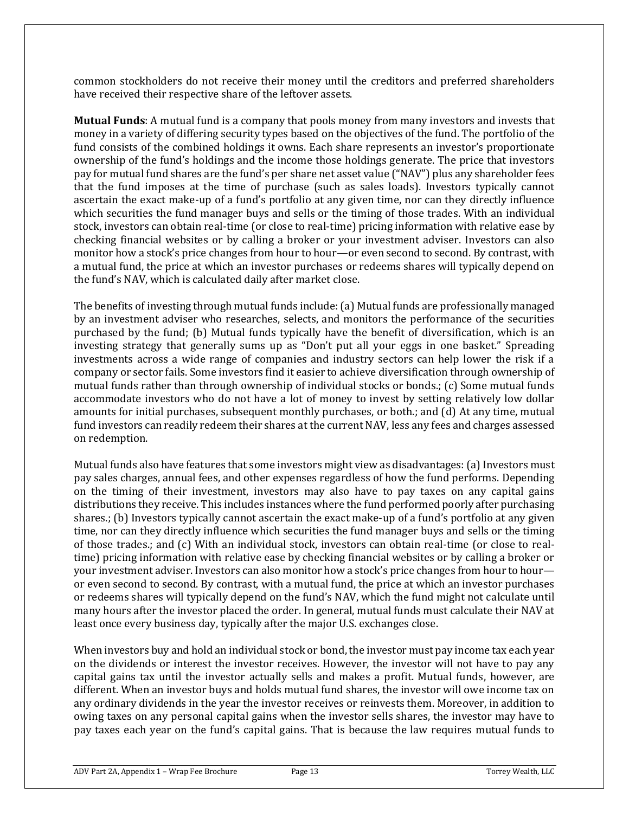common stockholders do not receive their money until the creditors and preferred shareholders have received their respective share of the leftover assets.

**Mutual Funds**: A mutual fund is a company that pools money from many investors and invests that money in a variety of differing security types based on the objectives of the fund. The portfolio of the fund consists of the combined holdings it owns. Each share represents an investor's proportionate ownership of the fund's holdings and the income those holdings generate. The price that investors pay for mutual fund shares are the fund's per share net asset value ("NAV") plus any shareholder fees that the fund imposes at the time of purchase (such as sales loads). Investors typically cannot ascertain the exact make-up of a fund's portfolio at any given time, nor can they directly influence which securities the fund manager buys and sells or the timing of those trades. With an individual stock, investors can obtain real-time (or close to real-time) pricing information with relative ease by checking financial websites or by calling a broker or your investment adviser. Investors can also monitor how a stock's price changes from hour to hour—or even second to second. By contrast, with a mutual fund, the price at which an investor purchases or redeems shares will typically depend on the fund's NAV, which is calculated daily after market close.

The benefits of investing through mutual funds include: (a) Mutual funds are professionally managed by an investment adviser who researches, selects, and monitors the performance of the securities purchased by the fund; (b) Mutual funds typically have the benefit of diversification, which is an investing strategy that generally sums up as "Don't put all your eggs in one basket." Spreading investments across a wide range of companies and industry sectors can help lower the risk if a company or sector fails. Some investors find it easier to achieve diversification through ownership of mutual funds rather than through ownership of individual stocks or bonds.; (c) Some mutual funds accommodate investors who do not have a lot of money to invest by setting relatively low dollar amounts for initial purchases, subsequent monthly purchases, or both.; and (d) At any time, mutual fund investors can readily redeem their shares at the current NAV, less any fees and charges assessed on redemption.

Mutual funds also have features that some investors might view as disadvantages: (a) Investors must pay sales charges, annual fees, and other expenses regardless of how the fund performs. Depending on the timing of their investment, investors may also have to pay taxes on any capital gains distributions they receive. This includes instances where the fund performed poorly after purchasing shares.; (b) Investors typically cannot ascertain the exact make-up of a fund's portfolio at any given time, nor can they directly influence which securities the fund manager buys and sells or the timing of those trades.; and (c) With an individual stock, investors can obtain real-time (or close to realtime) pricing information with relative ease by checking financial websites or by calling a broker or your investment adviser. Investors can also monitor how a stock's price changes from hour to hour or even second to second. By contrast, with a mutual fund, the price at which an investor purchases or redeems shares will typically depend on the fund's NAV, which the fund might not calculate until many hours after the investor placed the order. In general, mutual funds must calculate their NAV at least once every business day, typically after the major U.S. exchanges close.

When investors buy and hold an individual stock or bond, the investor must pay income tax each year on the dividends or interest the investor receives. However, the investor will not have to pay any capital gains tax until the investor actually sells and makes a profit. Mutual funds, however, are different. When an investor buys and holds mutual fund shares, the investor will owe income tax on any ordinary dividends in the year the investor receives or reinvests them. Moreover, in addition to owing taxes on any personal capital gains when the investor sells shares, the investor may have to pay taxes each year on the fund's capital gains. That is because the law requires mutual funds to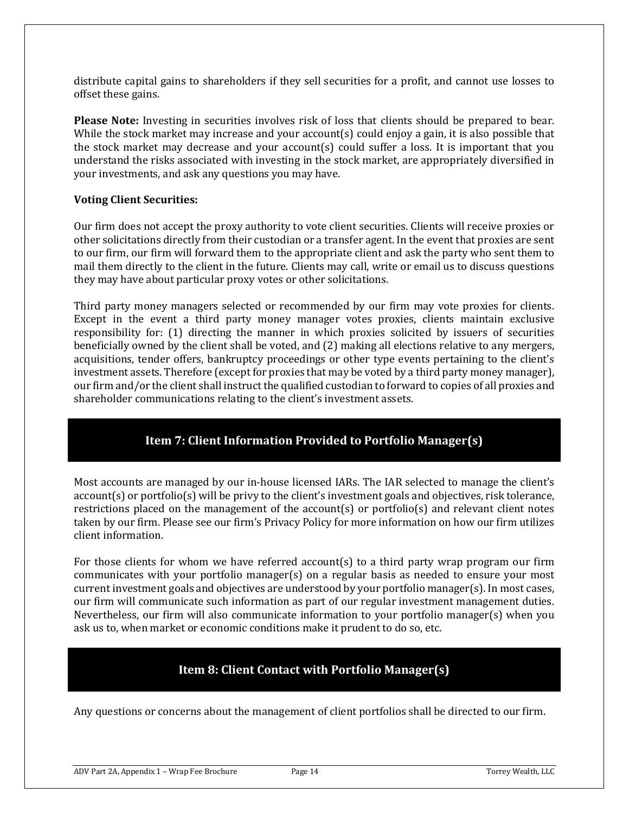distribute capital gains to shareholders if they sell securities for a profit, and cannot use losses to offset these gains.

**Please Note:** Investing in securities involves risk of loss that clients should be prepared to bear. While the stock market may increase and your account(s) could enjoy a gain, it is also possible that the stock market may decrease and your account(s) could suffer a loss. It is important that you understand the risks associated with investing in the stock market, are appropriately diversified in your investments, and ask any questions you may have.

### **Voting Client Securities:**

Our firm does not accept the proxy authority to vote client securities. Clients will receive proxies or other solicitations directly from their custodian or a transfer agent. In the event that proxies are sent to our firm, our firm will forward them to the appropriate client and ask the party who sent them to mail them directly to the client in the future. Clients may call, write or email us to discuss questions they may have about particular proxy votes or other solicitations.

Third party money managers selected or recommended by our firm may vote proxies for clients. Except in the event a third party money manager votes proxies, clients maintain exclusive responsibility for: (1) directing the manner in which proxies solicited by issuers of securities beneficially owned by the client shall be voted, and (2) making all elections relative to any mergers, acquisitions, tender offers, bankruptcy proceedings or other type events pertaining to the client's investment assets. Therefore (except for proxies that may be voted by a third party money manager), our firm and/or the client shall instruct the qualified custodian to forward to copies of all proxies and shareholder communications relating to the client's investment assets.

## **Item 7: Client Information Provided to Portfolio Manager(s)**

<span id="page-34-0"></span>Most accounts are managed by our in-house licensed IARs. The IAR selected to manage the client's account(s) or portfolio(s) will be privy to the client's investment goals and objectives, risk tolerance, restrictions placed on the management of the account(s) or portfolio(s) and relevant client notes taken by our firm. Please see our firm's Privacy Policy for more information on how our firm utilizes client information.

For those clients for whom we have referred account(s) to a third party wrap program our firm communicates with your portfolio manager(s) on a regular basis as needed to ensure your most current investment goals and objectives are understood by your portfolio manager(s). In most cases, our firm will communicate such information as part of our regular investment management duties. Nevertheless, our firm will also communicate information to your portfolio manager(s) when you ask us to, when market or economic conditions make it prudent to do so, etc.

# **Item 8: Client Contact with Portfolio Manager(s)**

<span id="page-34-1"></span>Any questions or concerns about the management of client portfolios shall be directed to our firm.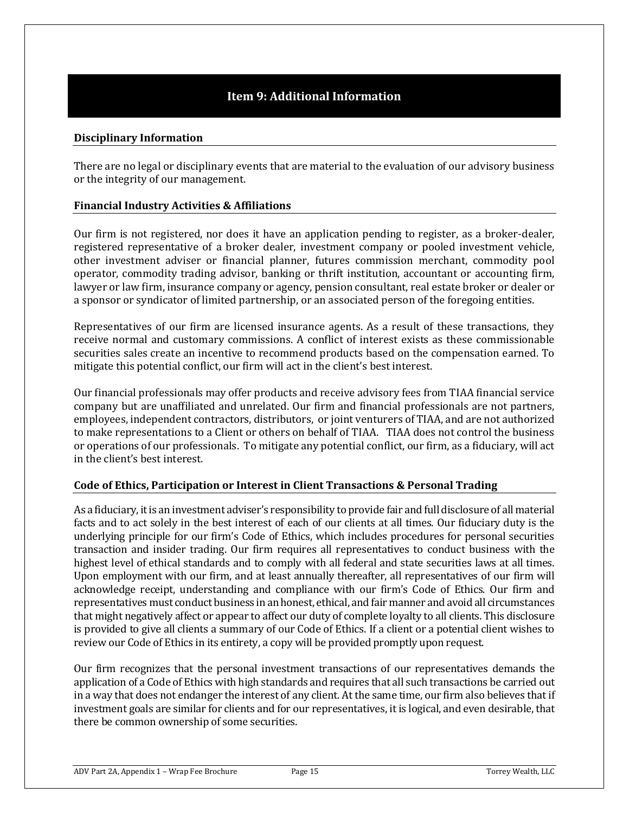# **Item 9: Additional Information**

### <span id="page-35-0"></span>**Disciplinary Information**

There are no legal or disciplinary events that are material to the evaluation of our advisory business or the integrity of our management.

#### **Financial Industry Activities & Affiliations**

Our firm is not registered, nor does it have an application pending to register, as a broker-dealer, registered representative of a broker dealer, investment company or pooled investment vehicle, other investment adviser or financial planner, futures commission merchant, commodity pool operator, commodity trading advisor, banking or thrift institution, accountant or accounting firm, lawyer or law firm, insurance company or agency, pension consultant, real estate broker or dealer or a sponsor or syndicator of limited partnership, or an associated person of the foregoing entities.

Representatives of our firm are licensed insurance agents. As a result of these transactions, they receive normal and customary commissions. A conflict of interest exists as these commissionable securities sales create an incentive to recommend products based on the compensation earned. To mitigate this potential conflict, our firm will act in the client's best interest.

Our financial professionals may offer products and receive advisory fees from TIAA financial service company but are unaffiliated and unrelated. Our firm and financial professionals are not partners, employees, independent contractors, distributors, or joint venturers of TIAA, and are not authorized to make representations to a Client or others on behalf of TIAA. TIAA does not control the business or operations of our professionals. To mitigate any potential conflict, our firm, as a fiduciary, will act in the client's best interest.

### **Code of Ethics, Participation or Interest in Client Transactions & Personal Trading**

As a fiduciary, it is an investment adviser's responsibility to provide fair and full disclosure of all material facts and to act solely in the best interest of each of our clients at all times. Our fiduciary duty is the underlying principle for our firm's Code of Ethics, which includes procedures for personal securities transaction and insider trading. Our firm requires all representatives to conduct business with the highest level of ethical standards and to comply with all federal and state securities laws at all times. Upon employment with our firm, and at least annually thereafter, all representatives of our firm will acknowledge receipt, understanding and compliance with our firm's Code of Ethics. Our firm and representatives must conduct business in an honest, ethical, and fair manner and avoid all circumstances that might negatively affect or appear to affect our duty of complete loyalty to all clients. This disclosure is provided to give all clients a summary of our Code of Ethics. If a client or a potential client wishes to review our Code of Ethics in its entirety, a copy will be provided promptly upon request.

Our firm recognizes that the personal investment transactions of our representatives demands the application of a Code of Ethics with high standards and requires that all such transactions be carried out in a way that does not endanger the interest of any client. At the same time, our firm also believes that if investment goals are similar for clients and for our representatives, it is logical, and even desirable, that there be common ownership of some securities.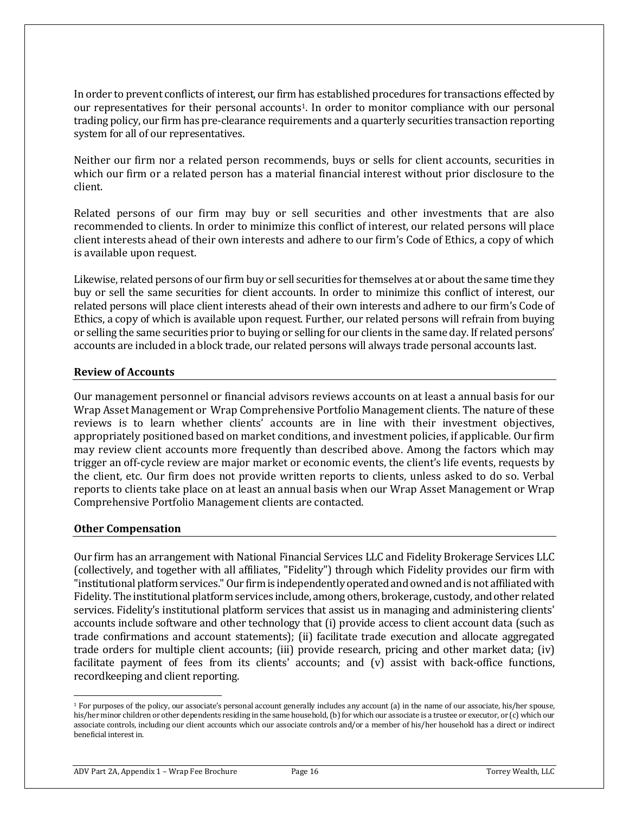In order to prevent conflicts of interest, our firm has established procedures for transactions effected by our representatives for their personal accounts<sup>1</sup>. In order to monitor compliance with our personal trading policy, our firm has pre-clearance requirements and a quarterly securities transaction reporting system for all of our representatives.

Neither our firm nor a related person recommends, buys or sells for client accounts, securities in which our firm or a related person has a material financial interest without prior disclosure to the client.

Related persons of our firm may buy or sell securities and other investments that are also recommended to clients. In order to minimize this conflict of interest, our related persons will place client interests ahead of their own interests and adhere to our firm's Code of Ethics, a copy of which is available upon request.

Likewise, related persons of our firm buy or sell securities for themselves at or about the same time they buy or sell the same securities for client accounts. In order to minimize this conflict of interest, our related persons will place client interests ahead of their own interests and adhere to our firm's Code of Ethics, a copy of which is available upon request. Further, our related persons will refrain from buying or selling the same securities prior to buying or selling for our clients in the same day. If related persons' accounts are included in a block trade, our related persons will always trade personal accounts last.

## **Review of Accounts**

Our management personnel or financial advisors reviews accounts on at least a annual basis for our Wrap Asset Management or Wrap Comprehensive Portfolio Management clients. The nature of these reviews is to learn whether clients' accounts are in line with their investment objectives, appropriately positioned based on market conditions, and investment policies, if applicable. Our firm may review client accounts more frequently than described above. Among the factors which may trigger an off-cycle review are major market or economic events, the client's life events, requests by the client, etc. Our firm does not provide written reports to clients, unless asked to do so. Verbal reports to clients take place on at least an annual basis when our Wrap Asset Management or Wrap Comprehensive Portfolio Management clients are contacted.

## **Other Compensation**

Our firm has an arrangement with National Financial Services LLC and Fidelity Brokerage Services LLC (collectively, and together with all affiliates, "Fidelity") through which Fidelity provides our firm with "institutional platform services." Our firm is independently operated and owned and is not affiliated with Fidelity. The institutional platform services include, among others, brokerage, custody, and other related services. Fidelity's institutional platform services that assist us in managing and administering clients' accounts include software and other technology that (i) provide access to client account data (such as trade confirmations and account statements); (ii) facilitate trade execution and allocate aggregated trade orders for multiple client accounts; (iii) provide research, pricing and other market data; (iv) facilitate payment of fees from its clients' accounts; and (v) assist with back-office functions, recordkeeping and client reporting.

<sup>&</sup>lt;sup>1</sup> For purposes of the policy, our associate's personal account generally includes any account (a) in the name of our associate, his/her spouse, his/her minor children or other dependents residing in the same household, (b) for which our associate is a trustee or executor, or (c) which our associate controls, including our client accounts which our associate controls and/or a member of his/her household has a direct or indirect beneficial interest in.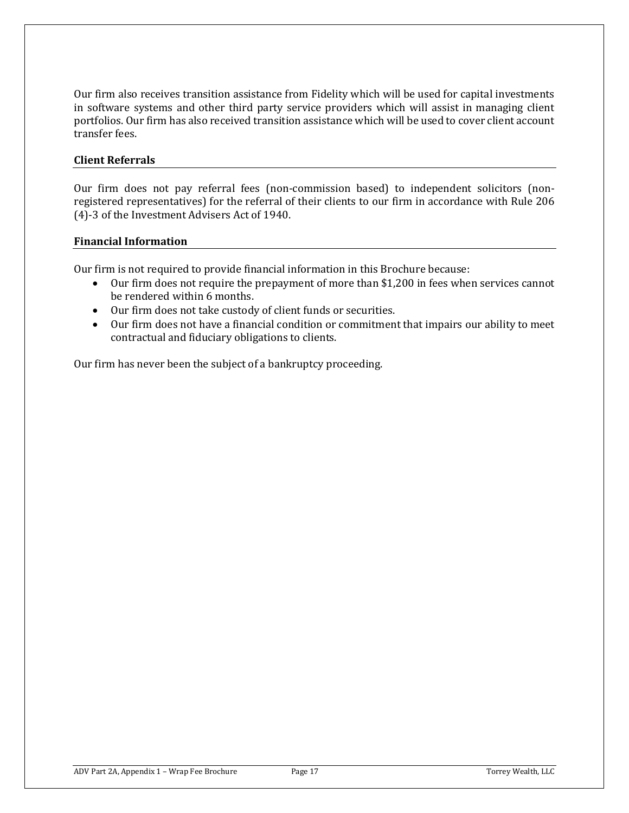Our firm also receives transition assistance from Fidelity which will be used for capital investments in software systems and other third party service providers which will assist in managing client portfolios. Our firm has also received transition assistance which will be used to cover client account transfer fees.

## **Client Referrals**

Our firm does not pay referral fees (non-commission based) to independent solicitors (nonregistered representatives) for the referral of their clients to our firm in accordance with Rule 206 (4)-3 of the Investment Advisers Act of 1940.

## **Financial Information**

Our firm is not required to provide financial information in this Brochure because:

- Our firm does not require the prepayment of more than \$1,200 in fees when services cannot be rendered within 6 months.
- Our firm does not take custody of client funds or securities.
- Our firm does not have a financial condition or commitment that impairs our ability to meet contractual and fiduciary obligations to clients.

Our firm has never been the subject of a bankruptcy proceeding.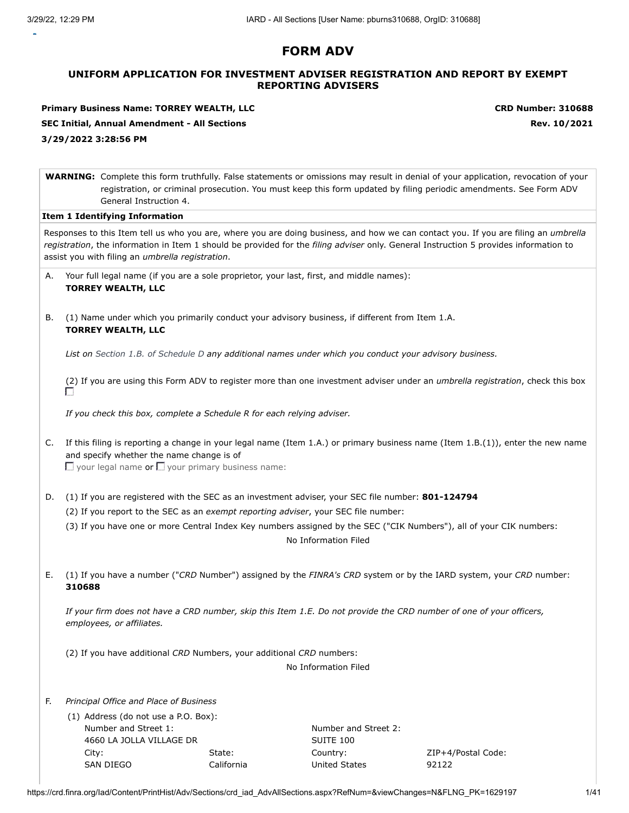# **FORM ADV**

## **UNIFORM APPLICATION FOR INVESTMENT ADVISER REGISTRATION AND REPORT BY EXEMPT REPORTING ADVISERS**

**Primary Business Name: TORREY WEALTH, LLC CRD Number: 310688 SEC Initial, Annual Amendment - All Sections Rev. 10/2021 3/29/2022 3:28:56 PM**

SAN DIEGO

|    |        | General Instruction 4.                                                                                                |        |                                                                                                                           | <b>WARNING:</b> Complete this form truthfully. False statements or omissions may result in denial of your application, revocation of your<br>registration, or criminal prosecution. You must keep this form updated by filing periodic amendments. See Form ADV              |
|----|--------|-----------------------------------------------------------------------------------------------------------------------|--------|---------------------------------------------------------------------------------------------------------------------------|------------------------------------------------------------------------------------------------------------------------------------------------------------------------------------------------------------------------------------------------------------------------------|
|    |        | Item 1 Identifying Information                                                                                        |        |                                                                                                                           |                                                                                                                                                                                                                                                                              |
|    |        | assist you with filing an umbrella registration.                                                                      |        |                                                                                                                           | Responses to this Item tell us who you are, where you are doing business, and how we can contact you. If you are filing an umbrella<br>registration, the information in Item 1 should be provided for the filing adviser only. General Instruction 5 provides information to |
| А. |        | Your full legal name (if you are a sole proprietor, your last, first, and middle names):<br><b>TORREY WEALTH, LLC</b> |        |                                                                                                                           |                                                                                                                                                                                                                                                                              |
| В. |        | <b>TORREY WEALTH, LLC</b>                                                                                             |        | (1) Name under which you primarily conduct your advisory business, if different from Item 1.A.                            |                                                                                                                                                                                                                                                                              |
|    |        |                                                                                                                       |        | List on Section 1.B. of Schedule D any additional names under which you conduct your advisory business.                   |                                                                                                                                                                                                                                                                              |
|    |        |                                                                                                                       |        |                                                                                                                           | (2) If you are using this Form ADV to register more than one investment adviser under an umbrella registration, check this box                                                                                                                                               |
|    |        | If you check this box, complete a Schedule R for each relying adviser.                                                |        |                                                                                                                           |                                                                                                                                                                                                                                                                              |
| C. |        | and specify whether the name change is of<br>$\Box$ your legal name or $\Box$ your primary business name:             |        |                                                                                                                           | If this filing is reporting a change in your legal name (Item 1.A.) or primary business name (Item $1.B.(1)$ ), enter the new name                                                                                                                                           |
| D. |        | (2) If you report to the SEC as an exempt reporting adviser, your SEC file number:                                    |        | (1) If you are registered with the SEC as an investment adviser, your SEC file number: 801-124794<br>No Information Filed | (3) If you have one or more Central Index Key numbers assigned by the SEC ("CIK Numbers"), all of your CIK numbers:                                                                                                                                                          |
| Е. | 310688 |                                                                                                                       |        |                                                                                                                           | (1) If you have a number ("CRD Number") assigned by the FINRA's CRD system or by the IARD system, your CRD number:                                                                                                                                                           |
|    |        | employees, or affiliates.                                                                                             |        |                                                                                                                           | If your firm does not have a CRD number, skip this Item 1.E. Do not provide the CRD number of one of your officers,                                                                                                                                                          |
|    |        | (2) If you have additional CRD Numbers, your additional CRD numbers:                                                  |        |                                                                                                                           |                                                                                                                                                                                                                                                                              |
|    |        |                                                                                                                       |        | No Information Filed                                                                                                      |                                                                                                                                                                                                                                                                              |
| F. |        | Principal Office and Place of Business                                                                                |        |                                                                                                                           |                                                                                                                                                                                                                                                                              |
|    | City:  | (1) Address (do not use a P.O. Box):<br>Number and Street 1:<br>4660 LA JOLLA VILLAGE DR                              | State: | Number and Street 2:<br>SUITE 100<br>Country:                                                                             | ZIP+4/Postal Code:                                                                                                                                                                                                                                                           |

United States

92122

California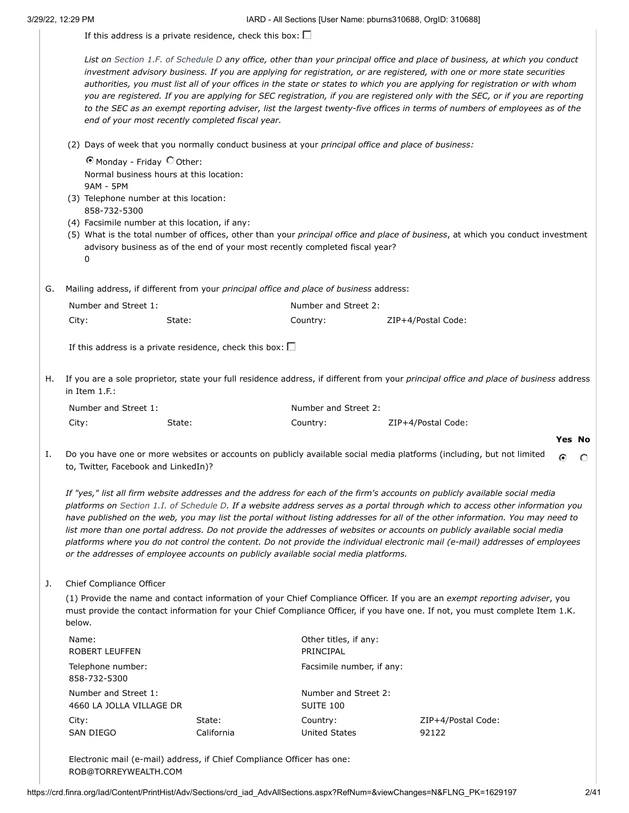If this address is a private residence, check this box:  $\square$ 

*List on Section 1.F. of Schedule D any office, other than your principal office and place of business, at which you conduct investment advisory business. If you are applying for registration, or are registered, with one or more state securities authorities, you must list all of your offices in the state or states to which you are applying for registration or with whom you are registered. If you are applying for SEC registration, if you are registered only with the SEC, or if you are reporting to the SEC as an exempt reporting adviser, list the largest twenty-five offices in terms of numbers of employees as of the end of your most recently completed fiscal year.* (2) Days of week that you normally conduct business at your *principal office and place of business:*  $\bullet$  Monday - Friday  $\circ$  Other: Normal business hours at this location: 9AM - 5PM (3) Telephone number at this location: 858-732-5300 (4) Facsimile number at this location, if any: (5) What is the total number of offices, other than your *principal office and place of business*, at which you conduct investment advisory business as of the end of your most recently completed fiscal year?  $\Omega$ G. Mailing address, if different from your *principal office and place of business* address: Number and Street 1: Number and Street 2: City: State: Country: ZIP+4/Postal Code: If this address is a private residence, check this box:  $\square$ H. If you are a sole proprietor, state your full residence address, if different from your *principal office and place of business* address in Item 1.F.: Number and Street 1: Number and Street 2: City: State: State: Country: ZIP+4/Postal Code: **Yes No** I. Do you have one or more websites or accounts on publicly available social media platforms (including, but not limited  $\odot$  $\circ$ to, Twitter, Facebook and LinkedIn)? *If "yes," list all firm website addresses and the address for each of the firm's accounts on publicly available social media platforms on Section 1.I. of Schedule D. If a website address serves as a portal through which to access other information you have published on the web, you may list the portal without listing addresses for all of the other information. You may need to list more than one portal address. Do not provide the addresses of websites or accounts on publicly available social media platforms where you do not control the content. Do not provide the individual electronic mail (e-mail) addresses of employees or the addresses of employee accounts on publicly available social media platforms.* J. Chief Compliance Officer (1) Provide the name and contact information of your Chief Compliance Officer. If you are an *exempt reporting adviser*, you must provide the contact information for your Chief Compliance Officer, if you have one. If not, you must complete Item 1.K. below. Name: Other titles, if any: ROBERT LEUFFEN PRINCIPAL Telephone number: Facsimile number, if any: 858-732-5300 Number and Street 1: Number and Street 2: 4660 LA JOLLA VILLAGE DR SUITE 100 City: State: Country: ZIP+4/Postal Code: SAN DIEGO California United States 92122

Electronic mail (e-mail) address, if Chief Compliance Officer has one: ROB@TORREYWEALTH.COM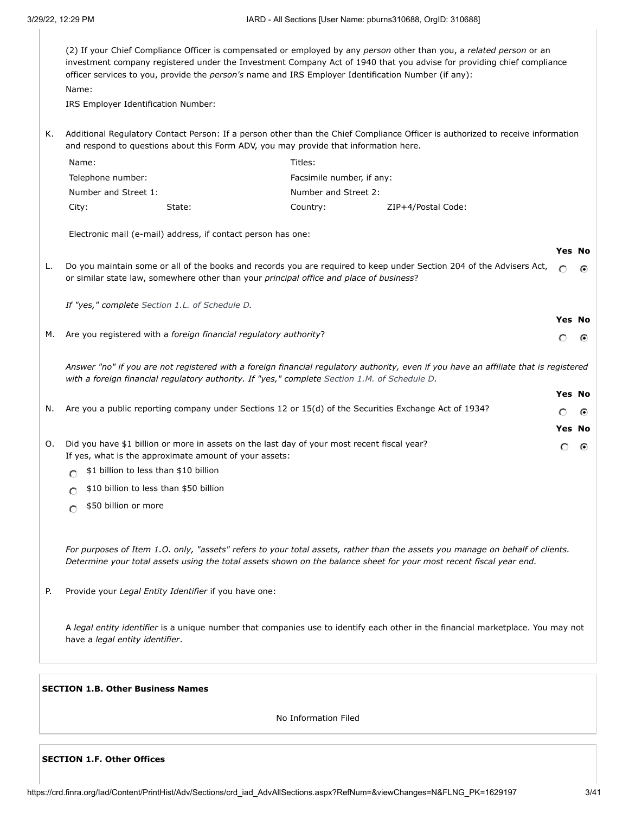|    |                                                                                                                     |                           | (2) If your Chief Compliance Officer is compensated or employed by any person other than you, a related person or an<br>investment company registered under the Investment Company Act of 1940 that you advise for providing chief compliance        |   |               |
|----|---------------------------------------------------------------------------------------------------------------------|---------------------------|------------------------------------------------------------------------------------------------------------------------------------------------------------------------------------------------------------------------------------------------------|---|---------------|
|    | officer services to you, provide the <i>person's</i> name and IRS Employer Identification Number (if any):<br>Name: |                           |                                                                                                                                                                                                                                                      |   |               |
|    | IRS Employer Identification Number:                                                                                 |                           |                                                                                                                                                                                                                                                      |   |               |
|    |                                                                                                                     |                           |                                                                                                                                                                                                                                                      |   |               |
| Κ. | and respond to questions about this Form ADV, you may provide that information here.                                |                           | Additional Regulatory Contact Person: If a person other than the Chief Compliance Officer is authorized to receive information                                                                                                                       |   |               |
|    | Name:                                                                                                               | Titles:                   |                                                                                                                                                                                                                                                      |   |               |
|    | Telephone number:                                                                                                   | Facsimile number, if any: |                                                                                                                                                                                                                                                      |   |               |
|    | Number and Street 1:                                                                                                | Number and Street 2:      |                                                                                                                                                                                                                                                      |   |               |
|    | City:<br>State:                                                                                                     | Country:                  | ZIP+4/Postal Code:                                                                                                                                                                                                                                   |   |               |
|    | Electronic mail (e-mail) address, if contact person has one:                                                        |                           |                                                                                                                                                                                                                                                      |   |               |
|    |                                                                                                                     |                           |                                                                                                                                                                                                                                                      |   | <b>Yes No</b> |
| L. | or similar state law, somewhere other than your principal office and place of business?                             |                           | Do you maintain some or all of the books and records you are required to keep under Section 204 of the Advisers Act,                                                                                                                                 | O | ⊙             |
|    | If "yes," complete Section 1.L. of Schedule D.                                                                      |                           |                                                                                                                                                                                                                                                      |   |               |
|    |                                                                                                                     |                           |                                                                                                                                                                                                                                                      |   | Yes No        |
| М. | Are you registered with a foreign financial regulatory authority?                                                   |                           |                                                                                                                                                                                                                                                      | O | ⊙             |
|    |                                                                                                                     |                           |                                                                                                                                                                                                                                                      |   |               |
|    | with a foreign financial regulatory authority. If "yes," complete Section 1.M. of Schedule D.                       |                           | Answer "no" if you are not registered with a foreign financial regulatory authority, even if you have an affiliate that is registered                                                                                                                |   |               |
|    |                                                                                                                     |                           |                                                                                                                                                                                                                                                      |   | <b>Yes No</b> |
| N. |                                                                                                                     |                           | Are you a public reporting company under Sections 12 or 15(d) of the Securities Exchange Act of 1934?                                                                                                                                                | O | ⊙             |
|    |                                                                                                                     |                           |                                                                                                                                                                                                                                                      |   | Yes No        |
| Ο. | Did you have \$1 billion or more in assets on the last day of your most recent fiscal year?                         |                           |                                                                                                                                                                                                                                                      | O | ⊙             |
|    | If yes, what is the approximate amount of your assets:<br>\$1 billion to less than \$10 billion                     |                           |                                                                                                                                                                                                                                                      |   |               |
|    | О<br>\$10 billion to less than \$50 billion                                                                         |                           |                                                                                                                                                                                                                                                      |   |               |
|    | О                                                                                                                   |                           |                                                                                                                                                                                                                                                      |   |               |
|    | \$50 billion or more                                                                                                |                           |                                                                                                                                                                                                                                                      |   |               |
|    |                                                                                                                     |                           | For purposes of Item 1.0. only, "assets" refers to your total assets, rather than the assets you manage on behalf of clients.<br>Determine your total assets using the total assets shown on the balance sheet for your most recent fiscal year end. |   |               |
| P. | Provide your Legal Entity Identifier if you have one:                                                               |                           |                                                                                                                                                                                                                                                      |   |               |
|    | have a legal entity identifier.                                                                                     |                           | A legal entity identifier is a unique number that companies use to identify each other in the financial marketplace. You may not                                                                                                                     |   |               |
|    | <b>SECTION 1.B. Other Business Names</b>                                                                            |                           |                                                                                                                                                                                                                                                      |   |               |

No Information Filed

## **SECTION 1.F. Other Offices**

 $\overline{1}$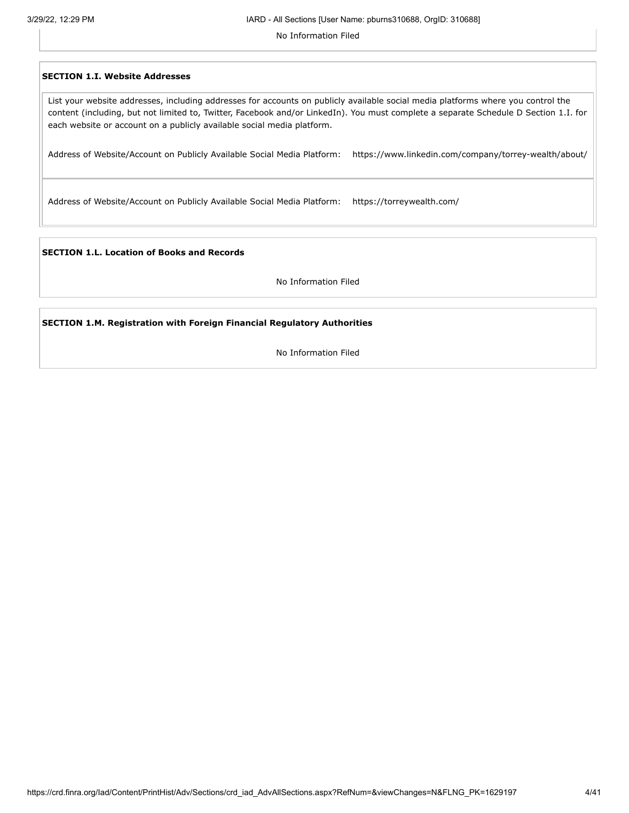No Information Filed

## **SECTION 1.I. Website Addresses**

List your website addresses, including addresses for accounts on publicly available social media platforms where you control the content (including, but not limited to, Twitter, Facebook and/or LinkedIn). You must complete a separate Schedule D Section 1.I. for each website or account on a publicly available social media platform.

Address of Website/Account on Publicly Available Social Media Platform: https://www.linkedin.com/company/torrey-wealth/about/

Address of Website/Account on Publicly Available Social Media Platform: https://torreywealth.com/

**SECTION 1.L. Location of Books and Records**

No Information Filed

**SECTION 1.M. Registration with Foreign Financial Regulatory Authorities**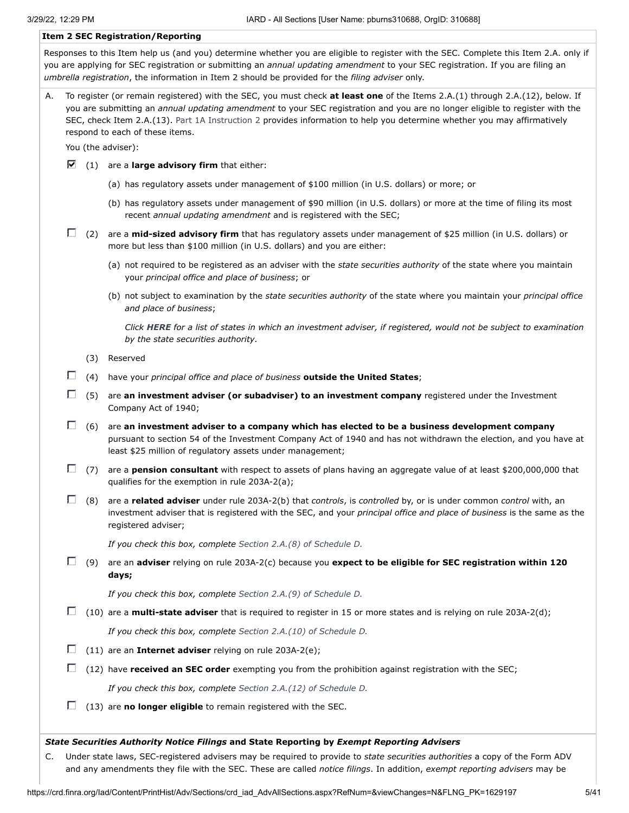### **Item 2 SEC Registration/Reporting**

Responses to this Item help us (and you) determine whether you are eligible to register with the SEC. Complete this Item 2.A. only if you are applying for SEC registration or submitting an *annual updating amendment* to your SEC registration. If you are filing an *umbrella registration*, the information in Item 2 should be provided for the *filing adviser* only.

| A. To register (or remain registered) with the SEC, you must check <b>at least one</b> of the Items 2.A.(1) through 2.A.(12), below. If |
|-----------------------------------------------------------------------------------------------------------------------------------------|
| you are submitting an <i>annual updating amendment</i> to your SEC registration and you are no longer eligible to register with the     |
| SEC, check Item 2.A. (13). Part 1A Instruction 2 provides information to help you determine whether you may affirmatively               |
| respond to each of these items.                                                                                                         |

You (the adviser):

- (1) are a **large advisory firm** that either:
	- (a) has regulatory assets under management of \$100 million (in U.S. dollars) or more; or
	- (b) has regulatory assets under management of \$90 million (in U.S. dollars) or more at the time of filing its most recent *annual updating amendment* and is registered with the SEC;
- (2) are a **mid-sized advisory firm** that has regulatory assets under management of \$25 million (in U.S. dollars) or more but less than \$100 million (in U.S. dollars) and you are either:
	- (a) not required to be registered as an adviser with the *state securities authority* of the state where you maintain your *principal office and place of business*; or
	- (b) not subject to examination by the *state securities authority* of the state where you maintain your *principal office and place of business*;

*Click HERE for a list of states in which an investment adviser, if registered, would not be subject to examination by the state securities authority.*

- (3) Reserved
- (4) have your *principal office and place of business* **outside the United States**;
- (5) are **an investment adviser (or subadviser) to an investment company** registered under the Investment Company Act of 1940;
- (6) are **an investment adviser to a company which has elected to be a business development company** pursuant to section 54 of the Investment Company Act of 1940 and has not withdrawn the election, and you have at least \$25 million of regulatory assets under management;
- (7) are a **pension consultant** with respect to assets of plans having an aggregate value of at least \$200,000,000 that qualifies for the exemption in rule 203A-2(a);
- (8) are a **related adviser** under rule 203A-2(b) that *controls*, is *controlled* by, or is under common *control* with, an investment adviser that is registered with the SEC, and your *principal office and place of business* is the same as the registered adviser;

*If you check this box, complete Section 2.A.(8) of Schedule D.*

(9) are an **adviser** relying on rule 203A-2(c) because you **expect to be eligible for SEC registration within 120 days;**

*If you check this box, complete Section 2.A.(9) of Schedule D.*

(10) are a **multi-state adviser** that is required to register in 15 or more states and is relying on rule 203A-2(d);

*If you check this box, complete Section 2.A.(10) of Schedule D.*

- (11) are an **Internet adviser** relying on rule 203A-2(e);
- (12) have **received an SEC order** exempting you from the prohibition against registration with the SEC;

*If you check this box, complete Section 2.A.(12) of Schedule D.*

(13) are **no longer eligible** to remain registered with the SEC.

### *State Securities Authority Notice Filings* **and State Reporting by** *Exempt Reporting Advisers*

C. Under state laws, SEC-registered advisers may be required to provide to *state securities authorities* a copy of the Form ADV and any amendments they file with the SEC. These are called *notice filings*. In addition, *exempt reporting advisers* may be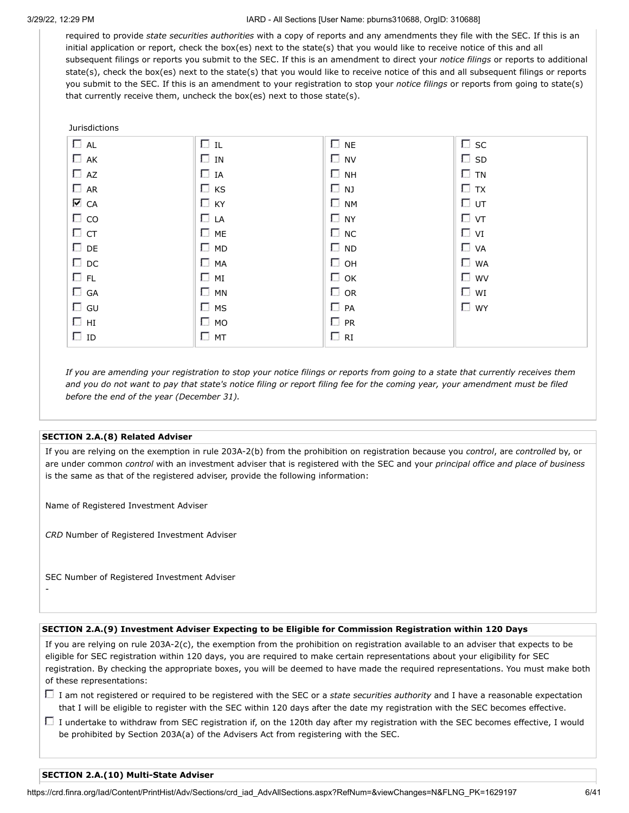required to provide *state securities authorities* with a copy of reports and any amendments they file with the SEC. If this is an initial application or report, check the box(es) next to the state(s) that you would like to receive notice of this and all subsequent filings or reports you submit to the SEC. If this is an amendment to direct your *notice filings* or reports to additional state(s), check the box(es) next to the state(s) that you would like to receive notice of this and all subsequent filings or reports you submit to the SEC. If this is an amendment to your registration to stop your *notice filings* or reports from going to state(s) that currently receive them, uncheck the box(es) next to those state(s).



*If you are amending your registration to stop your notice filings or reports from going to a state that currently receives them and you do not want to pay that state's notice filing or report filing fee for the coming year, your amendment must be filed before the end of the year (December 31).*

## **SECTION 2.A.(8) Related Adviser**

If you are relying on the exemption in rule 203A-2(b) from the prohibition on registration because you *control*, are *controlled* by, or are under common *control* with an investment adviser that is registered with the SEC and your *principal office and place of business* is the same as that of the registered adviser, provide the following information:

Name of Registered Investment Adviser

*CRD* Number of Registered Investment Adviser

SEC Number of Registered Investment Adviser

-

## **SECTION 2.A.(9) Investment Adviser Expecting to be Eligible for Commission Registration within 120 Days**

If you are relying on rule 203A-2(c), the exemption from the prohibition on registration available to an adviser that expects to be eligible for SEC registration within 120 days, you are required to make certain representations about your eligibility for SEC registration. By checking the appropriate boxes, you will be deemed to have made the required representations. You must make both of these representations:

- □ I am not registered or required to be registered with the SEC or a *state securities authority* and I have a reasonable expectation that I will be eligible to register with the SEC within 120 days after the date my registration with the SEC becomes effective.
- $\Box$  I undertake to withdraw from SEC registration if, on the 120th day after my registration with the SEC becomes effective, I would be prohibited by Section 203A(a) of the Advisers Act from registering with the SEC.

## **SECTION 2.A.(10) Multi-State Adviser**

https://crd.finra.org/Iad/Content/PrintHist/Adv/Sections/crd\_iad\_AdvAllSections.aspx?RefNum=&viewChanges=N&FLNG\_PK=1629197 6/41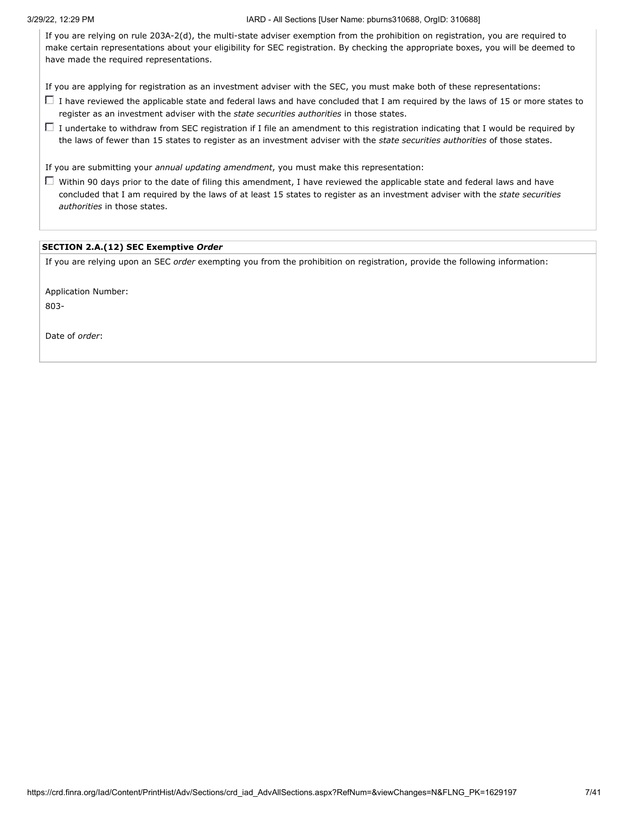If you are relying on rule 203A-2(d), the multi-state adviser exemption from the prohibition on registration, you are required to make certain representations about your eligibility for SEC registration. By checking the appropriate boxes, you will be deemed to have made the required representations.

If you are applying for registration as an investment adviser with the SEC, you must make both of these representations:

- $\Box$  I have reviewed the applicable state and federal laws and have concluded that I am required by the laws of 15 or more states to register as an investment adviser with the *state securities authorities* in those states.
- $\Box$  I undertake to withdraw from SEC registration if I file an amendment to this registration indicating that I would be required by the laws of fewer than 15 states to register as an investment adviser with the *state securities authorities* of those states.

If you are submitting your *annual updating amendment*, you must make this representation:

 $\Box$  Within 90 days prior to the date of filing this amendment, I have reviewed the applicable state and federal laws and have concluded that I am required by the laws of at least 15 states to register as an investment adviser with the *state securities authorities* in those states.

## **SECTION 2.A.(12) SEC Exemptive** *Order*

If you are relying upon an SEC *order* exempting you from the prohibition on registration, provide the following information:

Application Number:

803-

Date of *order*: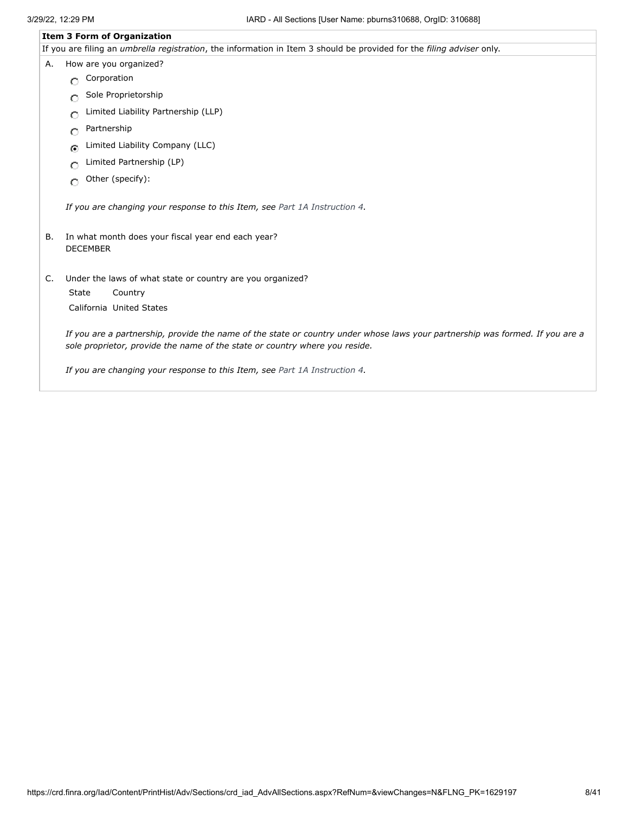### **Item 3 Form of Organization**

If you are filing an *umbrella registration*, the information in Item 3 should be provided for the *filing adviser* only.

- A. How are you organized?
	- C Corporation
	- **Sole Proprietorship**
	- C Limited Liability Partnership (LLP)
	- Partnership
	- **G** Limited Liability Company (LLC)
	- Limited Partnership (LP)  $\circ$
	- $\bigcirc$  Other (specify):

*If you are changing your response to this Item, see Part 1A Instruction 4.*

- B. In what month does your fiscal year end each year? DECEMBER
- C. Under the laws of what state or country are you organized?

State Country

California United States

*If you are a partnership, provide the name of the state or country under whose laws your partnership was formed. If you are a sole proprietor, provide the name of the state or country where you reside.*

*If you are changing your response to this Item, see Part 1A Instruction 4.*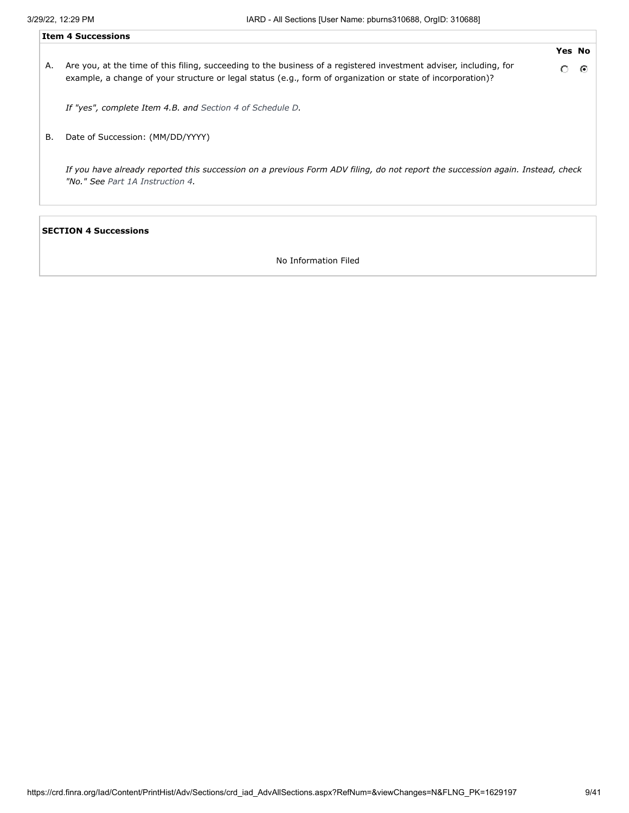|    | <b>Item 4 Successions</b>                                                                                                                                                                                                         |               |   |
|----|-----------------------------------------------------------------------------------------------------------------------------------------------------------------------------------------------------------------------------------|---------------|---|
|    |                                                                                                                                                                                                                                   | <b>Yes No</b> |   |
| А. | Are you, at the time of this filing, succeeding to the business of a registered investment adviser, including, for<br>example, a change of your structure or legal status (e.g., form of organization or state of incorporation)? | O             | ⊙ |
|    | If "yes", complete Item 4.B. and Section 4 of Schedule D.                                                                                                                                                                         |               |   |
| В. | Date of Succession: (MM/DD/YYYY)                                                                                                                                                                                                  |               |   |
|    | If you have already reported this succession on a previous Form ADV filing, do not report the succession again. Instead, check<br>"No." See Part 1A Instruction 4.                                                                |               |   |
|    |                                                                                                                                                                                                                                   |               |   |

## **SECTION 4 Successions**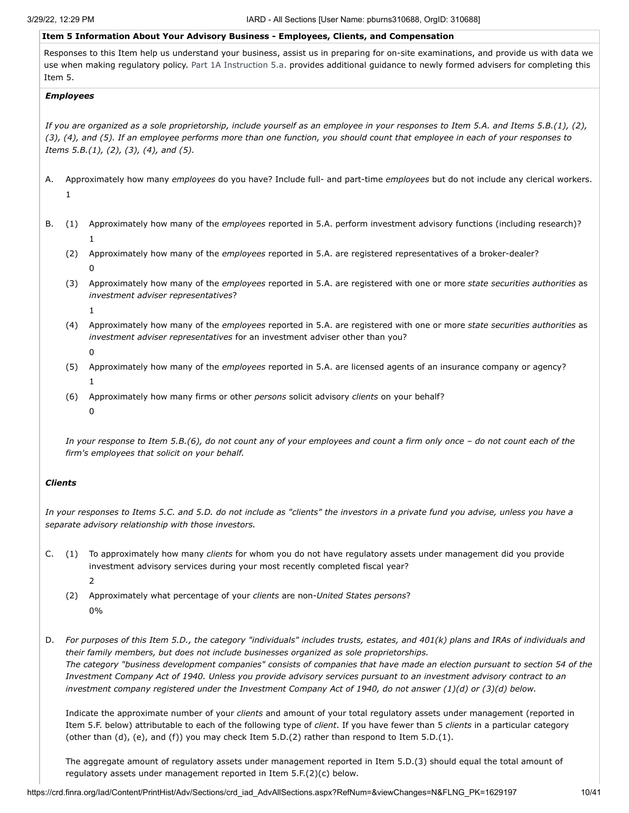### **Item 5 Information About Your Advisory Business - Employees, Clients, and Compensation**

Responses to this Item help us understand your business, assist us in preparing for on-site examinations, and provide us with data we use when making regulatory policy. Part 1A Instruction 5.a. provides additional guidance to newly formed advisers for completing this Item 5.

## *Employees*

*If you are organized as a sole proprietorship, include yourself as an employee in your responses to Item 5.A. and Items 5.B.(1), (2), (3), (4), and (5). If an employee performs more than one function, you should count that employee in each of your responses to Items 5.B.(1), (2), (3), (4), and (5).*

- A. Approximately how many *employees* do you have? Include full- and part-time *employees* but do not include any clerical workers. 1
- B. (1) Approximately how many of the *employees* reported in 5.A. perform investment advisory functions (including research)? 1
	- (2) Approximately how many of the *employees* reported in 5.A. are registered representatives of a broker-dealer? 0
	- (3) Approximately how many of the *employees* reported in 5.A. are registered with one or more *state securities authorities* as *investment adviser representatives*?
		- 1
	- (4) Approximately how many of the *employees* reported in 5.A. are registered with one or more *state securities authorities* as *investment adviser representatives* for an investment adviser other than you?
		- 0
	- (5) Approximately how many of the *employees* reported in 5.A. are licensed agents of an insurance company or agency? 1
	- (6) Approximately how many firms or other *persons* solicit advisory *clients* on your behalf? 0

*In your response to Item 5.B.(6), do not count any of your employees and count a firm only once – do not count each of the firm's employees that solicit on your behalf.*

## *Clients*

*In your responses to Items 5.C. and 5.D. do not include as "clients" the investors in a private fund you advise, unless you have a separate advisory relationship with those investors.*

- C. (1) To approximately how many *clients* for whom you do not have regulatory assets under management did you provide investment advisory services during your most recently completed fiscal year? 2
	- (2) Approximately what percentage of your *clients* are non-*United States persons*? 0%
- D. *For purposes of this Item 5.D., the category "individuals" includes trusts, estates, and 401(k) plans and IRAs of individuals and their family members, but does not include businesses organized as sole proprietorships. The category "business development companies" consists of companies that have made an election pursuant to section 54 of the Investment Company Act of 1940. Unless you provide advisory services pursuant to an investment advisory contract to an investment company registered under the Investment Company Act of 1940, do not answer (1)(d) or (3)(d) below.*

Indicate the approximate number of your *clients* and amount of your total regulatory assets under management (reported in Item 5.F. below) attributable to each of the following type of *client*. If you have fewer than 5 *clients* in a particular category (other than (d), (e), and (f)) you may check Item 5.D.(2) rather than respond to Item 5.D.(1).

The aggregate amount of regulatory assets under management reported in Item 5.D.(3) should equal the total amount of regulatory assets under management reported in Item 5.F.(2)(c) below.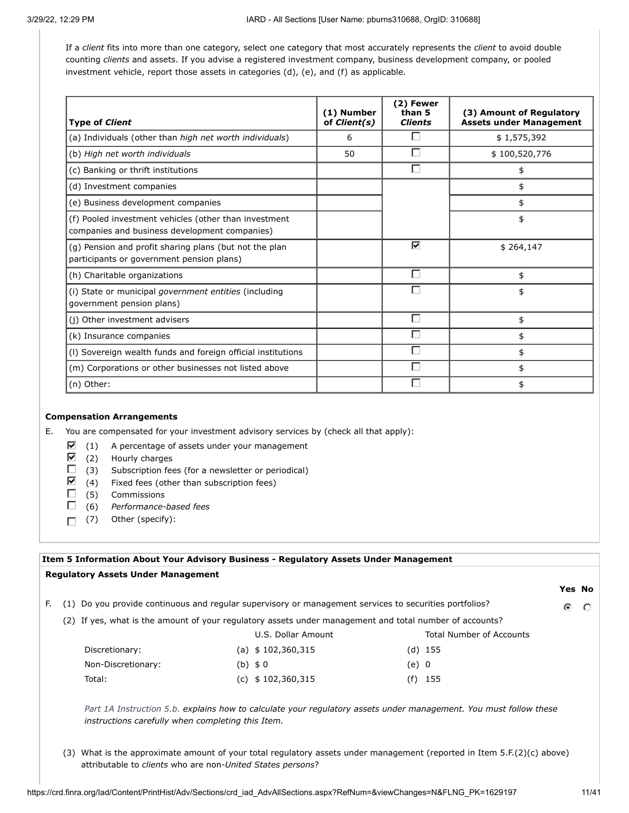If a *client* fits into more than one category, select one category that most accurately represents the *client* to avoid double counting *clients* and assets. If you advise a registered investment company, business development company, or pooled investment vehicle, report those assets in categories (d), (e), and (f) as applicable.

| <b>Type of Client</b>                                                                                  | (1) Number<br>of Client(s) | (2) Fewer<br>than 5<br><b>Clients</b> | (3) Amount of Regulatory<br><b>Assets under Management</b> |
|--------------------------------------------------------------------------------------------------------|----------------------------|---------------------------------------|------------------------------------------------------------|
| (a) Individuals (other than high net worth individuals)                                                | 6                          | п                                     | \$1,575,392                                                |
| (b) High net worth individuals                                                                         | 50                         |                                       | \$100,520,776                                              |
| (c) Banking or thrift institutions                                                                     |                            |                                       | \$                                                         |
| (d) Investment companies                                                                               |                            |                                       | \$                                                         |
| (e) Business development companies                                                                     |                            |                                       | \$                                                         |
| (f) Pooled investment vehicles (other than investment<br>companies and business development companies) |                            |                                       | \$                                                         |
| (g) Pension and profit sharing plans (but not the plan<br>participants or government pension plans)    |                            | М                                     | \$264,147                                                  |
| (h) Charitable organizations                                                                           |                            | г                                     | \$                                                         |
| (i) State or municipal <i>government entities</i> (including<br>government pension plans)              |                            |                                       | \$                                                         |
| (j) Other investment advisers                                                                          |                            | г                                     | \$                                                         |
| (k) Insurance companies                                                                                |                            |                                       | \$                                                         |
| (I) Sovereign wealth funds and foreign official institutions                                           |                            |                                       | \$                                                         |
| (m) Corporations or other businesses not listed above                                                  |                            |                                       | \$                                                         |
| (n) Other:                                                                                             |                            |                                       | \$                                                         |

## **Compensation Arrangements**

E. You are compensated for your investment advisory services by (check all that apply):

 $(1)$  A percentage of assets under your management

- $\triangledown$  (2) Hourly charges
- $\Box$ (3) Subscription fees (for a newsletter or periodical)
- ☑ (4) Fixed fees (other than subscription fees)
- Г. (5) Commissions
- $\Box$ (6) *Performance-based fees*
- (7) Other (specify):

# **Item 5 Information About Your Advisory Business - Regulatory Assets Under Management Regulatory Assets Under Management Yes No** F. (1) Do you provide continuous and regular supervisory or management services to securities portfolios? Θ  $\circ$ (2) If yes, what is the amount of your regulatory assets under management and total number of accounts? U.S. Dollar Amount Total Number of Accounts Discretionary: (a) \$ 102,360,315 (d) 155 Non-Discretionary: (b)  $\ $0$  (e) 0 Total: (c) \$102,360,315 (f) 155 *Part 1A Instruction 5.b. explains how to calculate your regulatory assets under management. You must follow these instructions carefully when completing this Item.*

(3) What is the approximate amount of your total regulatory assets under management (reported in Item 5.F.(2)(c) above) attributable to *clients* who are non-*United States persons*?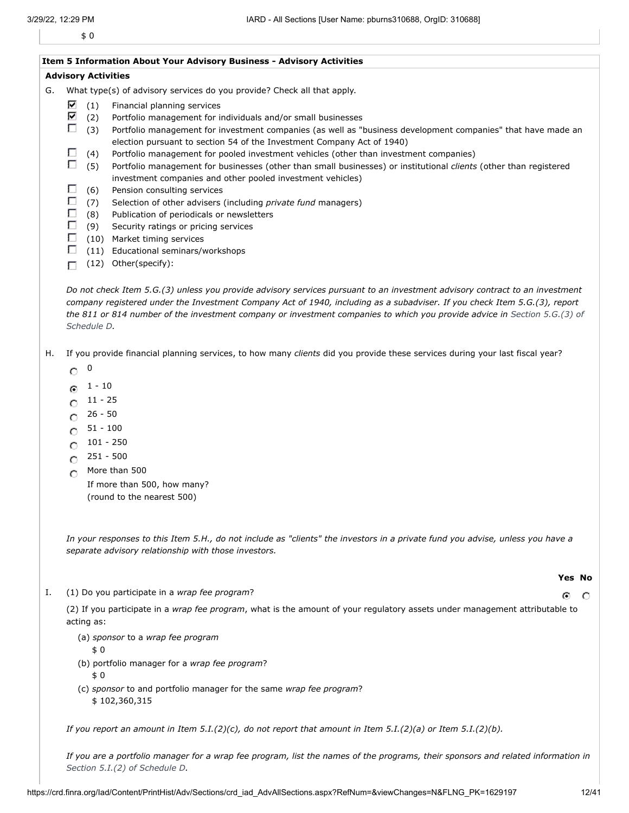\$ 0

|    | <b>Item 5 Information About Your Advisory Business - Advisory Activities</b> |      |                                                                                                                          |  |  |  |  |  |  |
|----|------------------------------------------------------------------------------|------|--------------------------------------------------------------------------------------------------------------------------|--|--|--|--|--|--|
|    | <b>Advisory Activities</b>                                                   |      |                                                                                                                          |  |  |  |  |  |  |
| G. |                                                                              |      | What type(s) of advisory services do you provide? Check all that apply.                                                  |  |  |  |  |  |  |
|    | ☑                                                                            | (1)  | Financial planning services                                                                                              |  |  |  |  |  |  |
|    | ⊽                                                                            | (2)  | Portfolio management for individuals and/or small businesses                                                             |  |  |  |  |  |  |
|    | О                                                                            | (3)  | Portfolio management for investment companies (as well as "business development companies" that have made an             |  |  |  |  |  |  |
|    |                                                                              |      | election pursuant to section 54 of the Investment Company Act of 1940)                                                   |  |  |  |  |  |  |
|    | ш                                                                            | (4)  | Portfolio management for pooled investment vehicles (other than investment companies)                                    |  |  |  |  |  |  |
|    | г                                                                            | (5)  | Portfolio management for businesses (other than small businesses) or institutional <i>clients</i> (other than registered |  |  |  |  |  |  |
|    |                                                                              |      | investment companies and other pooled investment vehicles)                                                               |  |  |  |  |  |  |
|    | с                                                                            | (6)  | Pension consulting services                                                                                              |  |  |  |  |  |  |
|    | ш                                                                            | (7)  | Selection of other advisers (including <i>private fund</i> managers)                                                     |  |  |  |  |  |  |
|    | О                                                                            | (8)  | Publication of periodicals or newsletters                                                                                |  |  |  |  |  |  |
|    | ш                                                                            | (9)  | Security ratings or pricing services                                                                                     |  |  |  |  |  |  |
|    |                                                                              | (10) | Market timing services                                                                                                   |  |  |  |  |  |  |
|    |                                                                              |      | Educational seminars/workshops                                                                                           |  |  |  |  |  |  |
|    |                                                                              |      |                                                                                                                          |  |  |  |  |  |  |

(12) Other(specify):

*Do not check Item 5.G.(3) unless you provide advisory services pursuant to an investment advisory contract to an investment company registered under the Investment Company Act of 1940, including as a subadviser. If you check Item 5.G.(3), report the 811 or 814 number of the investment company or investment companies to which you provide advice in Section 5.G.(3) of Schedule D.*

- H. If you provide financial planning services, to how many *clients* did you provide these services during your last fiscal year?
	- $\circ$ 0
	- $\odot$  1 10
	- $0^{11 25}$
	- 26 50 O.
	- 51 100  $\circ$
	- 101 250  $\cap$
	- 251 500 O.
	- More than 500  $\circ$

If more than 500, how many? (round to the nearest 500)

*In your responses to this Item 5.H., do not include as "clients" the investors in a private fund you advise, unless you have a separate advisory relationship with those investors.*

I. (1) Do you participate in a *wrap fee program*?

**Yes No**

Θ  $\circ$ 

(2) If you participate in a *wrap fee program*, what is the amount of your regulatory assets under management attributable to acting as:

- (a) *sponsor* to a *wrap fee program*
	- \$ 0
- (b) portfolio manager for a *wrap fee program*?  $$0$
- (c) *sponsor* to and portfolio manager for the same *wrap fee program*? \$ 102,360,315

*If you report an amount in Item 5.I.(2)(c), do not report that amount in Item 5.I.(2)(a) or Item 5.I.(2)(b).*

*If you are a portfolio manager for a wrap fee program, list the names of the programs, their sponsors and related information in Section 5.I.(2) of Schedule D.*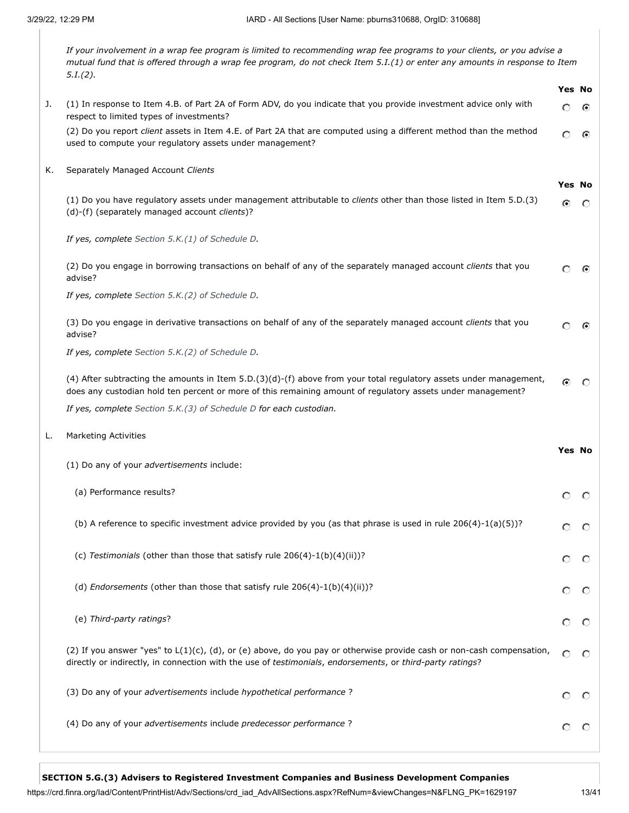|    | If your involvement in a wrap fee program is limited to recommending wrap fee programs to your clients, or you advise a<br>mutual fund that is offered through a wrap fee program, do not check Item 5.1.(1) or enter any amounts in response to Item<br>5.I. (2). |               |         |
|----|--------------------------------------------------------------------------------------------------------------------------------------------------------------------------------------------------------------------------------------------------------------------|---------------|---------|
|    |                                                                                                                                                                                                                                                                    | Yes No        |         |
| J. | (1) In response to Item 4.B. of Part 2A of Form ADV, do you indicate that you provide investment advice only with<br>respect to limited types of investments?                                                                                                      | о             | ⊙       |
|    | (2) Do you report client assets in Item 4.E. of Part 2A that are computed using a different method than the method<br>used to compute your regulatory assets under management?                                                                                     | Ω             | ⊙       |
| Κ. | Separately Managed Account Clients                                                                                                                                                                                                                                 |               |         |
|    |                                                                                                                                                                                                                                                                    | Yes No        |         |
|    | (1) Do you have regulatory assets under management attributable to <i>clients</i> other than those listed in Item 5.D.(3)<br>(d)-(f) (separately managed account clients)?                                                                                         | Θ             | O       |
|    | If yes, complete Section 5.K.(1) of Schedule D.                                                                                                                                                                                                                    |               |         |
|    | (2) Do you engage in borrowing transactions on behalf of any of the separately managed account clients that you<br>advise?                                                                                                                                         | O             | ⊙       |
|    | If yes, complete Section 5.K.(2) of Schedule D.                                                                                                                                                                                                                    |               |         |
|    | (3) Do you engage in derivative transactions on behalf of any of the separately managed account clients that you<br>advise?                                                                                                                                        | Ω             | ⊙       |
|    | If yes, complete Section 5.K.(2) of Schedule D.                                                                                                                                                                                                                    |               |         |
|    | (4) After subtracting the amounts in Item 5.D.(3)(d)-(f) above from your total regulatory assets under management,<br>does any custodian hold ten percent or more of this remaining amount of regulatory assets under management?                                  | Θ             | O       |
|    | If yes, complete Section 5.K.(3) of Schedule D for each custodian.                                                                                                                                                                                                 |               |         |
| L. | Marketing Activities                                                                                                                                                                                                                                               |               |         |
|    | (1) Do any of your advertisements include:                                                                                                                                                                                                                         | <b>Yes No</b> |         |
|    |                                                                                                                                                                                                                                                                    |               |         |
|    | (a) Performance results?                                                                                                                                                                                                                                           | $\circ$       | $\circ$ |
|    | (b) A reference to specific investment advice provided by you (as that phrase is used in rule 206(4)-1(a)(5))?                                                                                                                                                     | О             | O       |
|    | (c) Testimonials (other than those that satisfy rule $206(4)-1(b)(4)(ii)$ ?                                                                                                                                                                                        | O             |         |
|    | (d) Endorsements (other than those that satisfy rule $206(4)-1(b)(4)(ii)$ ?                                                                                                                                                                                        | о             | O       |
|    | (e) Third-party ratings?                                                                                                                                                                                                                                           | O             | O       |
|    | (2) If you answer "yes" to L(1)(c), (d), or (e) above, do you pay or otherwise provide cash or non-cash compensation,<br>directly or indirectly, in connection with the use of testimonials, endorsements, or third-party ratings?                                 | O             | O       |
|    | (3) Do any of your advertisements include hypothetical performance ?                                                                                                                                                                                               | о             | O       |
|    | (4) Do any of your advertisements include predecessor performance ?                                                                                                                                                                                                | о             | $\circ$ |

## **SECTION 5.G.(3) Advisers to Registered Investment Companies and Business Development Companies**

https://crd.finra.org/Iad/Content/PrintHist/Adv/Sections/crd\_iad\_AdvAllSections.aspx?RefNum=&viewChanges=N&FLNG\_PK=1629197 13/41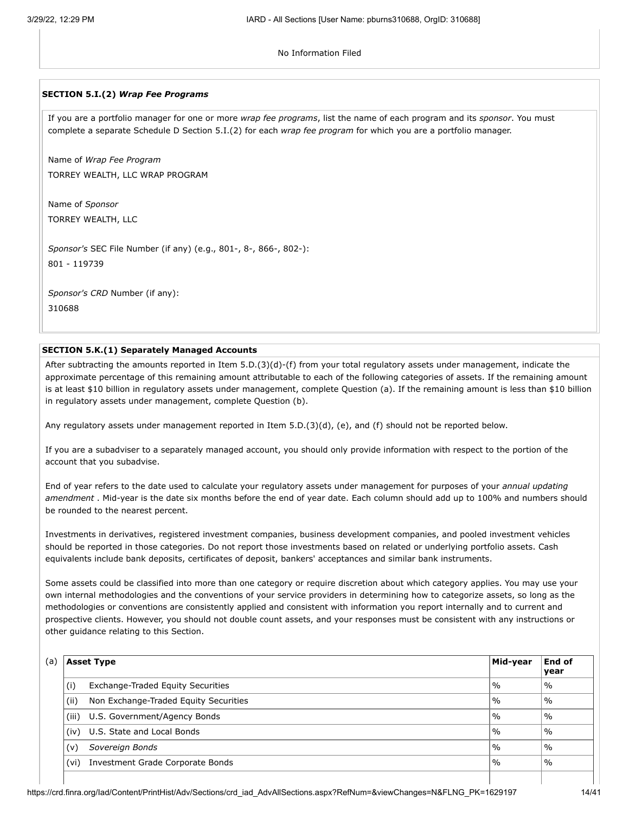### No Information Filed

## **SECTION 5.I.(2)** *Wrap Fee Programs*

If you are a portfolio manager for one or more *wrap fee programs*, list the name of each program and its *sponsor*. You must complete a separate Schedule D Section 5.I.(2) for each *wrap fee program* for which you are a portfolio manager.

Name of *Wrap Fee Program* TORREY WEALTH, LLC WRAP PROGRAM

Name of *Sponsor* TORREY WEALTH, LLC

*Sponsor's* SEC File Number (if any) (e.g., 801-, 8-, 866-, 802-): 801 - 119739

*Sponsor's CRD* Number (if any): 310688

## **SECTION 5.K.(1) Separately Managed Accounts**

After subtracting the amounts reported in Item 5.D.(3)(d)-(f) from your total regulatory assets under management, indicate the approximate percentage of this remaining amount attributable to each of the following categories of assets. If the remaining amount is at least \$10 billion in regulatory assets under management, complete Question (a). If the remaining amount is less than \$10 billion in regulatory assets under management, complete Question (b).

Any regulatory assets under management reported in Item 5.D.(3)(d), (e), and (f) should not be reported below.

If you are a subadviser to a separately managed account, you should only provide information with respect to the portion of the account that you subadvise.

End of year refers to the date used to calculate your regulatory assets under management for purposes of your *annual updating amendment* . Mid-year is the date six months before the end of year date. Each column should add up to 100% and numbers should be rounded to the nearest percent.

Investments in derivatives, registered investment companies, business development companies, and pooled investment vehicles should be reported in those categories. Do not report those investments based on related or underlying portfolio assets. Cash equivalents include bank deposits, certificates of deposit, bankers' acceptances and similar bank instruments.

Some assets could be classified into more than one category or require discretion about which category applies. You may use your own internal methodologies and the conventions of your service providers in determining how to categorize assets, so long as the methodologies or conventions are consistently applied and consistent with information you report internally and to current and prospective clients. However, you should not double count assets, and your responses must be consistent with any instructions or other guidance relating to this Section.

| (a) | <b>Asset Type</b>                             | Mid-year      | End of<br>year |
|-----|-----------------------------------------------|---------------|----------------|
|     | (i)<br>Exchange-Traded Equity Securities      | $\%$          | $^{\circ}$ %   |
|     | Non Exchange-Traded Equity Securities<br>(ii) | $\frac{0}{0}$ | $\frac{0}{0}$  |
|     | (iii)<br>U.S. Government/Agency Bonds         | $\%$          | $\%$           |
|     | U.S. State and Local Bonds<br>(iv)            | $\%$          | $\%$           |
|     | Sovereign Bonds<br>(v)                        | $\frac{0}{0}$ | $\%$           |
|     | Investment Grade Corporate Bonds<br>(vi)      | $\frac{0}{0}$ | $\%$           |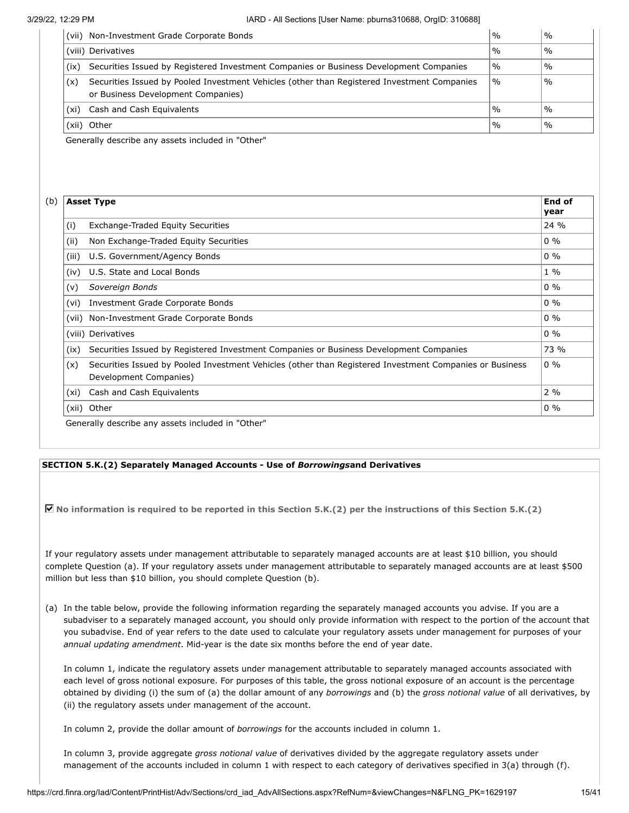|       | (vii) Non-Investment Grade Corporate Bonds                                                                                        | $\frac{1}{2}$ | $\%$          |
|-------|-----------------------------------------------------------------------------------------------------------------------------------|---------------|---------------|
|       | (viii) Derivatives                                                                                                                | $\%$          | $\%$          |
| (ix)  | Securities Issued by Registered Investment Companies or Business Development Companies                                            | $\%$          | $\%$          |
| (x)   | Securities Issued by Pooled Investment Vehicles (other than Registered Investment Companies<br>or Business Development Companies) | $\%$          | $\%$          |
| (xi)  | Cash and Cash Equivalents                                                                                                         | $\frac{1}{2}$ | $\frac{1}{2}$ |
| (xii) | Other                                                                                                                             | $\%$          | $\%$          |

Generally describe any assets included in "Other"

# (b) **Asset Type End of year** (i) Exchange-Traded Equity Securities 24 % (ii) Non Exchange-Traded Equity Securities  $\vert$  0 % (iii) U.S. Government/Agency Bonds  $\vert$  0 %  $\vert$ (iv) U.S. State and Local Bonds  $1\%$ (v) *Sovereign Bonds* 0 % (vi) Investment Grade Corporate Bonds 0 % (vii) Non-Investment Grade Corporate Bonds 0 % (viii) Derivatives 0 % (ix) Securities Issued by Registered Investment Companies or Business Development Companies 73 % (x) Securities Issued by Pooled Investment Vehicles (other than Registered Investment Companies or Business Development Companies) 0 % (xi) Cash and Cash Equivalents 2 % (xii) Other 2008 2012 2022 2022 2022 2023 2024 2022 2023 2024 2022 2023 2024 2022 2023 2024 2022 2023 2024 2023 2024 2022 2023 2024 2022 2023 2024 2022 2023 2024 2023 2024 2022 2023 2024 2023 2024 2023 2024 2023 2024 2023 Generally describe any assets included in "Other"

## **SECTION 5.K.(2) Separately Managed Accounts - Use of** *Borrowings***and Derivatives**

**No information is required to be reported in this Section 5.K.(2) per the instructions of this Section 5.K.(2)**

If your regulatory assets under management attributable to separately managed accounts are at least \$10 billion, you should complete Question (a). If your regulatory assets under management attributable to separately managed accounts are at least \$500 million but less than \$10 billion, you should complete Question (b).

(a) In the table below, provide the following information regarding the separately managed accounts you advise. If you are a subadviser to a separately managed account, you should only provide information with respect to the portion of the account that you subadvise. End of year refers to the date used to calculate your regulatory assets under management for purposes of your *annual updating amendment*. Mid-year is the date six months before the end of year date.

In column 1, indicate the regulatory assets under management attributable to separately managed accounts associated with each level of gross notional exposure. For purposes of this table, the gross notional exposure of an account is the percentage obtained by dividing (i) the sum of (a) the dollar amount of any *borrowings* and (b) the *gross notional value* of all derivatives, by (ii) the regulatory assets under management of the account.

In column 2, provide the dollar amount of *borrowings* for the accounts included in column 1.

In column 3, provide aggregate *gross notional value* of derivatives divided by the aggregate regulatory assets under management of the accounts included in column 1 with respect to each category of derivatives specified in 3(a) through (f).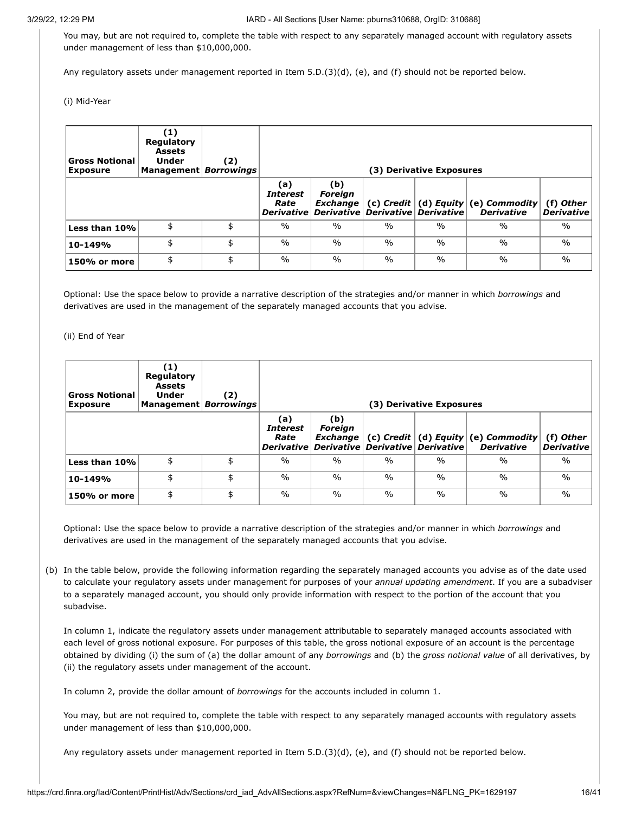You may, but are not required to, complete the table with respect to any separately managed account with regulatory assets under management of less than \$10,000,000.

Any regulatory assets under management reported in Item 5.D.(3)(d), (e), and (f) should not be reported below.

(i) Mid-Year

| <b>Gross Notional</b><br><b>Exposure</b> | $\bf(1)$<br>Regulatory<br>Assets<br><b>Under</b><br>Management   Borrowings | (2) |                                       |                                                                                        |               | (3) Derivative Exposures |                                                                      |                                |
|------------------------------------------|-----------------------------------------------------------------------------|-----|---------------------------------------|----------------------------------------------------------------------------------------|---------------|--------------------------|----------------------------------------------------------------------|--------------------------------|
|                                          |                                                                             |     | (a)<br><i><b>Interest</b></i><br>Rate | (b)<br><b>Foreign</b><br>Exchange<br>Derivative   Derivative   Derivative   Derivative |               |                          | (c) Credit $ $ (d) Equity $ $ (e) Commodity $ $<br><b>Derivative</b> | (f) Other<br><b>Derivative</b> |
| Less than 10%                            | \$                                                                          | \$  | $\frac{0}{0}$                         | $\frac{0}{0}$                                                                          | $\frac{0}{0}$ | $\frac{0}{0}$            | $\frac{0}{0}$                                                        | $\frac{0}{0}$                  |
| 10-149%                                  | \$                                                                          | \$  | $\frac{0}{0}$                         | $\frac{0}{0}$                                                                          | $\%$          | $\frac{0}{0}$            | $\frac{0}{0}$                                                        | $\frac{0}{0}$                  |
| 150% or more                             | \$                                                                          | \$  | $\frac{0}{0}$                         | $\frac{0}{0}$                                                                          | $\frac{0}{0}$ | $\frac{0}{0}$            | $\frac{0}{0}$                                                        | $\frac{0}{0}$                  |

Optional: Use the space below to provide a narrative description of the strategies and/or manner in which *borrowings* and derivatives are used in the management of the separately managed accounts that you advise.

### (ii) End of Year

| <b>Gross Notional</b><br><b>Exposure</b> | (1)<br>Regulatory<br>Assets<br>Under<br>Management <i>Borrowings</i> | (2) |                         |                                                                   |               | (3) Derivative Exposures |                                                                  |                                |
|------------------------------------------|----------------------------------------------------------------------|-----|-------------------------|-------------------------------------------------------------------|---------------|--------------------------|------------------------------------------------------------------|--------------------------------|
|                                          |                                                                      |     | (a)<br>Interest<br>Rate | (b)<br><b>Foreign</b><br><b>Exchange</b><br>Derivative Derivative |               | Derivative Derivative    | (c) Credit $ $ (d) Equity $ $ (e) Commodity<br><b>Derivative</b> | (f) Other<br><b>Derivative</b> |
| Less than 10%                            | \$                                                                   | \$  | $\frac{0}{0}$           | $\frac{0}{0}$                                                     | $\frac{0}{0}$ | $\frac{0}{0}$            | $\frac{0}{0}$                                                    | $\frac{0}{0}$                  |
| 10-149%                                  | \$                                                                   | \$  | $\frac{0}{0}$           | $\frac{0}{0}$                                                     | $\frac{0}{0}$ | $\frac{0}{0}$            | $\frac{0}{0}$                                                    | $\frac{0}{0}$                  |
| 150% or more                             | \$                                                                   | \$  | $\frac{0}{0}$           | 0/2                                                               | $\frac{0}{0}$ | $\frac{0}{0}$            | $\frac{0}{0}$                                                    | $\%$                           |

Optional: Use the space below to provide a narrative description of the strategies and/or manner in which *borrowings* and derivatives are used in the management of the separately managed accounts that you advise.

(b) In the table below, provide the following information regarding the separately managed accounts you advise as of the date used to calculate your regulatory assets under management for purposes of your *annual updating amendment*. If you are a subadviser to a separately managed account, you should only provide information with respect to the portion of the account that you subadvise.

In column 1, indicate the regulatory assets under management attributable to separately managed accounts associated with each level of gross notional exposure. For purposes of this table, the gross notional exposure of an account is the percentage obtained by dividing (i) the sum of (a) the dollar amount of any *borrowings* and (b) the *gross notional value* of all derivatives, by (ii) the regulatory assets under management of the account.

In column 2, provide the dollar amount of *borrowings* for the accounts included in column 1.

You may, but are not required to, complete the table with respect to any separately managed accounts with regulatory assets under management of less than \$10,000,000.

Any regulatory assets under management reported in Item 5.D.(3)(d), (e), and (f) should not be reported below.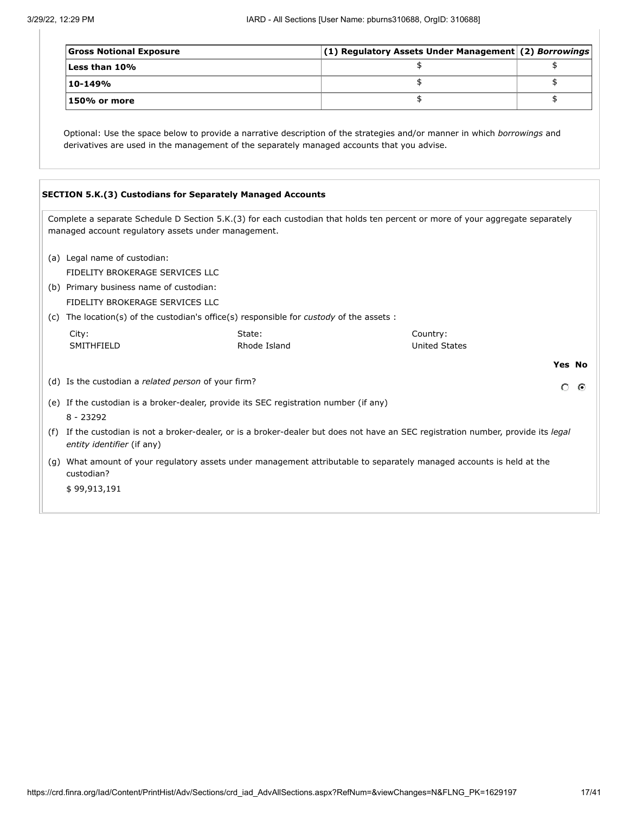| <b>Gross Notional Exposure</b> | $(1)$ Regulatory Assets Under Management (2) Borrowings |  |
|--------------------------------|---------------------------------------------------------|--|
| Less than 10%                  |                                                         |  |
| 10-149%                        |                                                         |  |
| 150% or more                   |                                                         |  |

Optional: Use the space below to provide a narrative description of the strategies and/or manner in which *borrowings* and derivatives are used in the management of the separately managed accounts that you advise.

## **SECTION 5.K.(3) Custodians for Separately Managed Accounts**

| Complete a separate Schedule D Section 5.K.(3) for each custodian that holds ten percent or more of your aggregate separately<br>managed account regulatory assets under management. |                                                                                                                                                              |              |                      |  |  |  |  |
|--------------------------------------------------------------------------------------------------------------------------------------------------------------------------------------|--------------------------------------------------------------------------------------------------------------------------------------------------------------|--------------|----------------------|--|--|--|--|
|                                                                                                                                                                                      | (a) Legal name of custodian:                                                                                                                                 |              |                      |  |  |  |  |
|                                                                                                                                                                                      | FIDELITY BROKERAGE SERVICES LLC                                                                                                                              |              |                      |  |  |  |  |
|                                                                                                                                                                                      | (b) Primary business name of custodian:                                                                                                                      |              |                      |  |  |  |  |
|                                                                                                                                                                                      | FIDELITY BROKERAGE SERVICES LLC                                                                                                                              |              |                      |  |  |  |  |
| (C)                                                                                                                                                                                  | The location(s) of the custodian's office(s) responsible for <i>custody</i> of the assets :                                                                  |              |                      |  |  |  |  |
|                                                                                                                                                                                      | City:                                                                                                                                                        | State:       | Country:             |  |  |  |  |
|                                                                                                                                                                                      | SMITHFIELD                                                                                                                                                   | Rhode Island | <b>United States</b> |  |  |  |  |
|                                                                                                                                                                                      |                                                                                                                                                              |              | Yes No               |  |  |  |  |
|                                                                                                                                                                                      | (d) Is the custodian a <i>related person</i> of your firm?                                                                                                   |              | O<br>O               |  |  |  |  |
|                                                                                                                                                                                      | (e) If the custodian is a broker-dealer, provide its SEC registration number (if any)                                                                        |              |                      |  |  |  |  |
|                                                                                                                                                                                      | $8 - 23292$                                                                                                                                                  |              |                      |  |  |  |  |
| (f)                                                                                                                                                                                  | If the custodian is not a broker-dealer, or is a broker-dealer but does not have an SEC registration number, provide its legal<br>entity identifier (if any) |              |                      |  |  |  |  |
| (q)                                                                                                                                                                                  | What amount of your regulatory assets under management attributable to separately managed accounts is held at the<br>custodian?                              |              |                      |  |  |  |  |
|                                                                                                                                                                                      | \$99,913,191                                                                                                                                                 |              |                      |  |  |  |  |
|                                                                                                                                                                                      |                                                                                                                                                              |              |                      |  |  |  |  |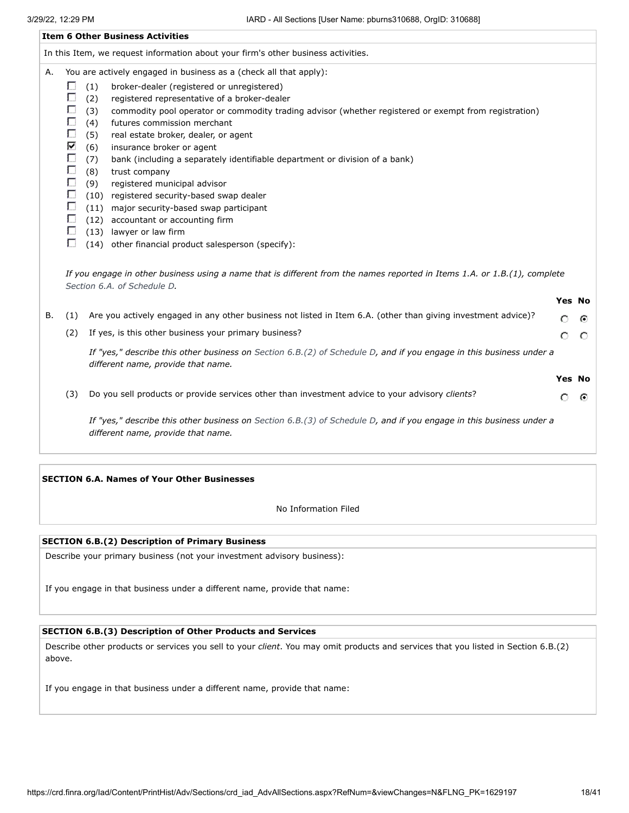|    | <b>Item 6 Other Business Activities</b>                                      |                                                                                                                                                                                                                                                                                                                                                                                                                                                                                                                                                                                                                                                                                                                                                                                                       |                    |          |  |  |
|----|------------------------------------------------------------------------------|-------------------------------------------------------------------------------------------------------------------------------------------------------------------------------------------------------------------------------------------------------------------------------------------------------------------------------------------------------------------------------------------------------------------------------------------------------------------------------------------------------------------------------------------------------------------------------------------------------------------------------------------------------------------------------------------------------------------------------------------------------------------------------------------------------|--------------------|----------|--|--|
|    |                                                                              | In this Item, we request information about your firm's other business activities.                                                                                                                                                                                                                                                                                                                                                                                                                                                                                                                                                                                                                                                                                                                     |                    |          |  |  |
| А. | П<br>Г<br>$\Box$<br>$\Box$<br>Г<br>⊽<br>П<br>П<br>Г<br>П<br>П<br>П<br>П<br>о | You are actively engaged in business as a (check all that apply):<br>(1)<br>broker-dealer (registered or unregistered)<br>(2)<br>registered representative of a broker-dealer<br>(3)<br>commodity pool operator or commodity trading advisor (whether registered or exempt from registration)<br>(4)<br>futures commission merchant<br>(5)<br>real estate broker, dealer, or agent<br>(6)<br>insurance broker or agent<br>(7)<br>bank (including a separately identifiable department or division of a bank)<br>(8)<br>trust company<br>(9)<br>registered municipal advisor<br>(10)<br>registered security-based swap dealer<br>(11)<br>major security-based swap participant<br>(12) accountant or accounting firm<br>(13) lawyer or law firm<br>(14) other financial product salesperson (specify): |                    |          |  |  |
|    |                                                                              | If you engage in other business using a name that is different from the names reported in Items 1.A. or 1.B.(1), complete<br>Section 6.A. of Schedule D.                                                                                                                                                                                                                                                                                                                                                                                                                                                                                                                                                                                                                                              |                    |          |  |  |
| В. | (1)<br>(2)                                                                   | Are you actively engaged in any other business not listed in Item 6.A. (other than giving investment advice)?<br>If yes, is this other business your primary business?                                                                                                                                                                                                                                                                                                                                                                                                                                                                                                                                                                                                                                | Yes No<br>Ο<br>O.  | ⊙<br>- 0 |  |  |
|    |                                                                              | If "yes," describe this other business on Section 6.B.(2) of Schedule D, and if you engage in this business under a<br>different name, provide that name.                                                                                                                                                                                                                                                                                                                                                                                                                                                                                                                                                                                                                                             |                    |          |  |  |
|    | (3)                                                                          | Do you sell products or provide services other than investment advice to your advisory clients?                                                                                                                                                                                                                                                                                                                                                                                                                                                                                                                                                                                                                                                                                                       | <b>Yes No</b><br>Ω | $\odot$  |  |  |
|    |                                                                              | If "yes," describe this other business on Section 6.B.(3) of Schedule D, and if you engage in this business under a<br>different name, provide that name.                                                                                                                                                                                                                                                                                                                                                                                                                                                                                                                                                                                                                                             |                    |          |  |  |
|    |                                                                              |                                                                                                                                                                                                                                                                                                                                                                                                                                                                                                                                                                                                                                                                                                                                                                                                       |                    |          |  |  |

**SECTION 6.A. Names of Your Other Businesses**

No Information Filed

## **SECTION 6.B.(2) Description of Primary Business**

Describe your primary business (not your investment advisory business):

If you engage in that business under a different name, provide that name:

### **SECTION 6.B.(3) Description of Other Products and Services**

Describe other products or services you sell to your *client*. You may omit products and services that you listed in Section 6.B.(2) above.

If you engage in that business under a different name, provide that name: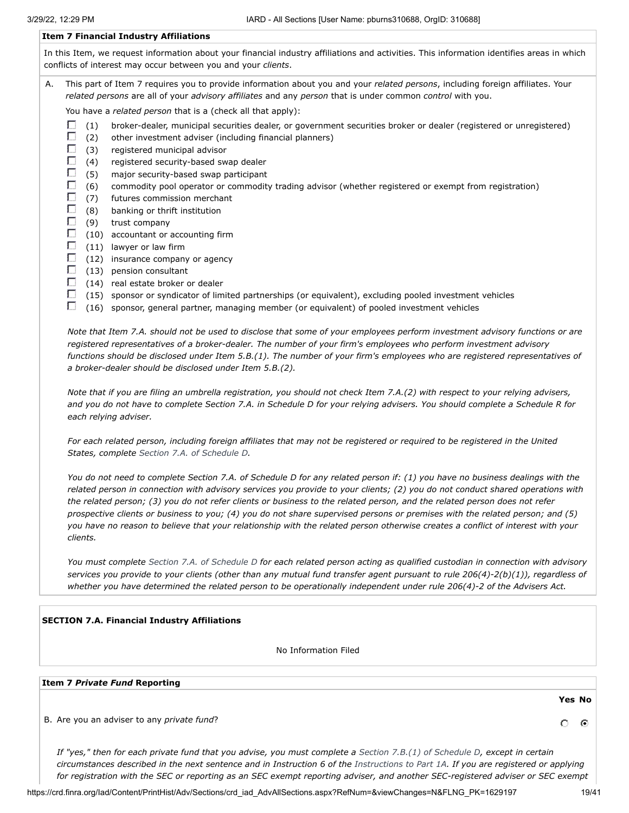### **Item 7 Financial Industry Affiliations**

In this Item, we request information about your financial industry affiliations and activities. This information identifies areas in which conflicts of interest may occur between you and your *clients*.

A. This part of Item 7 requires you to provide information about you and your *related persons*, including foreign affiliates. Your *related persons* are all of your *advisory affiliates* and any *person* that is under common *control* with you.

You have a *related person* that is a (check all that apply):

- $\Box$  (1) broker-dealer, municipal securities dealer, or government securities broker or dealer (registered or unregistered)
- $\Box$ (2) other investment adviser (including financial planners)
- $\Box$ (3) registered municipal advisor
- $\Box$ (4) registered security-based swap dealer
- $\Box$  (5) major security-based swap participant
- $\Box$ (6) commodity pool operator or commodity trading advisor (whether registered or exempt from registration)
- П (7) futures commission merchant
- $\Box$ (8) banking or thrift institution
- $\Box$ (9) trust company
- $\Box$ (10) accountant or accounting firm
- O. (11) lawyer or law firm
- $\Box$  (12) insurance company or agency
- $\Box$  (13) pension consultant
- $\Box$ (14) real estate broker or dealer
- $\Box$ (15) sponsor or syndicator of limited partnerships (or equivalent), excluding pooled investment vehicles
- O. (16) sponsor, general partner, managing member (or equivalent) of pooled investment vehicles

*Note that Item 7.A. should not be used to disclose that some of your employees perform investment advisory functions or are registered representatives of a broker-dealer. The number of your firm's employees who perform investment advisory functions should be disclosed under Item 5.B.(1). The number of your firm's employees who are registered representatives of a broker-dealer should be disclosed under Item 5.B.(2).*

*Note that if you are filing an umbrella registration, you should not check Item 7.A.(2) with respect to your relying advisers, and you do not have to complete Section 7.A. in Schedule D for your relying advisers. You should complete a Schedule R for each relying adviser.*

*For each related person, including foreign affiliates that may not be registered or required to be registered in the United States, complete Section 7.A. of Schedule D.* 

*You do not need to complete Section 7.A. of Schedule D for any related person if: (1) you have no business dealings with the related person in connection with advisory services you provide to your clients; (2) you do not conduct shared operations with the related person; (3) you do not refer clients or business to the related person, and the related person does not refer prospective clients or business to you; (4) you do not share supervised persons or premises with the related person; and (5) you have no reason to believe that your relationship with the related person otherwise creates a conflict of interest with your clients.* 

*You must complete Section 7.A. of Schedule D for each related person acting as qualified custodian in connection with advisory services you provide to your clients (other than any mutual fund transfer agent pursuant to rule 206(4)-2(b)(1)), regardless of whether you have determined the related person to be operationally independent under rule 206(4)-2 of the Advisers Act.*

### **SECTION 7.A. Financial Industry Affiliations**

No Information Filed

### **Item 7** *Private Fund* **Reporting**

B. Are you an adviser to any *private fund*?

*If "yes," then for each private fund that you advise, you must complete a Section 7.B.(1) of Schedule D, except in certain circumstances described in the next sentence and in Instruction 6 of the Instructions to Part 1A. If you are registered or applying for registration with the SEC or reporting as an SEC exempt reporting adviser, and another SEC-registered adviser or SEC exempt*

**Yes No**

О O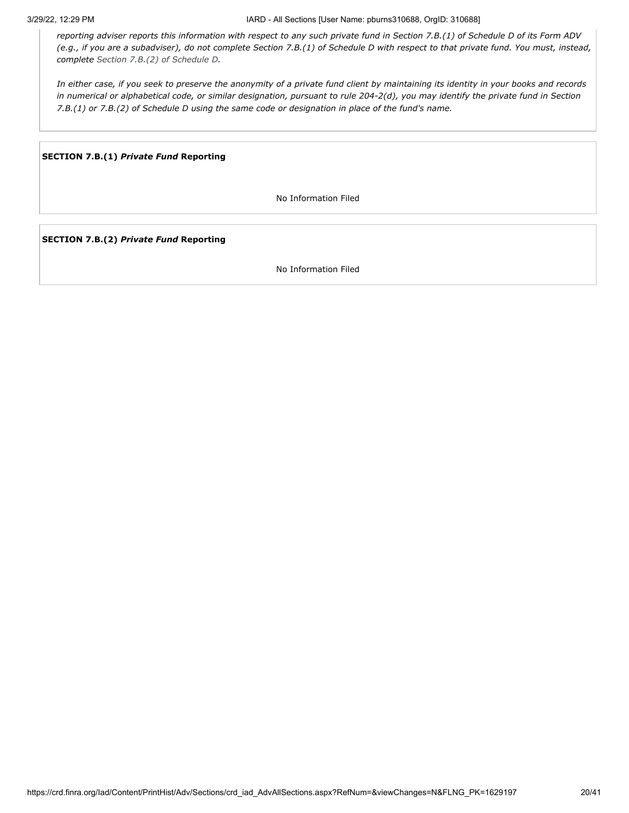*reporting adviser reports this information with respect to any such private fund in Section 7.B.(1) of Schedule D of its Form ADV (e.g., if you are a subadviser), do not complete Section 7.B.(1) of Schedule D with respect to that private fund. You must, instead, complete Section 7.B.(2) of Schedule D.*

*In either case, if you seek to preserve the anonymity of a private fund client by maintaining its identity in your books and records in numerical or alphabetical code, or similar designation, pursuant to rule 204-2(d), you may identify the private fund in Section 7.B.(1) or 7.B.(2) of Schedule D using the same code or designation in place of the fund's name.*

**SECTION 7.B.(1)** *Private Fund* **Reporting**

No Information Filed

**SECTION 7.B.(2)** *Private Fund* **Reporting**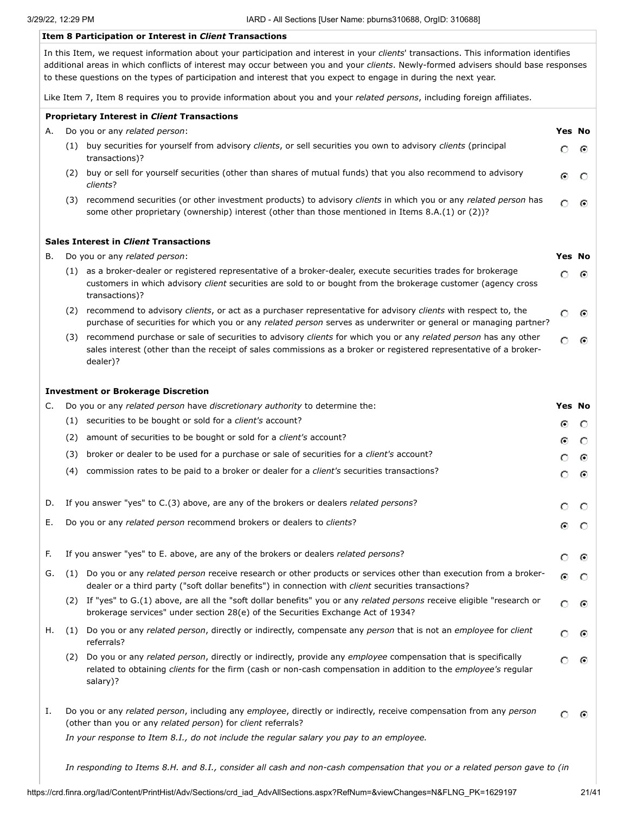### **Item 8 Participation or Interest in** *Client* **Transactions**

In this Item, we request information about your participation and interest in your *clients*' transactions. This information identifies additional areas in which conflicts of interest may occur between you and your *clients*. Newly-formed advisers should base responses to these questions on the types of participation and interest that you expect to engage in during the next year.

Like Item 7, Item 8 requires you to provide information about you and your *related persons*, including foreign affiliates.

|    | <b>Proprietary Interest in Client Transactions</b>                                                                                 |                                                                                                                                                                                                                                                    |               |   |  |
|----|------------------------------------------------------------------------------------------------------------------------------------|----------------------------------------------------------------------------------------------------------------------------------------------------------------------------------------------------------------------------------------------------|---------------|---|--|
| А. |                                                                                                                                    | Do you or any related person:                                                                                                                                                                                                                      | <b>Yes No</b> |   |  |
|    | (1) buy securities for yourself from advisory clients, or sell securities you own to advisory clients (principal<br>transactions)? |                                                                                                                                                                                                                                                    | o             | ⊙ |  |
|    |                                                                                                                                    | (2) buy or sell for yourself securities (other than shares of mutual funds) that you also recommend to advisory<br>clients?                                                                                                                        | Θ             |   |  |
|    |                                                                                                                                    | (3) recommend securities (or other investment products) to advisory clients in which you or any related person has<br>some other proprietary (ownership) interest (other than those mentioned in Items 8.A.(1) or (2))?                            |               | ⊙ |  |
|    |                                                                                                                                    | <b>Sales Interest in Client Transactions</b>                                                                                                                                                                                                       |               |   |  |
| В. |                                                                                                                                    | Do you or any related person:                                                                                                                                                                                                                      | <b>Yes No</b> |   |  |
|    |                                                                                                                                    | (1) as a broker-dealer or registered representative of a broker-dealer, execute securities trades for brokerage<br>customers in which advisory client securities are sold to or bought from the brokerage customer (agency cross<br>transactions)? | Ω             | ⊙ |  |
|    | (2)                                                                                                                                | recommend to advisory clients, or act as a purchaser representative for advisory clients with respect to, the<br>purchase of securities for which you or any related person serves as underwriter or general or managing partner?                  | о             | ⊙ |  |
|    | (3)                                                                                                                                | recommend purchase or sale of securities to advisory clients for which you or any related person has any other<br>sales interest (other than the receipt of sales commissions as a broker or registered representative of a broker-<br>dealer)?    | O             |   |  |
|    |                                                                                                                                    | <b>Investment or Brokerage Discretion</b>                                                                                                                                                                                                          |               |   |  |
| C. |                                                                                                                                    | Do you or any related person have discretionary authority to determine the:                                                                                                                                                                        | <b>Yes No</b> |   |  |
|    |                                                                                                                                    | (1) securities to be bought or sold for a <i>client's</i> account?                                                                                                                                                                                 | ⊙             | O |  |
|    | (2)                                                                                                                                | amount of securities to be bought or sold for a client's account?                                                                                                                                                                                  | ⊙             | O |  |
|    | (3)                                                                                                                                | broker or dealer to be used for a purchase or sale of securities for a client's account?                                                                                                                                                           | о             | ⊙ |  |
|    | (4)                                                                                                                                | commission rates to be paid to a broker or dealer for a client's securities transactions?                                                                                                                                                          | o             | ⊙ |  |
| D. |                                                                                                                                    | If you answer "yes" to C.(3) above, are any of the brokers or dealers related persons?                                                                                                                                                             | Ω             | O |  |
| Ε. |                                                                                                                                    | Do you or any related person recommend brokers or dealers to clients?                                                                                                                                                                              | Θ             | O |  |
| F. |                                                                                                                                    | If you answer "yes" to E. above, are any of the brokers or dealers related persons?                                                                                                                                                                |               |   |  |
| G. |                                                                                                                                    | (1) Do you or any related person receive research or other products or services other than execution from a broker-<br>dealer or a third party ("soft dollar benefits") in connection with <i>client</i> securities transactions?                  | Θ             | O |  |
|    |                                                                                                                                    | (2) If "yes" to G.(1) above, are all the "soft dollar benefits" you or any related persons receive eligible "research or<br>brokerage services" under section 28(e) of the Securities Exchange Act of 1934?                                        |               | ⊙ |  |
| Η. | (1)                                                                                                                                | Do you or any related person, directly or indirectly, compensate any person that is not an employee for client<br>referrals?                                                                                                                       | О             | ⊙ |  |
|    | (2)                                                                                                                                | Do you or any related person, directly or indirectly, provide any employee compensation that is specifically<br>related to obtaining clients for the firm (cash or non-cash compensation in addition to the employee's regular<br>salary)?         |               | ⊙ |  |
| Ι. |                                                                                                                                    | Do you or any related person, including any employee, directly or indirectly, receive compensation from any person<br>(other than you or any related person) for client referrals?                                                                 |               | ⊙ |  |
|    |                                                                                                                                    | In your response to Item 8.1., do not include the regular salary you pay to an employee.                                                                                                                                                           |               |   |  |
|    |                                                                                                                                    | In responding to Items 8.H. and 8.I., consider all cash and non-cash compensation that you or a related person gave to (in                                                                                                                         |               |   |  |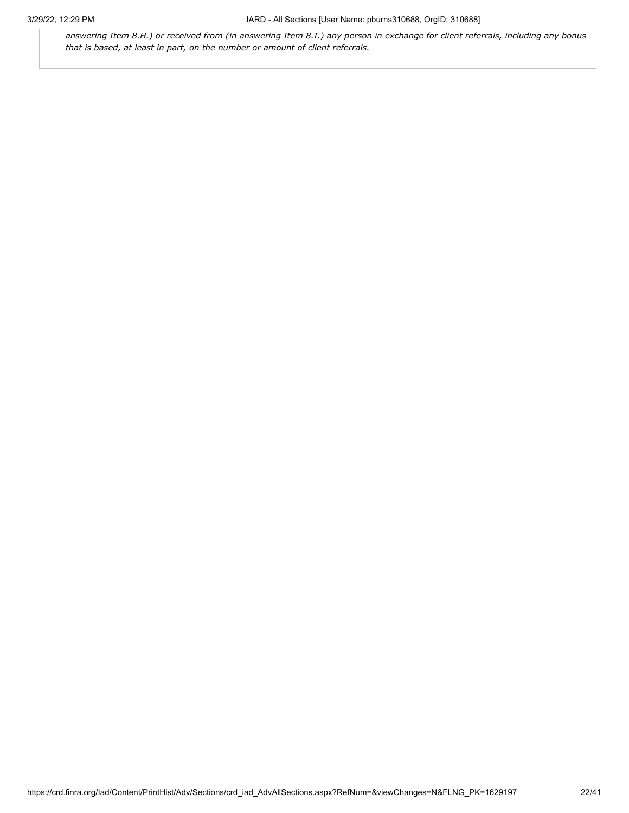*answering Item 8.H.) or received from (in answering Item 8.I.) any person in exchange for client referrals, including any bonus that is based, at least in part, on the number or amount of client referrals.*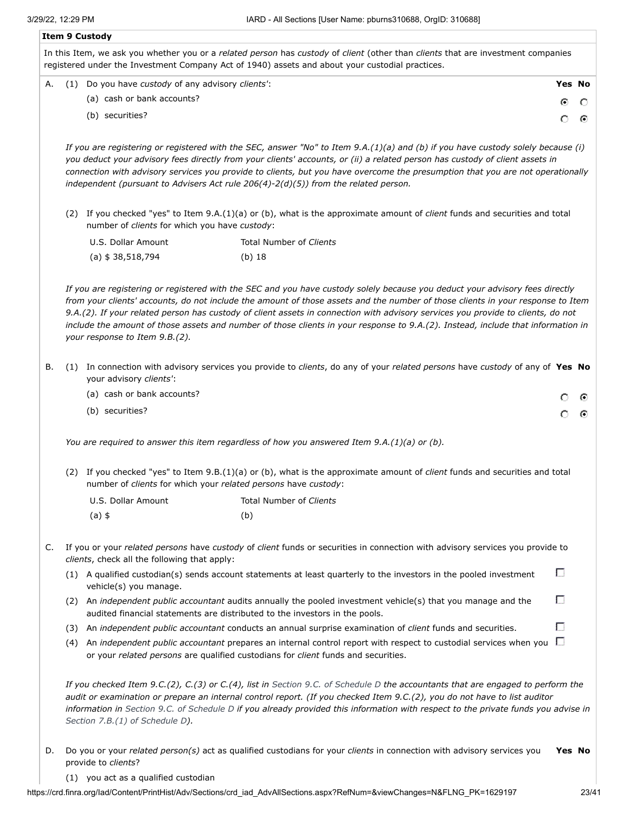### **Item 9 Custody**

In this Item, we ask you whether you or a *related person* has *custody* of *client* (other than *clients* that are investment companies registered under the Investment Company Act of 1940) assets and about your custodial practices.

| A. (1) Do you have custody of any advisory clients': |  |                            | <b>Yes No</b> |  |  |
|------------------------------------------------------|--|----------------------------|---------------|--|--|
|                                                      |  | (a) cash or bank accounts? | ⊙.            |  |  |
|                                                      |  | (b) securities?            |               |  |  |

*If you are registering or registered with the SEC, answer "No" to Item 9.A.(1)(a) and (b) if you have custody solely because (i) you deduct your advisory fees directly from your clients' accounts, or (ii) a related person has custody of client assets in connection with advisory services you provide to clients, but you have overcome the presumption that you are not operationally independent (pursuant to Advisers Act rule 206(4)-2(d)(5)) from the related person.*

(2) If you checked "yes" to Item 9.A.(1)(a) or (b), what is the approximate amount of *client* funds and securities and total number of *clients* for which you have *custody*:

| U.S. Dollar Amount | Total Number of Clients |
|--------------------|-------------------------|
| (a) \$38,518,794   | $(b)$ 18                |

*If you are registering or registered with the SEC and you have custody solely because you deduct your advisory fees directly from your clients' accounts, do not include the amount of those assets and the number of those clients in your response to Item 9.A.(2). If your related person has custody of client assets in connection with advisory services you provide to clients, do not include the amount of those assets and number of those clients in your response to 9.A.(2). Instead, include that information in your response to Item 9.B.(2).*

|  | B. (1) In connection with advisory services you provide to <i>clients</i> , do any of your <i>related persons</i> have <i>custody</i> of any of Yes No |      |  |
|--|--------------------------------------------------------------------------------------------------------------------------------------------------------|------|--|
|  | your advisory <i>clients'</i> :                                                                                                                        |      |  |
|  | (a) cash or bank accounts?                                                                                                                             | O 0. |  |

(b) securities?

*You are required to answer this item regardless of how you answered Item 9.A.(1)(a) or (b).*

(2) If you checked "yes" to Item 9.B.(1)(a) or (b), what is the approximate amount of *client* funds and securities and total number of *clients* for which your *related persons* have *custody*:

| U.S. Dollar Amount | Total Number of Clients |
|--------------------|-------------------------|
| (a) \$             | (b)                     |

- C. If you or your *related persons* have *custody* of *client* funds or securities in connection with advisory services you provide to *clients*, check all the following that apply:
	- П (1) A qualified custodian(s) sends account statements at least quarterly to the investors in the pooled investment vehicle(s) you manage.
	- П (2) An *independent public accountant* audits annually the pooled investment vehicle(s) that you manage and the audited financial statements are distributed to the investors in the pools.
	- (3) An *independent public accountant* conducts an annual surprise examination of *client* funds and securities.
	- (4) An *independent public accountant* prepares an internal control report with respect to custodial services when you or your *related persons* are qualified custodians for *client* funds and securities.

*If you checked Item 9.C.(2), C.(3) or C.(4), list in Section 9.C. of Schedule D the accountants that are engaged to perform the audit or examination or prepare an internal control report. (If you checked Item 9.C.(2), you do not have to list auditor information in Section 9.C. of Schedule D if you already provided this information with respect to the private funds you advise in Section 7.B.(1) of Schedule D).*

D. Do you or your *related person(s)* act as qualified custodians for your *clients* in connection with advisory services you provide to *clients*? **Yes No**

(1) you act as a qualified custodian

https://crd.finra.org/Iad/Content/PrintHist/Adv/Sections/crd\_iad\_AdvAllSections.aspx?RefNum=&viewChanges=N&FLNG\_PK=1629197 23/41

- 0 0.

П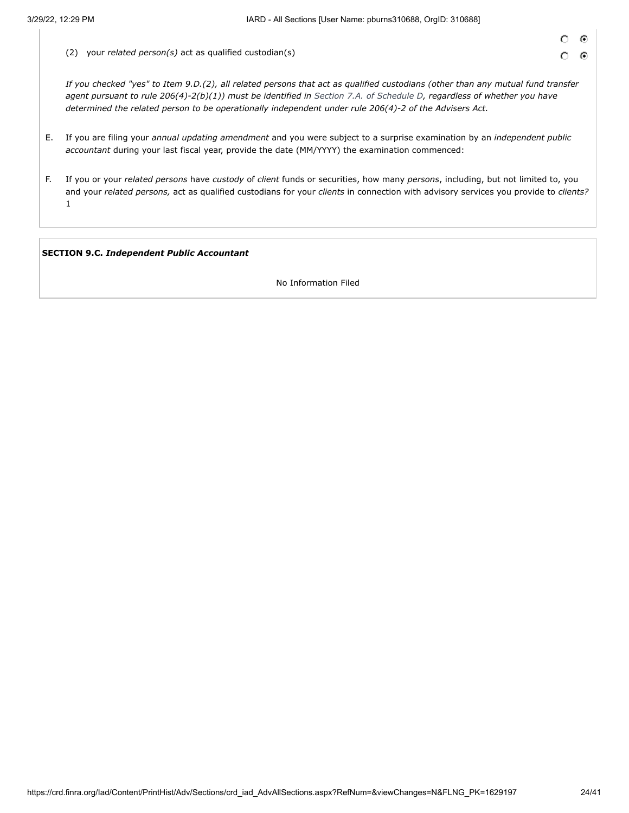◠ ◠

G

 $\epsilon$ 

(2) your *related person(s)* act as qualified custodian(s)

*If you checked "yes" to Item 9.D.(2), all related persons that act as qualified custodians (other than any mutual fund transfer agent pursuant to rule 206(4)-2(b)(1)) must be identified in Section 7.A. of Schedule D, regardless of whether you have determined the related person to be operationally independent under rule 206(4)-2 of the Advisers Act.*

- E. If you are filing your *annual updating amendment* and you were subject to a surprise examination by an *independent public accountant* during your last fiscal year, provide the date (MM/YYYY) the examination commenced:
- F. If you or your *related persons* have *custody* of *client* funds or securities, how many *persons*, including, but not limited to, you and your *related persons,* act as qualified custodians for your *clients* in connection with advisory services you provide to *clients?* 1

**SECTION 9.C.** *Independent Public Accountant*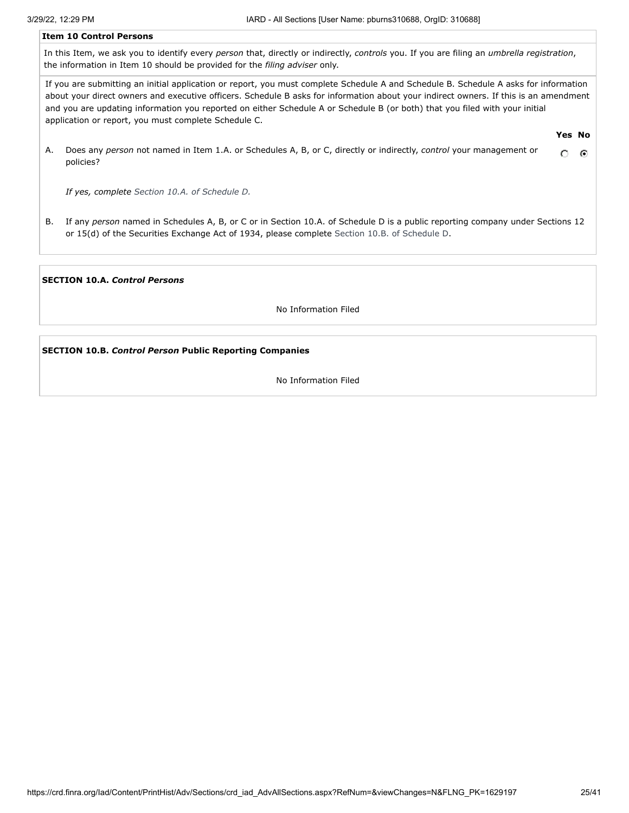### **Item 10 Control Persons**

In this Item, we ask you to identify every *person* that, directly or indirectly, *controls* you. If you are filing an *umbrella registration*, the information in Item 10 should be provided for the *filing adviser* only.

If you are submitting an initial application or report, you must complete Schedule A and Schedule B. Schedule A asks for information about your direct owners and executive officers. Schedule B asks for information about your indirect owners. If this is an amendment and you are updating information you reported on either Schedule A or Schedule B (or both) that you filed with your initial application or report, you must complete Schedule C.

**Yes No**

A. Does any *person* not named in Item 1.A. or Schedules A, B, or C, directly or indirectly, *control* your management or  $\circ$ ⊙ policies?

*If yes, complete Section 10.A. of Schedule D.*

B. If any *person* named in Schedules A, B, or C or in Section 10.A. of Schedule D is a public reporting company under Sections 12 or 15(d) of the Securities Exchange Act of 1934, please complete Section 10.B. of Schedule D.

### **SECTION 10.A.** *Control Persons*

No Information Filed

## **SECTION 10.B.** *Control Person* **Public Reporting Companies**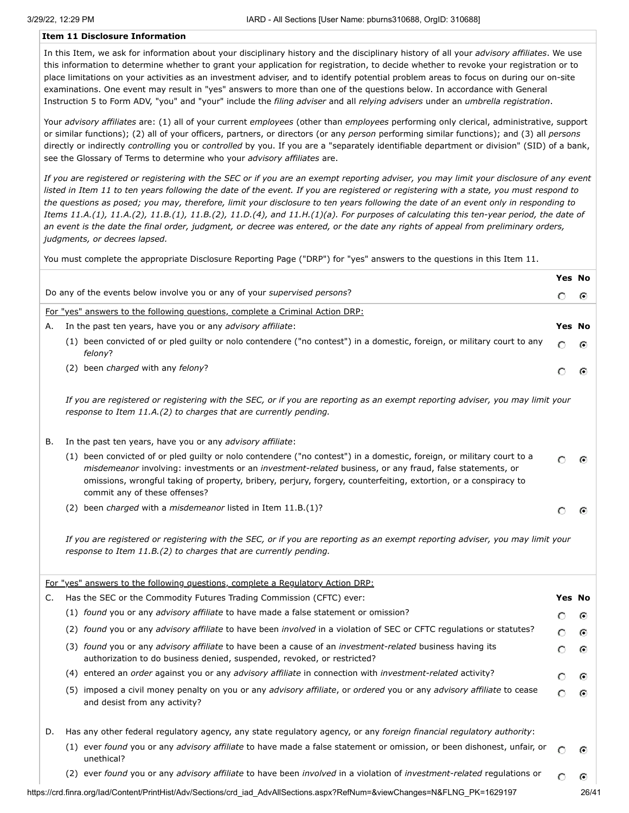### **Item 11 Disclosure Information**

In this Item, we ask for information about your disciplinary history and the disciplinary history of all your *advisory affiliates*. We use this information to determine whether to grant your application for registration, to decide whether to revoke your registration or to place limitations on your activities as an investment adviser, and to identify potential problem areas to focus on during our on-site examinations. One event may result in "yes" answers to more than one of the questions below. In accordance with General Instruction 5 to Form ADV, "you" and "your" include the *filing adviser* and all *relying advisers* under an *umbrella registration*.

Your *advisory affiliates* are: (1) all of your current *employees* (other than *employees* performing only clerical, administrative, support or similar functions); (2) all of your officers, partners, or directors (or any *person* performing similar functions); and (3) all *persons* directly or indirectly *controlling* you or *controlled* by you. If you are a "separately identifiable department or division" (SID) of a bank, see the Glossary of Terms to determine who your *advisory affiliates* are.

*If you are registered or registering with the SEC or if you are an exempt reporting adviser, you may limit your disclosure of any event listed in Item 11 to ten years following the date of the event. If you are registered or registering with a state, you must respond to the questions as posed; you may, therefore, limit your disclosure to ten years following the date of an event only in responding to Items 11.A.(1), 11.A.(2), 11.B.(1), 11.B.(2), 11.D.(4), and 11.H.(1)(a). For purposes of calculating this ten-year period, the date of an event is the date the final order, judgment, or decree was entered, or the date any rights of appeal from preliminary orders, judgments, or decrees lapsed.*

You must complete the appropriate Disclosure Reporting Page ("DRP") for "yes" answers to the questions in this Item 11.

|          |                                                                                                                                                                                                                                                                                                                                                                                                      | <b>Yes No</b> |                                      |
|----------|------------------------------------------------------------------------------------------------------------------------------------------------------------------------------------------------------------------------------------------------------------------------------------------------------------------------------------------------------------------------------------------------------|---------------|--------------------------------------|
|          | Do any of the events below involve you or any of your <i>supervised persons?</i>                                                                                                                                                                                                                                                                                                                     | Ω             | Θ                                    |
|          | For "yes" answers to the following questions, complete a Criminal Action DRP:                                                                                                                                                                                                                                                                                                                        |               |                                      |
| Α.       | In the past ten years, have you or any advisory affiliate:                                                                                                                                                                                                                                                                                                                                           | <b>Yes No</b> |                                      |
|          | (1) been convicted of or pled quilty or nolo contendere ("no contest") in a domestic, foreign, or military court to any<br>felony?                                                                                                                                                                                                                                                                   | O             | ⊙                                    |
|          | (2) been charged with any felony?                                                                                                                                                                                                                                                                                                                                                                    | О             | ⊙                                    |
|          | If you are registered or registering with the SEC, or if you are reporting as an exempt reporting adviser, you may limit your<br>response to Item 11.A.(2) to charges that are currently pending.                                                                                                                                                                                                    |               |                                      |
| В.       | In the past ten years, have you or any <i>advisory affiliate</i> :                                                                                                                                                                                                                                                                                                                                   |               |                                      |
|          | (1) been convicted of or pled guilty or nolo contendere ("no contest") in a domestic, foreign, or military court to a<br><i>misdemeanor</i> involving: investments or an <i>investment-related</i> business, or any fraud, false statements, or<br>omissions, wrongful taking of property, bribery, perjury, forgery, counterfeiting, extortion, or a conspiracy to<br>commit any of these offenses? | с             | G                                    |
|          |                                                                                                                                                                                                                                                                                                                                                                                                      |               |                                      |
|          | (2) been <i>charged</i> with a <i>misdemeanor</i> listed in Item 11.B.(1)?<br>If you are registered or registering with the SEC, or if you are reporting as an exempt reporting adviser, you may limit your<br>response to Item $11.B.(2)$ to charges that are currently pending.                                                                                                                    | О             |                                      |
|          | For "yes" answers to the following questions, complete a Regulatory Action DRP:                                                                                                                                                                                                                                                                                                                      |               |                                      |
|          |                                                                                                                                                                                                                                                                                                                                                                                                      | Yes No        |                                      |
|          | Has the SEC or the Commodity Futures Trading Commission (CFTC) ever:<br>(1) found you or any <i>advisory affiliate</i> to have made a false statement or omission?                                                                                                                                                                                                                                   |               |                                      |
|          | (2) found you or any advisory affiliate to have been involved in a violation of SEC or CFTC regulations or statutes?                                                                                                                                                                                                                                                                                 | O             |                                      |
|          | (3) found you or any advisory affiliate to have been a cause of an investment-related business having its<br>authorization to do business denied, suspended, revoked, or restricted?                                                                                                                                                                                                                 | O<br>Ω        |                                      |
|          | (4) entered an order against you or any advisory affiliate in connection with investment-related activity?                                                                                                                                                                                                                                                                                           | O             |                                      |
|          | (5) imposed a civil money penalty on you or any advisory affiliate, or ordered you or any advisory affiliate to cease<br>and desist from any activity?                                                                                                                                                                                                                                               | О             |                                      |
|          | Has any other federal regulatory agency, any state regulatory agency, or any foreign financial regulatory authority:                                                                                                                                                                                                                                                                                 |               |                                      |
|          | (1) ever found you or any advisory affiliate to have made a false statement or omission, or been dishonest, unfair, or<br>unethical?                                                                                                                                                                                                                                                                 | O             |                                      |
| C.<br>D. | (2) ever found you or any advisory affiliate to have been involved in a violation of investment-related regulations or                                                                                                                                                                                                                                                                               | Ο             | G<br>⊙<br>⊙<br>⊙<br>⊙<br>⊙<br>⊙<br>Θ |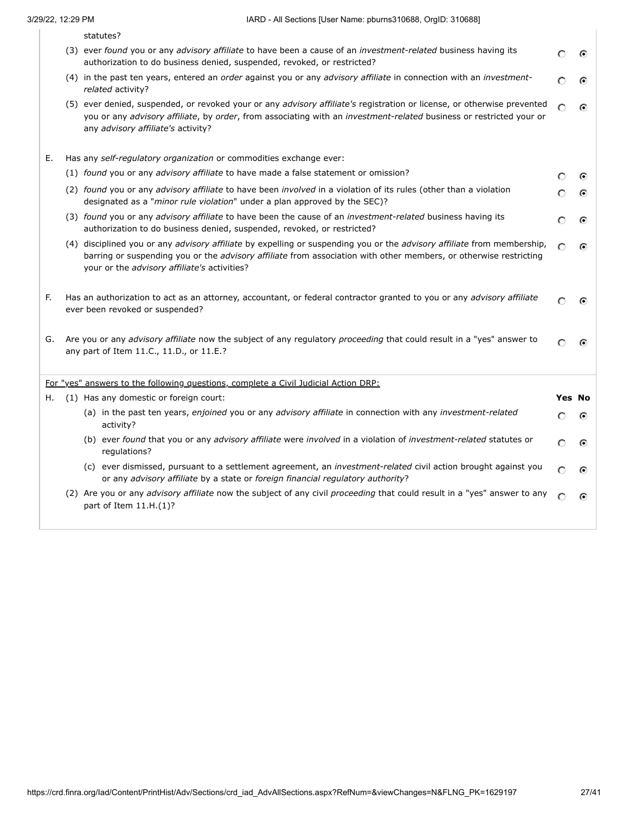| statutes? |
|-----------|
|-----------|

|    | (3) ever found you or any advisory affiliate to have been a cause of an investment-related business having its<br>authorization to do business denied, suspended, revoked, or restricted?                                                                                                    |        |   |
|----|----------------------------------------------------------------------------------------------------------------------------------------------------------------------------------------------------------------------------------------------------------------------------------------------|--------|---|
|    | (4) in the past ten years, entered an order against you or any advisory affiliate in connection with an investment-<br>related activity?                                                                                                                                                     | С      |   |
|    | (5) ever denied, suspended, or revoked your or any advisory affiliate's registration or license, or otherwise prevented<br>you or any advisory affiliate, by order, from associating with an investment-related business or restricted your or<br>any advisory affiliate's activity?         | О      | ⊙ |
| E. | Has any self-regulatory organization or commodities exchange ever:                                                                                                                                                                                                                           |        |   |
|    | (1) found you or any advisory affiliate to have made a false statement or omission?                                                                                                                                                                                                          | Ω      | ⊙ |
|    | (2) found you or any advisory affiliate to have been involved in a violation of its rules (other than a violation<br>designated as a "minor rule violation" under a plan approved by the SEC)?                                                                                               |        | ⊙ |
|    | (3) found you or any advisory affiliate to have been the cause of an investment-related business having its<br>authorization to do business denied, suspended, revoked, or restricted?                                                                                                       |        |   |
|    | (4) disciplined you or any advisory affiliate by expelling or suspending you or the advisory affiliate from membership,<br>barring or suspending you or the advisory affiliate from association with other members, or otherwise restricting<br>your or the advisory affiliate's activities? | C      | ⊙ |
| F. | Has an authorization to act as an attorney, accountant, or federal contractor granted to you or any advisory affiliate<br>ever been revoked or suspended?                                                                                                                                    | с      | ⊙ |
| G. | Are you or any advisory affiliate now the subject of any regulatory proceeding that could result in a "yes" answer to<br>any part of Item 11.C., 11.D., or 11.E.?                                                                                                                            |        | ⊙ |
|    | For "yes" answers to the following questions, complete a Civil Judicial Action DRP:                                                                                                                                                                                                          |        |   |
| Н. | (1) Has any domestic or foreign court:                                                                                                                                                                                                                                                       | Yes No |   |
|    | (a) in the past ten years, enjoined you or any advisory affiliate in connection with any investment-related<br>activity?                                                                                                                                                                     |        | ⊙ |
|    | (b) ever found that you or any advisory affiliate were involved in a violation of investment-related statutes or<br>regulations?                                                                                                                                                             |        | ⊙ |
|    | (c) ever dismissed, pursuant to a settlement agreement, an <i>investment-related</i> civil action brought against you<br>or any advisory affiliate by a state or foreign financial regulatory authority?                                                                                     |        |   |
|    | (2) Are you or any advisory affiliate now the subject of any civil proceeding that could result in a "yes" answer to any<br>part of Item 11.H.(1)?                                                                                                                                           | О      | ⊙ |
|    |                                                                                                                                                                                                                                                                                              |        |   |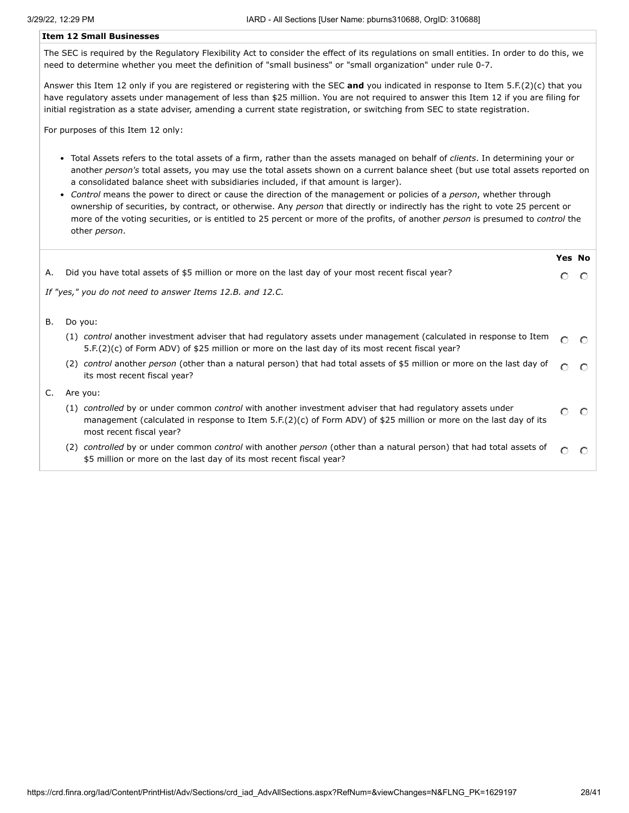### **Item 12 Small Businesses**

The SEC is required by the Regulatory Flexibility Act to consider the effect of its regulations on small entities. In order to do this, we need to determine whether you meet the definition of "small business" or "small organization" under rule 0-7.

Answer this Item 12 only if you are registered or registering with the SEC **and** you indicated in response to Item 5.F.(2)(c) that you have regulatory assets under management of less than \$25 million. You are not required to answer this Item 12 if you are filing for initial registration as a state adviser, amending a current state registration, or switching from SEC to state registration.

For purposes of this Item 12 only:

- Total Assets refers to the total assets of a firm, rather than the assets managed on behalf of *clients*. In determining your or another *person's* total assets, you may use the total assets shown on a current balance sheet (but use total assets reported on a consolidated balance sheet with subsidiaries included, if that amount is larger).
- *Control* means the power to direct or cause the direction of the management or policies of a *person*, whether through ownership of securities, by contract, or otherwise. Any *person* that directly or indirectly has the right to vote 25 percent or more of the voting securities, or is entitled to 25 percent or more of the profits, of another *person* is presumed to *control* the other *person*.

|    |                                                                                                                                                                                                                                                             | <b>Yes No</b> |  |
|----|-------------------------------------------------------------------------------------------------------------------------------------------------------------------------------------------------------------------------------------------------------------|---------------|--|
| А. | Did you have total assets of \$5 million or more on the last day of your most recent fiscal year?                                                                                                                                                           |               |  |
|    | If "yes," you do not need to answer Items 12.B. and 12.C.                                                                                                                                                                                                   |               |  |
| В. | Do you:                                                                                                                                                                                                                                                     |               |  |
|    | (1) control another investment adviser that had regulatory assets under management (calculated in response to Item<br>5.F.(2)(c) of Form ADV) of \$25 million or more on the last day of its most recent fiscal year?                                       |               |  |
|    | control another person (other than a natural person) that had total assets of \$5 million or more on the last day of<br>(2)<br>its most recent fiscal year?                                                                                                 |               |  |
| C. | Are you:                                                                                                                                                                                                                                                    |               |  |
|    | (1) controlled by or under common control with another investment adviser that had regulatory assets under<br>management (calculated in response to Item 5.F.(2)(c) of Form ADV) of \$25 million or more on the last day of its<br>most recent fiscal year? | О             |  |
|    | controlled by or under common control with another person (other than a natural person) that had total assets of<br>(2)<br>\$5 million or more on the last day of its most recent fiscal year?                                                              |               |  |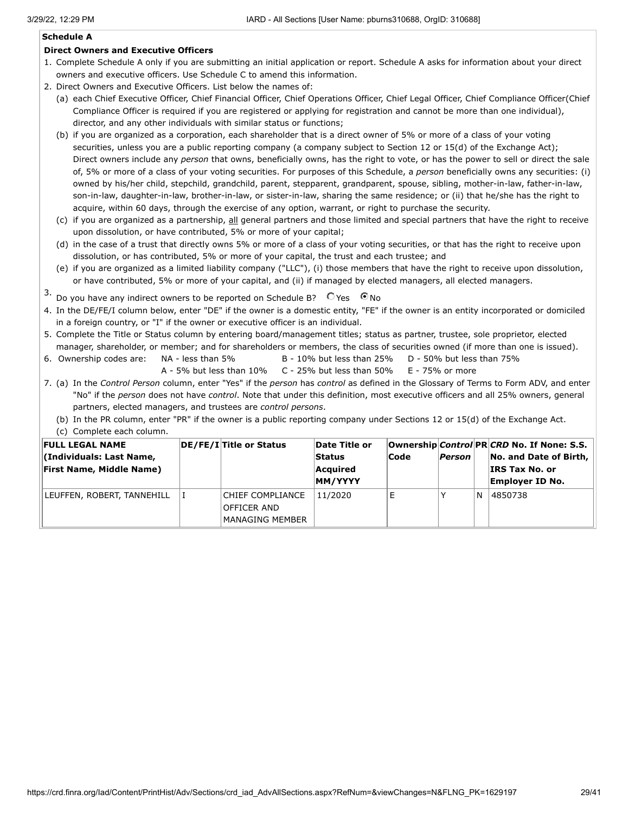## **Schedule A**

## **Direct Owners and Executive Officers**

- 1. Complete Schedule A only if you are submitting an initial application or report. Schedule A asks for information about your direct owners and executive officers. Use Schedule C to amend this information.
- 2. Direct Owners and Executive Officers. List below the names of:
	- (a) each Chief Executive Officer, Chief Financial Officer, Chief Operations Officer, Chief Legal Officer, Chief Compliance Officer(Chief Compliance Officer is required if you are registered or applying for registration and cannot be more than one individual), director, and any other individuals with similar status or functions;
	- (b) if you are organized as a corporation, each shareholder that is a direct owner of 5% or more of a class of your voting securities, unless you are a public reporting company (a company subject to Section 12 or 15(d) of the Exchange Act); Direct owners include any *person* that owns, beneficially owns, has the right to vote, or has the power to sell or direct the sale of, 5% or more of a class of your voting securities. For purposes of this Schedule, a *person* beneficially owns any securities: (i) owned by his/her child, stepchild, grandchild, parent, stepparent, grandparent, spouse, sibling, mother-in-law, father-in-law, son-in-law, daughter-in-law, brother-in-law, or sister-in-law, sharing the same residence; or (ii) that he/she has the right to acquire, within 60 days, through the exercise of any option, warrant, or right to purchase the security.
	- (c) if you are organized as a partnership, all general partners and those limited and special partners that have the right to receive upon dissolution, or have contributed, 5% or more of your capital;
	- (d) in the case of a trust that directly owns 5% or more of a class of your voting securities, or that has the right to receive upon dissolution, or has contributed, 5% or more of your capital, the trust and each trustee; and
	- (e) if you are organized as a limited liability company ("LLC"), (i) those members that have the right to receive upon dissolution, or have contributed, 5% or more of your capital, and (ii) if managed by elected managers, all elected managers.
- 3. Do you have any indirect owners to be reported on Schedule B?  $\bigcirc$  Yes  $\bigcirc$  No
- 4. In the DE/FE/I column below, enter "DE" if the owner is a domestic entity, "FE" if the owner is an entity incorporated or domiciled in a foreign country, or "I" if the owner or executive officer is an individual.
- 5. Complete the Title or Status column by entering board/management titles; status as partner, trustee, sole proprietor, elected manager, shareholder, or member; and for shareholders or members, the class of securities owned (if more than one is issued).
- 6. Ownership codes are: NA less than 5% B 10% but less than 25% D 50% but less than 75%
	- A 5% but less than  $10\%$  C 25% but less than  $50\%$  E 75% or more

7. (a) In the *Control Person* column, enter "Yes" if the *person* has *control* as defined in the Glossary of Terms to Form ADV, and enter "No" if the *person* does not have *control*. Note that under this definition, most executive officers and all 25% owners, general partners, elected managers, and trustees are *control persons*.

(b) In the PR column, enter "PR" if the owner is a public reporting company under Sections 12 or 15(d) of the Exchange Act.

| (c) Complete each column. |  |
|---------------------------|--|
|                           |  |

| <b>FULL LEGAL NAME</b><br>(Individuals: Last Name,<br><b>First Name, Middle Name)</b> | DE/FE/I Title or Status                                   | Date Title or<br><b>Status</b><br>Acquired<br>MM/YYYY | <b>Code</b> | Person |   | Ownership Control PR CRD No. If None: S.S.<br>$\vert$ No. and Date of Birth, $\vert$<br><b>IRS Tax No. or</b><br><b>Employer ID No.</b> |
|---------------------------------------------------------------------------------------|-----------------------------------------------------------|-------------------------------------------------------|-------------|--------|---|-----------------------------------------------------------------------------------------------------------------------------------------|
| LEUFFEN, ROBERT, TANNEHILL                                                            | CHIEF COMPLIANCE<br>OFFICER AND<br><b>MANAGING MEMBER</b> | 11/2020                                               |             |        | N | 4850738                                                                                                                                 |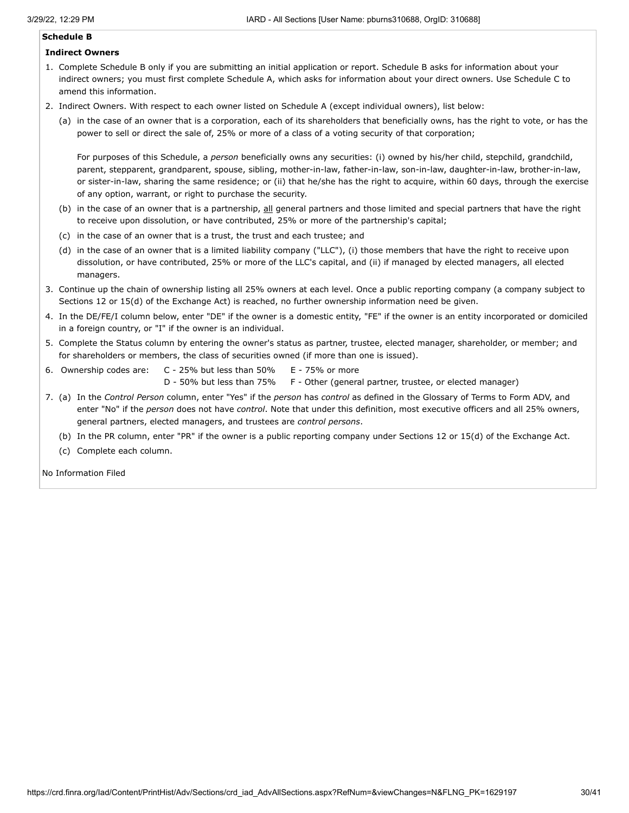### **Schedule B**

## **Indirect Owners**

- 1. Complete Schedule B only if you are submitting an initial application or report. Schedule B asks for information about your indirect owners; you must first complete Schedule A, which asks for information about your direct owners. Use Schedule C to amend this information.
- 2. Indirect Owners. With respect to each owner listed on Schedule A (except individual owners), list below:
	- (a) in the case of an owner that is a corporation, each of its shareholders that beneficially owns, has the right to vote, or has the power to sell or direct the sale of, 25% or more of a class of a voting security of that corporation;

For purposes of this Schedule, a *person* beneficially owns any securities: (i) owned by his/her child, stepchild, grandchild, parent, stepparent, grandparent, spouse, sibling, mother-in-law, father-in-law, son-in-law, daughter-in-law, brother-in-law, or sister-in-law, sharing the same residence; or (ii) that he/she has the right to acquire, within 60 days, through the exercise of any option, warrant, or right to purchase the security.

- (b) in the case of an owner that is a partnership, all general partners and those limited and special partners that have the right to receive upon dissolution, or have contributed, 25% or more of the partnership's capital;
- (c) in the case of an owner that is a trust, the trust and each trustee; and
- (d) in the case of an owner that is a limited liability company ("LLC"), (i) those members that have the right to receive upon dissolution, or have contributed, 25% or more of the LLC's capital, and (ii) if managed by elected managers, all elected managers.
- 3. Continue up the chain of ownership listing all 25% owners at each level. Once a public reporting company (a company subject to Sections 12 or 15(d) of the Exchange Act) is reached, no further ownership information need be given.
- 4. In the DE/FE/I column below, enter "DE" if the owner is a domestic entity, "FE" if the owner is an entity incorporated or domiciled in a foreign country, or "I" if the owner is an individual.
- 5. Complete the Status column by entering the owner's status as partner, trustee, elected manager, shareholder, or member; and for shareholders or members, the class of securities owned (if more than one is issued).
- 6. Ownership codes are: C 25% but less than 50% E 75% or more
	-
- D 50% but less than 75% F Other (general partner, trustee, or elected manager)
- 7. (a) In the *Control Person* column, enter "Yes" if the *person* has *control* as defined in the Glossary of Terms to Form ADV, and enter "No" if the *person* does not have *control*. Note that under this definition, most executive officers and all 25% owners, general partners, elected managers, and trustees are *control persons*.
	- (b) In the PR column, enter "PR" if the owner is a public reporting company under Sections 12 or 15(d) of the Exchange Act.
	- (c) Complete each column.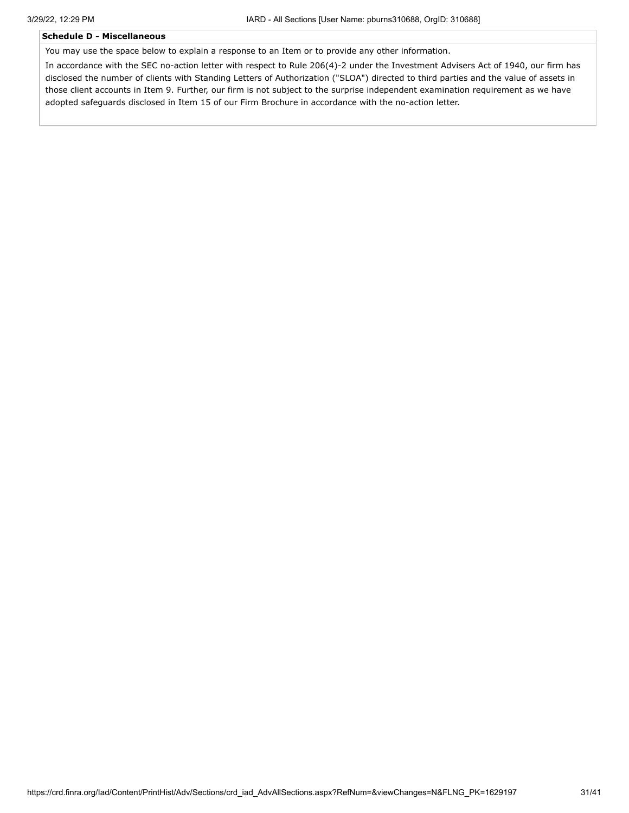## **Schedule D - Miscellaneous**

You may use the space below to explain a response to an Item or to provide any other information.

In accordance with the SEC no-action letter with respect to Rule 206(4)-2 under the Investment Advisers Act of 1940, our firm has disclosed the number of clients with Standing Letters of Authorization ("SLOA") directed to third parties and the value of assets in those client accounts in Item 9. Further, our firm is not subject to the surprise independent examination requirement as we have adopted safeguards disclosed in Item 15 of our Firm Brochure in accordance with the no-action letter.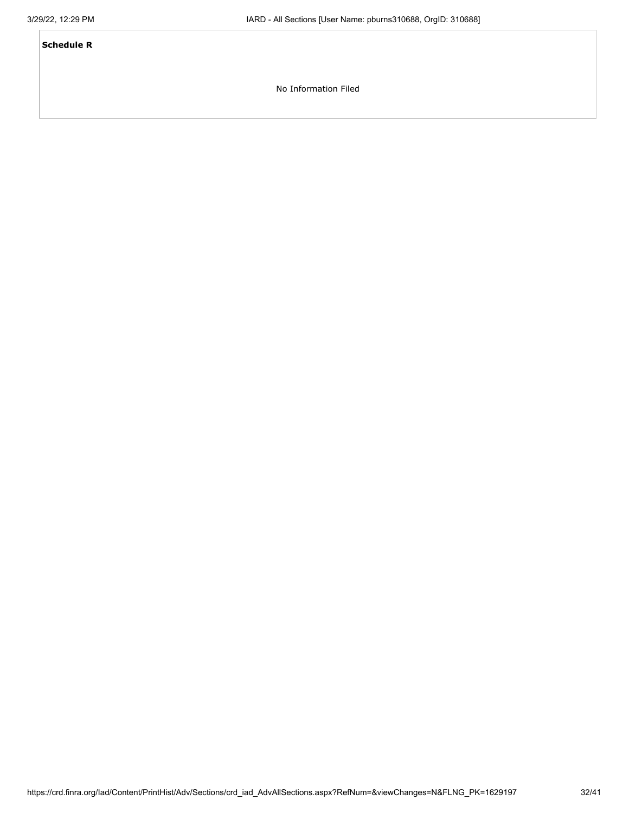**Schedule R**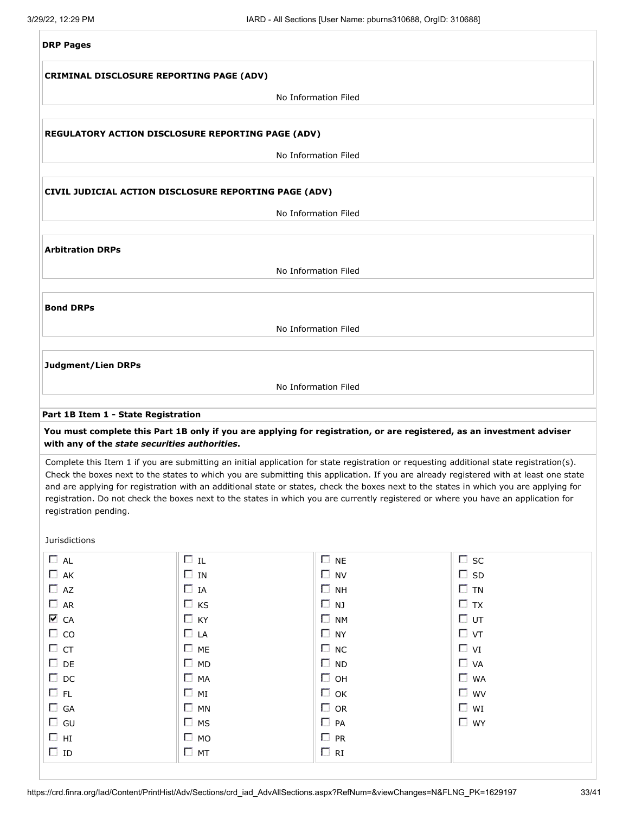FL GA GU HI  $\Box$  ID

| <b>DRP Pages</b>                                |                                                                                                                                                                                                                                                                                                                                                                                                                                                                                                                                                                    |                        |                        |
|-------------------------------------------------|--------------------------------------------------------------------------------------------------------------------------------------------------------------------------------------------------------------------------------------------------------------------------------------------------------------------------------------------------------------------------------------------------------------------------------------------------------------------------------------------------------------------------------------------------------------------|------------------------|------------------------|
| <b>CRIMINAL DISCLOSURE REPORTING PAGE (ADV)</b> |                                                                                                                                                                                                                                                                                                                                                                                                                                                                                                                                                                    |                        |                        |
|                                                 |                                                                                                                                                                                                                                                                                                                                                                                                                                                                                                                                                                    | No Information Filed   |                        |
|                                                 |                                                                                                                                                                                                                                                                                                                                                                                                                                                                                                                                                                    |                        |                        |
|                                                 | <b>REGULATORY ACTION DISCLOSURE REPORTING PAGE (ADV)</b>                                                                                                                                                                                                                                                                                                                                                                                                                                                                                                           |                        |                        |
|                                                 |                                                                                                                                                                                                                                                                                                                                                                                                                                                                                                                                                                    | No Information Filed   |                        |
|                                                 | CIVIL JUDICIAL ACTION DISCLOSURE REPORTING PAGE (ADV)                                                                                                                                                                                                                                                                                                                                                                                                                                                                                                              |                        |                        |
|                                                 |                                                                                                                                                                                                                                                                                                                                                                                                                                                                                                                                                                    | No Information Filed   |                        |
|                                                 |                                                                                                                                                                                                                                                                                                                                                                                                                                                                                                                                                                    |                        |                        |
| <b>Arbitration DRPs</b>                         |                                                                                                                                                                                                                                                                                                                                                                                                                                                                                                                                                                    |                        |                        |
|                                                 |                                                                                                                                                                                                                                                                                                                                                                                                                                                                                                                                                                    | No Information Filed   |                        |
|                                                 |                                                                                                                                                                                                                                                                                                                                                                                                                                                                                                                                                                    |                        |                        |
| <b>Bond DRPs</b>                                |                                                                                                                                                                                                                                                                                                                                                                                                                                                                                                                                                                    |                        |                        |
|                                                 |                                                                                                                                                                                                                                                                                                                                                                                                                                                                                                                                                                    |                        |                        |
|                                                 |                                                                                                                                                                                                                                                                                                                                                                                                                                                                                                                                                                    | No Information Filed   |                        |
|                                                 |                                                                                                                                                                                                                                                                                                                                                                                                                                                                                                                                                                    |                        |                        |
| Judgment/Lien DRPs                              |                                                                                                                                                                                                                                                                                                                                                                                                                                                                                                                                                                    |                        |                        |
|                                                 |                                                                                                                                                                                                                                                                                                                                                                                                                                                                                                                                                                    | No Information Filed   |                        |
| Part 1B Item 1 - State Registration             |                                                                                                                                                                                                                                                                                                                                                                                                                                                                                                                                                                    |                        |                        |
|                                                 | You must complete this Part 1B only if you are applying for registration, or are registered, as an investment adviser                                                                                                                                                                                                                                                                                                                                                                                                                                              |                        |                        |
| with any of the state securities authorities.   |                                                                                                                                                                                                                                                                                                                                                                                                                                                                                                                                                                    |                        |                        |
| registration pending.                           | Complete this Item 1 if you are submitting an initial application for state registration or requesting additional state registration(s).<br>Check the boxes next to the states to which you are submitting this application. If you are already registered with at least one state<br>and are applying for registration with an additional state or states, check the boxes next to the states in which you are applying for<br>registration. Do not check the boxes next to the states in which you are currently registered or where you have an application for |                        |                        |
| Jurisdictions                                   |                                                                                                                                                                                                                                                                                                                                                                                                                                                                                                                                                                    |                        |                        |
| $\Box$ AL                                       | $\Box$ IL                                                                                                                                                                                                                                                                                                                                                                                                                                                                                                                                                          | $\Box$ NE              | $\square$ sc           |
| $\Box$ AK                                       | $\Box$ IN                                                                                                                                                                                                                                                                                                                                                                                                                                                                                                                                                          | $\Box$ NV              | $\square$ SD           |
| $\Box$ AZ                                       | $\Box$ IA                                                                                                                                                                                                                                                                                                                                                                                                                                                                                                                                                          | $\Box$ NH              | $\square$ TN           |
| $\Box$ AR                                       | $\Box$ KS                                                                                                                                                                                                                                                                                                                                                                                                                                                                                                                                                          | $\Box$ NJ              | $\Box$ TX              |
| $\overline{\triangledown}$ CA                   | $\Box$ KY                                                                                                                                                                                                                                                                                                                                                                                                                                                                                                                                                          | $\Box$ NM              | $\Box$ UT              |
| $\Box$ co                                       | $\Box$ LA                                                                                                                                                                                                                                                                                                                                                                                                                                                                                                                                                          | $\Box$ NY              | $\Box$ vt              |
| $\Box$ CT                                       | $\square$ ME                                                                                                                                                                                                                                                                                                                                                                                                                                                                                                                                                       | $\Box$ NC              | $\Box$ vi              |
| $\square$ DE<br>$\Box$ DC                       | $\Box$ MD<br>$\Box$ MA                                                                                                                                                                                                                                                                                                                                                                                                                                                                                                                                             | $\Box$ ND<br>$\Box$ OH | $\Box$ VA<br>$\Box$ WA |
|                                                 |                                                                                                                                                                                                                                                                                                                                                                                                                                                                                                                                                                    |                        |                        |

OK OR  $\Box$  PA  $\Box$  PR  $\Box$  RI

**D** wv WI **D** WY

MI  $\Box$  MN  $\square$  MS  $\Box$  MO  $\Box$  MT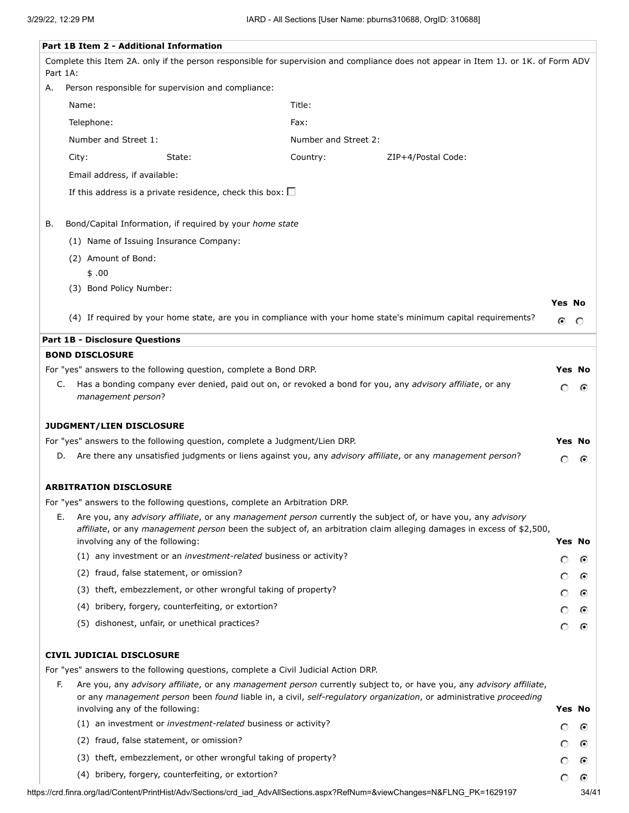|    | Part 1B Item 2 - Additional Information                                                                 |                                                                                                                                                                                                                                            |             |               |
|----|---------------------------------------------------------------------------------------------------------|--------------------------------------------------------------------------------------------------------------------------------------------------------------------------------------------------------------------------------------------|-------------|---------------|
|    | Part 1A:                                                                                                | Complete this Item 2A. only if the person responsible for supervision and compliance does not appear in Item 1J. or 1K. of Form ADV                                                                                                        |             |               |
| Α. | Person responsible for supervision and compliance:                                                      |                                                                                                                                                                                                                                            |             |               |
|    | Name:                                                                                                   | Title:                                                                                                                                                                                                                                     |             |               |
|    | Telephone:                                                                                              | Fax:                                                                                                                                                                                                                                       |             |               |
|    | Number and Street 1:                                                                                    | Number and Street 2:                                                                                                                                                                                                                       |             |               |
|    | City:<br>State:                                                                                         | Country:<br>ZIP+4/Postal Code:                                                                                                                                                                                                             |             |               |
|    | Email address, if available:                                                                            |                                                                                                                                                                                                                                            |             |               |
|    | If this address is a private residence, check this box: $\square$                                       |                                                                                                                                                                                                                                            |             |               |
| В. | Bond/Capital Information, if required by your home state                                                |                                                                                                                                                                                                                                            |             |               |
|    | (1) Name of Issuing Insurance Company:                                                                  |                                                                                                                                                                                                                                            |             |               |
|    | (2) Amount of Bond:                                                                                     |                                                                                                                                                                                                                                            |             |               |
|    | \$.00                                                                                                   |                                                                                                                                                                                                                                            |             |               |
|    | (3) Bond Policy Number:                                                                                 |                                                                                                                                                                                                                                            |             |               |
|    |                                                                                                         | (4) If required by your home state, are you in compliance with your home state's minimum capital requirements?                                                                                                                             | Yes No<br>⊙ | O             |
|    | <b>Part 1B - Disclosure Questions</b>                                                                   |                                                                                                                                                                                                                                            |             |               |
|    | <b>BOND DISCLOSURE</b>                                                                                  |                                                                                                                                                                                                                                            |             |               |
|    | For "yes" answers to the following question, complete a Bond DRP.                                       |                                                                                                                                                                                                                                            |             | <b>Yes No</b> |
|    | C.<br>management person?                                                                                | Has a bonding company ever denied, paid out on, or revoked a bond for you, any advisory affiliate, or any                                                                                                                                  | O           | ⊙             |
|    | JUDGMENT/LIEN DISCLOSURE                                                                                |                                                                                                                                                                                                                                            |             |               |
|    | For "yes" answers to the following question, complete a Judgment/Lien DRP.                              |                                                                                                                                                                                                                                            |             | <b>Yes No</b> |
|    |                                                                                                         | D. Are there any unsatisfied judgments or liens against you, any advisory affiliate, or any management person?                                                                                                                             | O           | ⊙             |
|    | <b>ARBITRATION DISCLOSURE</b>                                                                           |                                                                                                                                                                                                                                            |             |               |
|    | For "yes" answers to the following questions, complete an Arbitration DRP.                              |                                                                                                                                                                                                                                            |             |               |
| Е. |                                                                                                         | Are you, any advisory affiliate, or any management person currently the subject of, or have you, any advisory<br>affiliate, or any management person been the subject of, an arbitration claim alleging damages in excess of \$2,500,      |             |               |
|    | involving any of the following:                                                                         |                                                                                                                                                                                                                                            |             | <b>Yes No</b> |
|    | (1) any investment or an <i>investment-related</i> business or activity?                                |                                                                                                                                                                                                                                            | O           | ⊙             |
|    | (2) fraud, false statement, or omission?                                                                |                                                                                                                                                                                                                                            | O           | ⊙             |
|    | (3) theft, embezzlement, or other wrongful taking of property?                                          |                                                                                                                                                                                                                                            | O           | ⊙             |
|    | (4) bribery, forgery, counterfeiting, or extortion?                                                     |                                                                                                                                                                                                                                            | O           | ⊙             |
|    | (5) dishonest, unfair, or unethical practices?                                                          |                                                                                                                                                                                                                                            | O           | ⊙             |
|    | <b>CIVIL JUDICIAL DISCLOSURE</b>                                                                        |                                                                                                                                                                                                                                            |             |               |
|    | For "yes" answers to the following questions, complete a Civil Judicial Action DRP.                     |                                                                                                                                                                                                                                            |             |               |
| F. |                                                                                                         | Are you, any advisory affiliate, or any management person currently subject to, or have you, any advisory affiliate,<br>or any management person been found liable in, a civil, self-regulatory organization, or administrative proceeding |             |               |
|    | involving any of the following:<br>(1) an investment or <i>investment-related</i> business or activity? |                                                                                                                                                                                                                                            |             | <b>Yes No</b> |
|    | (2) fraud, false statement, or omission?                                                                |                                                                                                                                                                                                                                            | O           | ⊙             |
|    | (3) theft, embezzlement, or other wrongful taking of property?                                          |                                                                                                                                                                                                                                            | O           | ⊙             |
|    | (4) bribery, forgery, counterfeiting, or extortion?                                                     |                                                                                                                                                                                                                                            | O           | ⊙             |
|    |                                                                                                         |                                                                                                                                                                                                                                            | О           | ⊙             |

https://crd.finra.org/Iad/Content/PrintHist/Adv/Sections/crd\_iad\_AdvAllSections.aspx?RefNum=&viewChanges=N&FLNG\_PK=1629197 34/41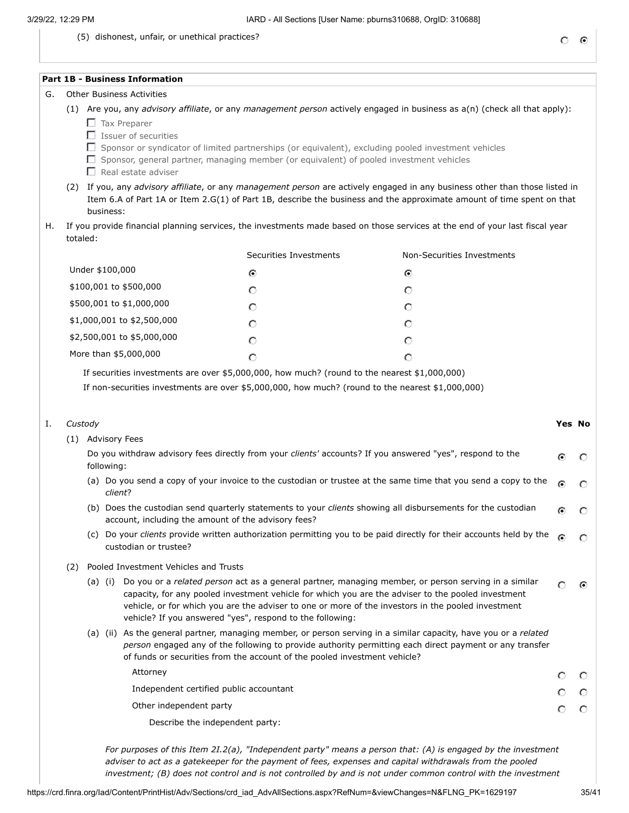(5) dishonest, unfair, or unethical practices?

### **Part 1B - Business Information**

### G. Other Business Activities

(1) Are you, any *advisory affiliate*, or any *management person* actively engaged in business as a(n) (check all that apply): Tax Preparer

- $\Box$  Issuer of securities
- $\Box$  Sponsor or syndicator of limited partnerships (or equivalent), excluding pooled investment vehicles
- $\Box$  Sponsor, general partner, managing member (or equivalent) of pooled investment vehicles
- $\Box$  Real estate adviser
- (2) If you, any *advisory affiliate*, or any *management person* are actively engaged in any business other than those listed in Item 6.A of Part 1A or Item 2.G(1) of Part 1B, describe the business and the approximate amount of time spent on that business:
- H. If you provide financial planning services, the investments made based on those services at the end of your last fiscal year totaled:

|                            | Securities Investments | Non-Securities Investments |
|----------------------------|------------------------|----------------------------|
| Under \$100,000            | O                      | ⊙                          |
| \$100,001 to \$500,000     | С                      | О                          |
| \$500,001 to \$1,000,000   | C                      | О                          |
| \$1,000,001 to \$2,500,000 | С                      | О                          |
| \$2,500,001 to \$5,000,000 | O                      | О                          |
| More than \$5,000,000      | С                      | О                          |
|                            |                        |                            |

If securities investments are over \$5,000,000, how much? (round to the nearest \$1,000,000)

If non-securities investments are over \$5,000,000, how much? (round to the nearest \$1,000,000)

| Ι. | Custody |            |                                                                                                                                                                                                                                                                                                                                                                               | Yes No |         |
|----|---------|------------|-------------------------------------------------------------------------------------------------------------------------------------------------------------------------------------------------------------------------------------------------------------------------------------------------------------------------------------------------------------------------------|--------|---------|
|    | (1)     |            | <b>Advisory Fees</b>                                                                                                                                                                                                                                                                                                                                                          |        |         |
|    |         | following: | Do you withdraw advisory fees directly from your clients' accounts? If you answered "yes", respond to the                                                                                                                                                                                                                                                                     | ⊙      | O       |
|    |         | client?    | (a) Do you send a copy of your invoice to the custodian or trustee at the same time that you send a copy to the                                                                                                                                                                                                                                                               | ⊙      | O       |
|    |         |            | (b) Does the custodian send quarterly statements to your clients showing all disbursements for the custodian<br>account, including the amount of the advisory fees?                                                                                                                                                                                                           | ⋒      | O       |
|    |         |            | (c) Do your clients provide written authorization permitting you to be paid directly for their accounts held by the<br>custodian or trustee?                                                                                                                                                                                                                                  | ⊙      | O       |
|    | (2)     |            | Pooled Investment Vehicles and Trusts                                                                                                                                                                                                                                                                                                                                         |        |         |
|    |         | (a) (i)    | Do you or a related person act as a general partner, managing member, or person serving in a similar<br>capacity, for any pooled investment vehicle for which you are the adviser to the pooled investment<br>vehicle, or for which you are the adviser to one or more of the investors in the pooled investment<br>vehicle? If you answered "yes", respond to the following: | O      | ⊙       |
|    |         |            | (a) (ii) As the general partner, managing member, or person serving in a similar capacity, have you or a related<br>person engaged any of the following to provide authority permitting each direct payment or any transfer<br>of funds or securities from the account of the pooled investment vehicle?                                                                      |        |         |
|    |         |            | Attorney                                                                                                                                                                                                                                                                                                                                                                      | О      | O       |
|    |         |            | Independent certified public accountant                                                                                                                                                                                                                                                                                                                                       |        | $\circ$ |
|    |         |            | Other independent party                                                                                                                                                                                                                                                                                                                                                       | О      | $\circ$ |
|    |         |            | Describe the independent party:                                                                                                                                                                                                                                                                                                                                               |        |         |
|    |         |            | For purposes of this Item 2I.2(a), "Independent party" means a person that: (A) is engaged by the investment<br>adviser to act as a gatekeeper for the payment of fees, expenses and capital withdrawals from the pooled                                                                                                                                                      |        |         |

*investment; (B) does not control and is not controlled by and is not under common control with the investment*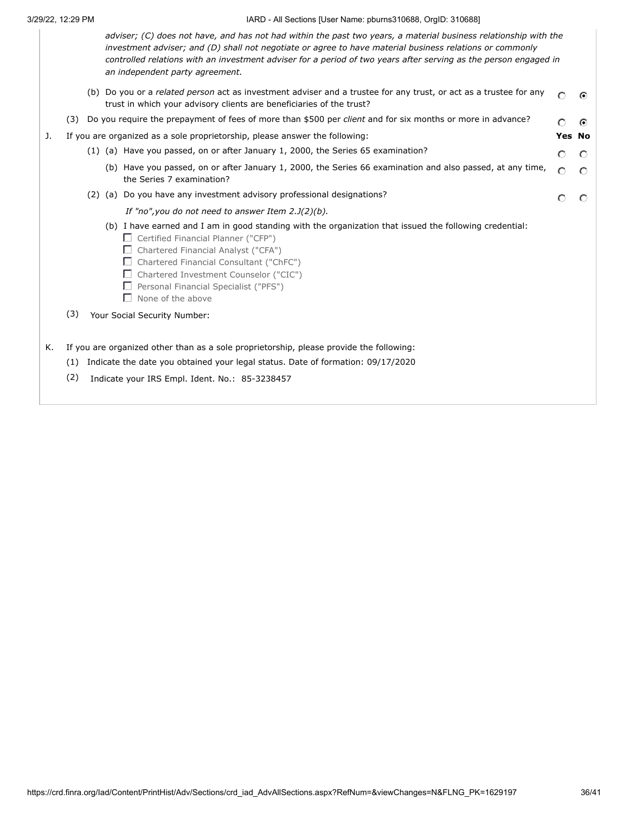3/29/22, 12:29 PM IARD - All Sections [User Name: pburns310688, OrgID: 310688]

*adviser; (C) does not have, and has not had within the past two years, a material business relationship with the investment adviser; and (D) shall not negotiate or agree to have material business relations or commonly controlled relations with an investment adviser for a period of two years after serving as the person engaged in an independent party agreement.* (b) Do you or a *related person* act as investment adviser and a trustee for any trust, or act as a trustee for any  $\circ$  $\odot$ trust in which your advisory clients are beneficiaries of the trust? (3) Do you require the prepayment of fees of more than \$500 per *client* and for six months or more in advance? О  $\odot$ J. If you are organized as a sole proprietorship, please answer the following: **Yes No** (1) (a) Have you passed, on or after January 1, 2000, the Series 65 examination?  $\circ$  $\circ$ (b) Have you passed, on or after January 1, 2000, the Series 66 examination and also passed, at any time,  $\circ$  $\circ$ the Series 7 examination? (2) (a) Do you have any investment advisory professional designations?  $\circ$ O *If "no",you do not need to answer Item 2.J(2)(b).* (b) I have earned and I am in good standing with the organization that issued the following credential: Certified Financial Planner ("CFP") Chartered Financial Analyst ("CFA") Chartered Financial Consultant ("ChFC") Chartered Investment Counselor ("CIC") Personal Financial Specialist ("PFS") None of the above (3) Your Social Security Number: K. If you are organized other than as a sole proprietorship, please provide the following: (1) Indicate the date you obtained your legal status. Date of formation: 09/17/2020 (2) Indicate your IRS Empl. Ident. No.: 85-3238457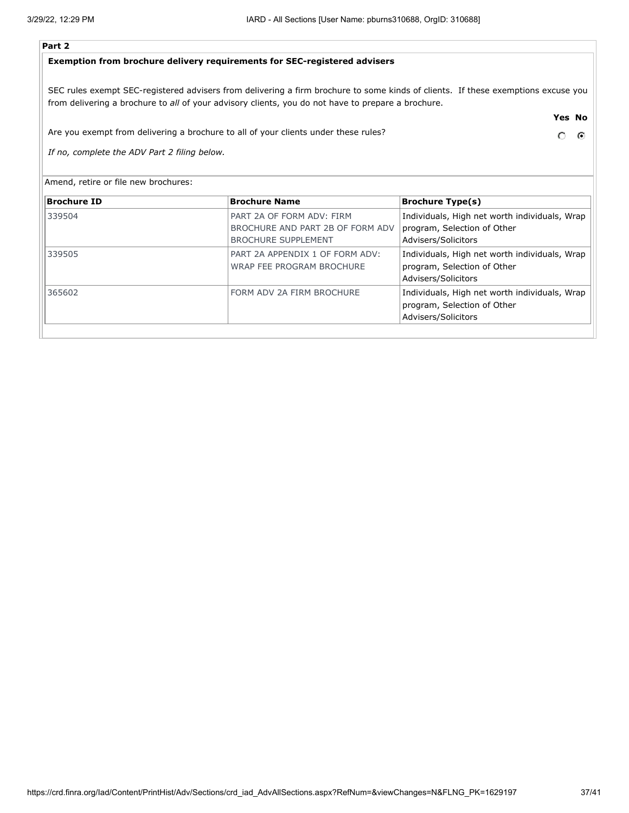# **Part 2**

# **Exemption from brochure delivery requirements for SEC-registered advisers**

SEC rules exempt SEC-registered advisers from delivering a firm brochure to some kinds of clients. If these exemptions excuse you from delivering a brochure to *all* of your advisory clients, you do not have to prepare a brochure.

**Yes No**

 $\odot$  $\circ$ 

Are you exempt from delivering a brochure to all of your clients under these rules?

*If no, complete the ADV Part 2 filing below.*

Amend, retire or file new brochures:

| <b>Brochure ID</b> | <b>Brochure Name</b>             | <b>Brochure Type(s)</b>                       |
|--------------------|----------------------------------|-----------------------------------------------|
| 339504             | PART 2A OF FORM ADV: FIRM        | Individuals, High net worth individuals, Wrap |
|                    | BROCHURE AND PART 2B OF FORM ADV | program, Selection of Other                   |
|                    | <b>BROCHURE SUPPLEMENT</b>       | Advisers/Solicitors                           |
| 339505             | PART 2A APPENDIX 1 OF FORM ADV:  | Individuals, High net worth individuals, Wrap |
|                    | WRAP FEE PROGRAM BROCHURE        | program, Selection of Other                   |
|                    |                                  | Advisers/Solicitors                           |
| 365602             | FORM ADV 2A FIRM BROCHURE        | Individuals, High net worth individuals, Wrap |
|                    |                                  | program, Selection of Other                   |
|                    |                                  | Advisers/Solicitors                           |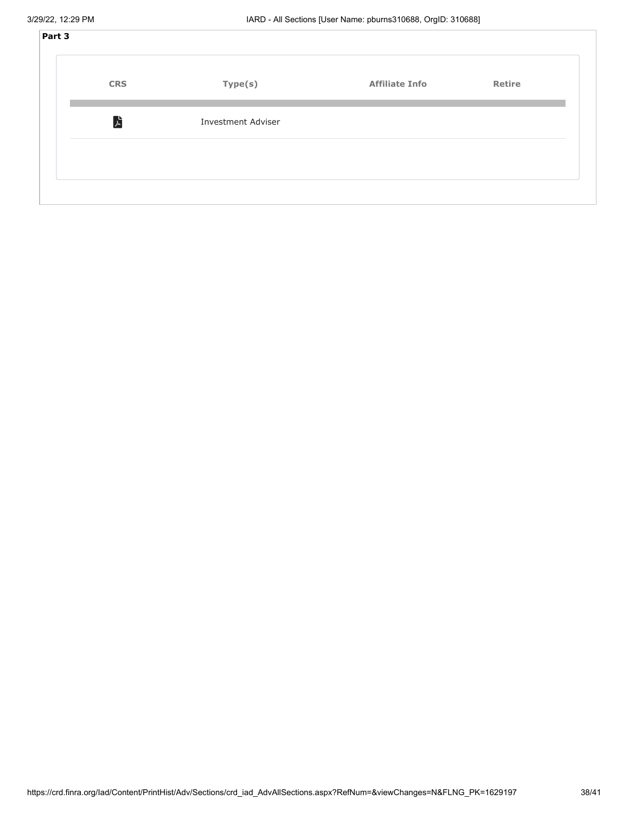| . .<br>٠<br>×<br>M. | v |
|---------------------|---|
|---------------------|---|

| <b>CRS</b> | Type(s)                   | <b>Affiliate Info</b> | Retire |
|------------|---------------------------|-----------------------|--------|
| 广          | <b>Investment Adviser</b> |                       |        |
|            |                           |                       |        |
|            |                           |                       |        |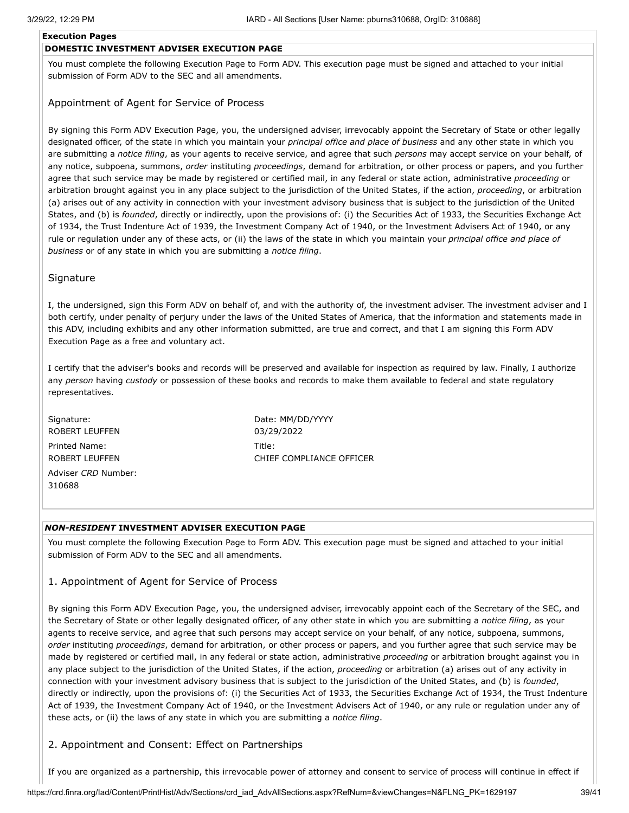### **Execution Pages**

# **DOMESTIC INVESTMENT ADVISER EXECUTION PAGE**

You must complete the following Execution Page to Form ADV. This execution page must be signed and attached to your initial submission of Form ADV to the SEC and all amendments.

# Appointment of Agent for Service of Process

By signing this Form ADV Execution Page, you, the undersigned adviser, irrevocably appoint the Secretary of State or other legally designated officer, of the state in which you maintain your *principal office and place of business* and any other state in which you are submitting a *notice filing*, as your agents to receive service, and agree that such *persons* may accept service on your behalf, of any notice, subpoena, summons, *order* instituting *proceedings*, demand for arbitration, or other process or papers, and you further agree that such service may be made by registered or certified mail, in any federal or state action, administrative *proceeding* or arbitration brought against you in any place subject to the jurisdiction of the United States, if the action, *proceeding*, or arbitration (a) arises out of any activity in connection with your investment advisory business that is subject to the jurisdiction of the United States, and (b) is *founded*, directly or indirectly, upon the provisions of: (i) the Securities Act of 1933, the Securities Exchange Act of 1934, the Trust Indenture Act of 1939, the Investment Company Act of 1940, or the Investment Advisers Act of 1940, or any rule or regulation under any of these acts, or (ii) the laws of the state in which you maintain your *principal office and place of business* or of any state in which you are submitting a *notice filing*.

### **Signature**

I, the undersigned, sign this Form ADV on behalf of, and with the authority of, the investment adviser. The investment adviser and I both certify, under penalty of perjury under the laws of the United States of America, that the information and statements made in this ADV, including exhibits and any other information submitted, are true and correct, and that I am signing this Form ADV Execution Page as a free and voluntary act.

I certify that the adviser's books and records will be preserved and available for inspection as required by law. Finally, I authorize any *person* having *custody* or possession of these books and records to make them available to federal and state regulatory representatives.

Signature: ROBERT LEUFFEN Printed Name: ROBERT LEUFFEN

Adviser *CRD* Number: 310688

Date: MM/DD/YYYY 03/29/2022 Title: CHIEF COMPLIANCE OFFICER

### *NON-RESIDENT* **INVESTMENT ADVISER EXECUTION PAGE**

You must complete the following Execution Page to Form ADV. This execution page must be signed and attached to your initial submission of Form ADV to the SEC and all amendments.

# 1. Appointment of Agent for Service of Process

By signing this Form ADV Execution Page, you, the undersigned adviser, irrevocably appoint each of the Secretary of the SEC, and the Secretary of State or other legally designated officer, of any other state in which you are submitting a *notice filing*, as your agents to receive service, and agree that such persons may accept service on your behalf, of any notice, subpoena, summons, *order* instituting *proceedings*, demand for arbitration, or other process or papers, and you further agree that such service may be made by registered or certified mail, in any federal or state action, administrative *proceeding* or arbitration brought against you in any place subject to the jurisdiction of the United States, if the action, *proceeding* or arbitration (a) arises out of any activity in connection with your investment advisory business that is subject to the jurisdiction of the United States, and (b) is *founded*, directly or indirectly, upon the provisions of: (i) the Securities Act of 1933, the Securities Exchange Act of 1934, the Trust Indenture Act of 1939, the Investment Company Act of 1940, or the Investment Advisers Act of 1940, or any rule or regulation under any of these acts, or (ii) the laws of any state in which you are submitting a *notice filing*.

# 2. Appointment and Consent: Effect on Partnerships

If you are organized as a partnership, this irrevocable power of attorney and consent to service of process will continue in effect if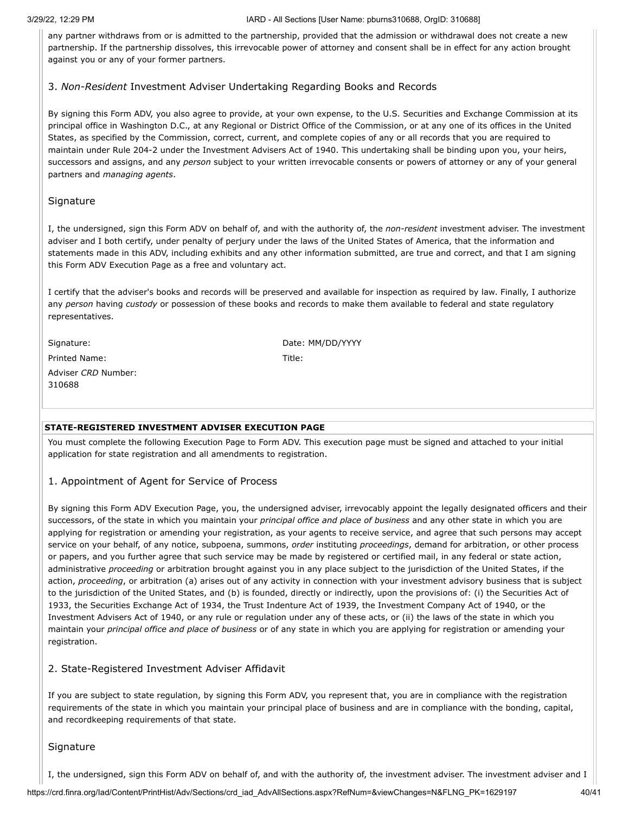### 3/29/22, 12:29 PM IARD - All Sections [User Name: pburns310688, OrgID: 310688]

any partner withdraws from or is admitted to the partnership, provided that the admission or withdrawal does not create a new partnership. If the partnership dissolves, this irrevocable power of attorney and consent shall be in effect for any action brought against you or any of your former partners.

# 3. *Non-Resident* Investment Adviser Undertaking Regarding Books and Records

By signing this Form ADV, you also agree to provide, at your own expense, to the U.S. Securities and Exchange Commission at its principal office in Washington D.C., at any Regional or District Office of the Commission, or at any one of its offices in the United States, as specified by the Commission, correct, current, and complete copies of any or all records that you are required to maintain under Rule 204-2 under the Investment Advisers Act of 1940. This undertaking shall be binding upon you, your heirs, successors and assigns, and any *person* subject to your written irrevocable consents or powers of attorney or any of your general partners and *managing agents*.

# **Signature**

I, the undersigned, sign this Form ADV on behalf of, and with the authority of, the *non-resident* investment adviser. The investment adviser and I both certify, under penalty of perjury under the laws of the United States of America, that the information and statements made in this ADV, including exhibits and any other information submitted, are true and correct, and that I am signing this Form ADV Execution Page as a free and voluntary act.

I certify that the adviser's books and records will be preserved and available for inspection as required by law. Finally, I authorize any *person* having *custody* or possession of these books and records to make them available to federal and state regulatory representatives.

Signature: Date: MM/DD/YYYY Printed Name: Title: Adviser *CRD* Number: 310688

### **STATE-REGISTERED INVESTMENT ADVISER EXECUTION PAGE**

You must complete the following Execution Page to Form ADV. This execution page must be signed and attached to your initial application for state registration and all amendments to registration.

# 1. Appointment of Agent for Service of Process

By signing this Form ADV Execution Page, you, the undersigned adviser, irrevocably appoint the legally designated officers and their successors, of the state in which you maintain your *principal office and place of business* and any other state in which you are applying for registration or amending your registration, as your agents to receive service, and agree that such persons may accept service on your behalf, of any notice, subpoena, summons, *order* instituting *proceedings*, demand for arbitration, or other process or papers, and you further agree that such service may be made by registered or certified mail, in any federal or state action, administrative *proceeding* or arbitration brought against you in any place subject to the jurisdiction of the United States, if the action, *proceeding*, or arbitration (a) arises out of any activity in connection with your investment advisory business that is subject to the jurisdiction of the United States, and (b) is founded, directly or indirectly, upon the provisions of: (i) the Securities Act of 1933, the Securities Exchange Act of 1934, the Trust Indenture Act of 1939, the Investment Company Act of 1940, or the Investment Advisers Act of 1940, or any rule or regulation under any of these acts, or (ii) the laws of the state in which you maintain your *principal office and place of business* or of any state in which you are applying for registration or amending your registration.

# 2. State-Registered Investment Adviser Affidavit

If you are subject to state regulation, by signing this Form ADV, you represent that, you are in compliance with the registration requirements of the state in which you maintain your principal place of business and are in compliance with the bonding, capital, and recordkeeping requirements of that state.

# **Signature**

I, the undersigned, sign this Form ADV on behalf of, and with the authority of, the investment adviser. The investment adviser and I